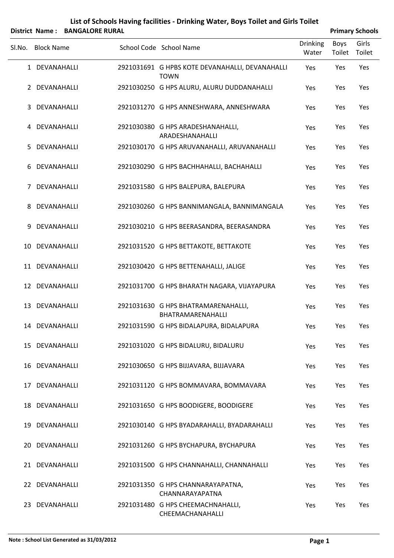|        |                   | District Name: BANGALORE RURAL |                                                                |                          |                | <b>Primary Schools</b> |
|--------|-------------------|--------------------------------|----------------------------------------------------------------|--------------------------|----------------|------------------------|
| Sl.No. | <b>Block Name</b> |                                | School Code School Name                                        | <b>Drinking</b><br>Water | Boys<br>Toilet | Girls<br>Toilet        |
|        | 1 DEVANAHALLI     |                                | 2921031691 G HPBS KOTE DEVANAHALLI, DEVANAHALLI<br><b>TOWN</b> | Yes                      | Yes            | Yes                    |
|        | 2 DEVANAHALLI     |                                | 2921030250 G HPS ALURU, ALURU DUDDANAHALLI                     | Yes                      | Yes            | Yes                    |
|        | 3 DEVANAHALLI     |                                | 2921031270 G HPS ANNESHWARA, ANNESHWARA                        | Yes                      | Yes            | Yes                    |
|        | 4 DEVANAHALLI     |                                | 2921030380 G HPS ARADESHANAHALLI,<br>ARADESHANAHALLI           | Yes                      | Yes            | Yes                    |
| 5.     | DEVANAHALLI       |                                | 2921030170 G HPS ARUVANAHALLI, ARUVANAHALLI                    | Yes                      | Yes            | Yes                    |
| 6      | DEVANAHALLI       |                                | 2921030290 G HPS BACHHAHALLI, BACHAHALLI                       | Yes                      | Yes            | Yes                    |
|        | 7 DEVANAHALLI     |                                | 2921031580 G HPS BALEPURA, BALEPURA                            | Yes                      | Yes            | Yes                    |
|        | 8 DEVANAHALLI     |                                | 2921030260 G HPS BANNIMANGALA, BANNIMANGALA                    | Yes                      | Yes            | Yes                    |
| 9      | DEVANAHALLI       |                                | 2921030210 G HPS BEERASANDRA, BEERASANDRA                      | Yes                      | Yes            | Yes                    |
|        | 10 DEVANAHALLI    |                                | 2921031520 G HPS BETTAKOTE, BETTAKOTE                          | Yes                      | Yes            | Yes                    |
|        | 11 DEVANAHALLI    |                                | 2921030420 G HPS BETTENAHALLI, JALIGE                          | Yes                      | Yes            | Yes                    |
|        | 12 DEVANAHALLI    |                                | 2921031700 G HPS BHARATH NAGARA, VIJAYAPURA                    | Yes                      | Yes            | Yes                    |
|        | 13 DEVANAHALLI    |                                | 2921031630 G HPS BHATRAMARENAHALLI,<br>BHATRAMARENAHALLI       | Yes                      | Yes            | Yes                    |
|        | 14 DEVANAHALLI    |                                | 2921031590 G HPS BIDALAPURA, BIDALAPURA                        | Yes                      | Yes            | Yes                    |
|        | 15 DEVANAHALLI    |                                | 2921031020 G HPS BIDALURU, BIDALURU                            | Yes                      | Yes            | Yes                    |
|        | 16 DEVANAHALLI    |                                | 2921030650 G HPS BIJJAVARA, BIJJAVARA                          | Yes                      | Yes            | Yes                    |
|        | 17 DEVANAHALLI    |                                | 2921031120 G HPS BOMMAVARA, BOMMAVARA                          | Yes                      | Yes            | Yes                    |
|        | 18 DEVANAHALLI    |                                | 2921031650 G HPS BOODIGERE, BOODIGERE                          | Yes                      | Yes            | Yes                    |
|        | 19 DEVANAHALLI    |                                | 2921030140 G HPS BYADARAHALLI, BYADARAHALLI                    | Yes                      | Yes            | Yes                    |
|        | 20 DEVANAHALLI    |                                | 2921031260 G HPS BYCHAPURA, BYCHAPURA                          | Yes                      | Yes            | Yes                    |
|        | 21 DEVANAHALLI    |                                | 2921031500 G HPS CHANNAHALLI, CHANNAHALLI                      | Yes                      | Yes            | Yes                    |
|        | 22 DEVANAHALLI    |                                | 2921031350 G HPS CHANNARAYAPATNA,<br>CHANNARAYAPATNA           | Yes                      | Yes            | Yes                    |
|        | 23 DEVANAHALLI    |                                | 2921031480 G HPS CHEEMACHNAHALLI,                              | Yes                      | Yes            | Yes                    |

CHEEMACHANAHALLI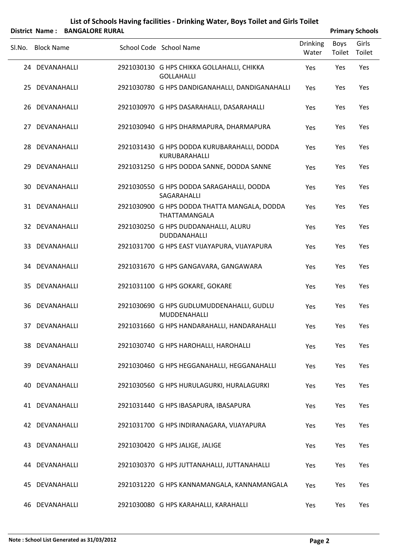|        |                   | District Name: BANGALORE RURAL |                                                                 |                          |                | <b>Primary Schools</b> |
|--------|-------------------|--------------------------------|-----------------------------------------------------------------|--------------------------|----------------|------------------------|
| Sl.No. | <b>Block Name</b> |                                | School Code School Name                                         | <b>Drinking</b><br>Water | Boys<br>Toilet | Girls<br>Toilet        |
|        | 24 DEVANAHALLI    |                                | 2921030130 G HPS CHIKKA GOLLAHALLI, CHIKKA<br><b>GOLLAHALLI</b> | Yes                      | Yes            | Yes                    |
|        | 25 DEVANAHALLI    |                                | 2921030780 G HPS DANDIGANAHALLI, DANDIGANAHALLI                 | Yes                      | Yes            | Yes                    |
|        | 26 DEVANAHALLI    |                                | 2921030970 G HPS DASARAHALLI, DASARAHALLI                       | Yes                      | Yes            | Yes                    |
|        | 27 DEVANAHALLI    |                                | 2921030940 G HPS DHARMAPURA, DHARMAPURA                         | Yes                      | Yes            | Yes                    |
|        | 28 DEVANAHALLI    |                                | 2921031430 G HPS DODDA KURUBARAHALLI, DODDA<br>KURUBARAHALLI    | Yes                      | Yes            | Yes                    |
| 29.    | DEVANAHALLI       |                                | 2921031250 G HPS DODDA SANNE, DODDA SANNE                       | Yes                      | Yes            | Yes                    |
|        | 30 DEVANAHALLI    |                                | 2921030550 G HPS DODDA SARAGAHALLI, DODDA<br>SAGARAHALLI        | Yes                      | Yes            | Yes                    |
|        | 31 DEVANAHALLI    |                                | 2921030900 G HPS DODDA THATTA MANGALA, DODDA<br>THATTAMANGALA   | Yes                      | Yes            | Yes                    |
|        | 32 DEVANAHALLI    |                                | 2921030250 G HPS DUDDANAHALLI, ALURU<br>DUDDANAHALLI            | Yes                      | Yes            | Yes                    |
|        | 33 DEVANAHALLI    |                                | 2921031700 G HPS EAST VIJAYAPURA, VIJAYAPURA                    | Yes                      | Yes            | Yes                    |
|        | 34 DEVANAHALLI    |                                | 2921031670 G HPS GANGAVARA, GANGAWARA                           | Yes                      | Yes            | Yes                    |
| 35.    | DEVANAHALLI       |                                | 2921031100 G HPS GOKARE, GOKARE                                 | Yes                      | Yes            | Yes                    |
|        | 36 DEVANAHALLI    |                                | 2921030690 G HPS GUDLUMUDDENAHALLI, GUDLU<br>MUDDENAHALLI       | Yes                      | Yes            | Yes                    |
|        | 37 DEVANAHALLI    |                                | 2921031660 G HPS HANDARAHALLI, HANDARAHALLI                     | Yes                      | Yes            | Yes                    |
|        | 38 DEVANAHALLI    |                                | 2921030740 G HPS HAROHALLI, HAROHALLI                           | Yes                      | Yes            | Yes                    |
|        | 39 DEVANAHALLI    |                                | 2921030460 G HPS HEGGANAHALLI, HEGGANAHALLI                     | Yes                      | Yes            | Yes                    |
|        | 40 DEVANAHALLI    |                                | 2921030560 G HPS HURULAGURKI, HURALAGURKI                       | Yes                      | Yes            | Yes                    |
|        | 41 DEVANAHALLI    |                                | 2921031440 G HPS IBASAPURA, IBASAPURA                           | Yes                      | Yes            | Yes                    |
|        | 42 DEVANAHALLI    |                                | 2921031700 G HPS INDIRANAGARA, VIJAYAPURA                       | Yes                      | Yes            | Yes                    |
|        | 43 DEVANAHALLI    |                                | 2921030420 G HPS JALIGE, JALIGE                                 | Yes                      | Yes            | Yes                    |
|        | 44 DEVANAHALLI    |                                | 2921030370 G HPS JUTTANAHALLI, JUTTANAHALLI                     | Yes                      | Yes            | Yes                    |
| 45     | DEVANAHALLI       |                                | 2921031220 G HPS KANNAMANGALA, KANNAMANGALA                     | Yes                      | Yes            | Yes                    |
|        | 46 DEVANAHALLI    |                                | 2921030080 G HPS KARAHALLI, KARAHALLI                           | Yes                      | Yes            | Yes                    |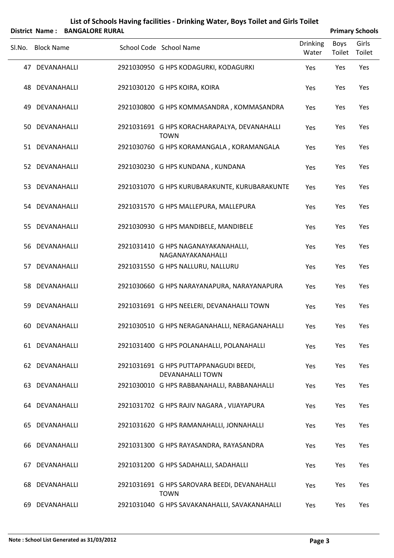|        | <b>District Name:</b> | <b>BANGALORE RURAL</b> | List of Schools Having facilities - Drinking Water, Boys Toilet and Girls Toilet |                          |                       | <b>Primary Schools</b> |
|--------|-----------------------|------------------------|----------------------------------------------------------------------------------|--------------------------|-----------------------|------------------------|
| Sl.No. | <b>Block Name</b>     |                        | School Code School Name                                                          | <b>Drinking</b><br>Water | <b>Boys</b><br>Toilet | Girls<br>Toilet        |
|        | 47 DEVANAHALLI        |                        | 2921030950 G HPS KODAGURKI, KODAGURKI                                            | Yes                      | Yes                   | Yes                    |
|        | 48 DEVANAHALLI        |                        | 2921030120 G HPS KOIRA, KOIRA                                                    | Yes                      | Yes                   | Yes                    |
| 49     | DEVANAHALLI           |                        | 2921030800 G HPS KOMMASANDRA, KOMMASANDRA                                        | Yes                      | Yes                   | Yes                    |
|        | 50 DEVANAHALLI        |                        | 2921031691 G HPS KORACHARAPALYA, DEVANAHALLI<br><b>TOWN</b>                      | Yes                      | Yes                   | Yes                    |
|        | 51 DEVANAHALLI        |                        | 2921030760 G HPS KORAMANGALA, KORAMANGALA                                        | Yes                      | Yes                   | Yes                    |
|        | 52 DEVANAHALLI        |                        | 2921030230 G HPS KUNDANA, KUNDANA                                                | Yes                      | Yes                   | Yes                    |
|        | 53 DEVANAHALLI        |                        | 2921031070 G HPS KURUBARAKUNTE, KURUBARAKUNTE                                    | Yes                      | Yes                   | Yes                    |
|        | 54 DEVANAHALLI        |                        | 2921031570 G HPS MALLEPURA, MALLEPURA                                            | Yes                      | Yes                   | Yes                    |
|        | 55 DEVANAHALLI        |                        | 2921030930 G HPS MANDIBELE, MANDIBELE                                            | Yes                      | Yes                   | Yes                    |
|        | 56 DEVANAHALLI        |                        | 2921031410 G HPS NAGANAYAKANAHALLI,<br>NAGANAYAKANAHALLI                         | Yes                      | Yes                   | Yes                    |
| 57     | DEVANAHALLI           |                        | 2921031550 G HPS NALLURU, NALLURU                                                | Yes                      | Yes                   | Yes                    |
|        | 58 DEVANAHALLI        |                        | 2921030660 G HPS NARAYANAPURA, NARAYANAPURA                                      | Yes                      | Yes                   | Yes                    |
| 59     | DEVANAHALLI           |                        | 2921031691 G HPS NEELERI, DEVANAHALLI TOWN                                       | Yes                      | Yes                   | Yes                    |
|        | 60 DEVANAHALLI        |                        | 2921030510 G HPS NERAGANAHALLI, NERAGANAHALLI                                    | Yes                      | Yes                   | Yes                    |
|        | 61 DEVANAHALLI        |                        | 2921031400 G HPS POLANAHALLI, POLANAHALLI                                        | Yes                      | Yes                   | Yes                    |
|        | 62 DEVANAHALLI        |                        | 2921031691 G HPS PUTTAPPANAGUDI BEEDI,<br><b>DEVANAHALLI TOWN</b>                | Yes                      | Yes                   | Yes                    |
|        | 63 DEVANAHALLI        |                        | 2921030010 G HPS RABBANAHALLI, RABBANAHALLI                                      | Yes                      | Yes                   | Yes                    |
|        | 64 DEVANAHALLI        |                        | 2921031702 G HPS RAJIV NAGARA, VIJAYAPURA                                        | Yes                      | Yes                   | Yes                    |
|        | 65 DEVANAHALLI        |                        | 2921031620 G HPS RAMANAHALLI, JONNAHALLI                                         | Yes                      | Yes                   | Yes                    |
|        | 66 DEVANAHALLI        |                        | 2921031300 G HPS RAYASANDRA, RAYASANDRA                                          | Yes                      | Yes                   | Yes                    |
| 67     | DEVANAHALLI           |                        | 2921031200 G HPS SADAHALLI, SADAHALLI                                            | Yes                      | Yes                   | Yes                    |
|        | 68 DEVANAHALLI        |                        | 2921031691 G HPS SAROVARA BEEDI, DEVANAHALLI<br><b>TOWN</b>                      | Yes                      | Yes                   | Yes                    |
|        | 69 DEVANAHALLI        |                        | 2921031040 G HPS SAVAKANAHALLI, SAVAKANAHALLI                                    | Yes                      | Yes                   | Yes                    |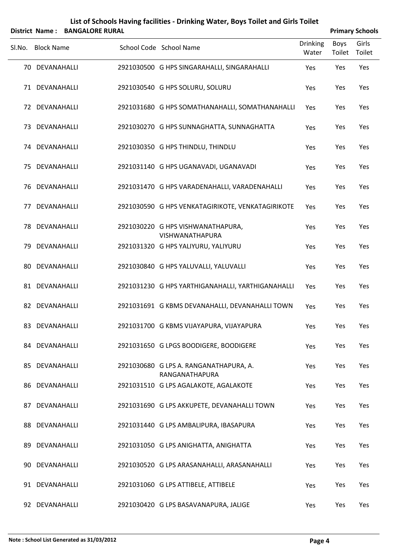|        | <b>District Name:</b> | <b>BANGALORE RURAL</b> |                                                          |                   |                | <b>Primary Schools</b> |
|--------|-----------------------|------------------------|----------------------------------------------------------|-------------------|----------------|------------------------|
| Sl.No. | <b>Block Name</b>     |                        | School Code School Name                                  | Drinking<br>Water | Boys<br>Toilet | Girls<br>Toilet        |
|        | 70 DEVANAHALLI        |                        | 2921030500 G HPS SINGARAHALLI, SINGARAHALLI              | Yes               | Yes            | Yes                    |
|        | 71 DEVANAHALLI        |                        | 2921030540 G HPS SOLURU, SOLURU                          | Yes               | Yes            | Yes                    |
|        | 72 DEVANAHALLI        |                        | 2921031680 G HPS SOMATHANAHALLI, SOMATHANAHALLI          | Yes               | Yes            | Yes                    |
|        | 73 DEVANAHALLI        |                        | 2921030270 G HPS SUNNAGHATTA, SUNNAGHATTA                | Yes               | Yes            | Yes                    |
|        | 74 DEVANAHALLI        |                        | 2921030350 G HPS THINDLU, THINDLU                        | Yes               | Yes            | Yes                    |
|        | 75 DEVANAHALLI        |                        | 2921031140 G HPS UGANAVADI, UGANAVADI                    | Yes               | Yes            | Yes                    |
|        | 76 DEVANAHALLI        |                        | 2921031470 G HPS VARADENAHALLI, VARADENAHALLI            | Yes               | Yes            | Yes                    |
|        | 77 DEVANAHALLI        |                        | 2921030590 G HPS VENKATAGIRIKOTE, VENKATAGIRIKOTE        | Yes               | Yes            | Yes                    |
|        | 78 DEVANAHALLI        |                        | 2921030220 G HPS VISHWANATHAPURA,<br>VISHWANATHAPURA     | Yes               | Yes            | Yes                    |
|        | 79 DEVANAHALLI        |                        | 2921031320 G HPS YALIYURU, YALIYURU                      | Yes               | Yes            | Yes                    |
|        | 80 DEVANAHALLI        |                        | 2921030840 G HPS YALUVALLI, YALUVALLI                    | Yes               | Yes            | Yes                    |
|        | 81 DEVANAHALLI        |                        | 2921031230 G HPS YARTHIGANAHALLI, YARTHIGANAHALLI        | Yes               | Yes            | Yes                    |
|        | 82 DEVANAHALLI        |                        | 2921031691 G KBMS DEVANAHALLI, DEVANAHALLI TOWN          | Yes               | Yes            | Yes                    |
|        | 83 DEVANAHALLI        |                        | 2921031700 G KBMS VIJAYAPURA, VIJAYAPURA                 | Yes               | Yes            | Yes                    |
|        | 84 DEVANAHALLI        |                        | 2921031650 G LPGS BOODIGERE, BOODIGERE                   | Yes               | Yes            | Yes                    |
|        | 85 DEVANAHALLI        |                        | 2921030680 G LPS A. RANGANATHAPURA, A.<br>RANGANATHAPURA | Yes               | Yes            | Yes                    |
|        | 86 DEVANAHALLI        |                        | 2921031510 G LPS AGALAKOTE, AGALAKOTE                    | Yes               | Yes            | Yes                    |
|        | 87 DEVANAHALLI        |                        | 2921031690 G LPS AKKUPETE, DEVANAHALLI TOWN              | Yes               | Yes            | Yes                    |
|        | 88 DEVANAHALLI        |                        | 2921031440 G LPS AMBALIPURA, IBASAPURA                   | Yes               | Yes            | Yes                    |
|        | 89 DEVANAHALLI        |                        | 2921031050 G LPS ANIGHATTA, ANIGHATTA                    | Yes               | Yes            | Yes                    |
|        | 90 DEVANAHALLI        |                        | 2921030520 G LPS ARASANAHALLI, ARASANAHALLI              | Yes               | Yes            | Yes                    |
|        | 91 DEVANAHALLI        |                        | 2921031060 G LPS ATTIBELE, ATTIBELE                      | Yes               | Yes            | Yes                    |
|        | 92 DEVANAHALLI        |                        | 2921030420 G LPS BASAVANAPURA, JALIGE                    | Yes               | Yes            | Yes                    |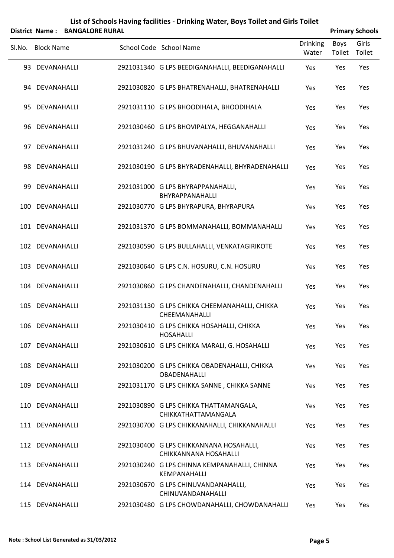|        |                   | District Name: BANGALORE RURAL |                                                                  |                          |                | <b>Primary Schools</b> |
|--------|-------------------|--------------------------------|------------------------------------------------------------------|--------------------------|----------------|------------------------|
| Sl.No. | <b>Block Name</b> |                                | School Code School Name                                          | <b>Drinking</b><br>Water | Boys<br>Toilet | Girls<br>Toilet        |
|        | 93 DEVANAHALLI    |                                | 2921031340 G LPS BEEDIGANAHALLI, BEEDIGANAHALLI                  | Yes                      | Yes            | Yes                    |
|        | 94 DEVANAHALLI    |                                | 2921030820 G LPS BHATRENAHALLI, BHATRENAHALLI                    | Yes                      | Yes            | Yes                    |
|        | 95 DEVANAHALLI    |                                | 2921031110 G LPS BHOODIHALA, BHOODIHALA                          | Yes                      | Yes            | Yes                    |
|        | 96 DEVANAHALLI    |                                | 2921030460 G LPS BHOVIPALYA, HEGGANAHALLI                        | Yes                      | Yes            | Yes                    |
|        | 97 DEVANAHALLI    |                                | 2921031240 G LPS BHUVANAHALLI, BHUVANAHALLI                      | Yes                      | Yes            | Yes                    |
|        | 98 DEVANAHALLI    |                                | 2921030190 G LPS BHYRADENAHALLI, BHYRADENAHALLI                  | Yes                      | Yes            | Yes                    |
|        | 99 DEVANAHALLI    |                                | 2921031000 G LPS BHYRAPPANAHALLI,<br>BHYRAPPANAHALLI             | Yes                      | Yes            | Yes                    |
|        | 100 DEVANAHALLI   |                                | 2921030770 G LPS BHYRAPURA, BHYRAPURA                            | Yes                      | Yes            | Yes                    |
|        | 101 DEVANAHALLI   |                                | 2921031370 G LPS BOMMANAHALLI, BOMMANAHALLI                      | Yes                      | Yes            | Yes                    |
|        | 102 DEVANAHALLI   |                                | 2921030590 G LPS BULLAHALLI, VENKATAGIRIKOTE                     | Yes                      | Yes            | Yes                    |
|        | 103 DEVANAHALLI   |                                | 2921030640 G LPS C.N. HOSURU, C.N. HOSURU                        | Yes                      | Yes            | Yes                    |
|        | 104 DEVANAHALLI   |                                | 2921030860 G LPS CHANDENAHALLI, CHANDENAHALLI                    | Yes                      | Yes            | Yes                    |
|        | 105 DEVANAHALLI   |                                | 2921031130 G LPS CHIKKA CHEEMANAHALLI, CHIKKA<br>CHEEMANAHALLI   | Yes                      | Yes            | Yes                    |
|        | 106 DEVANAHALLI   |                                | 2921030410 G LPS CHIKKA HOSAHALLI, CHIKKA<br><b>HOSAHALLI</b>    | Yes                      | Yes            | Yes                    |
|        | 107 DEVANAHALLI   |                                | 2921030610 G LPS CHIKKA MARALI, G. HOSAHALLI                     | Yes                      | Yes            | Yes                    |
|        | 108 DEVANAHALLI   |                                | 2921030200 G LPS CHIKKA OBADENAHALLI, CHIKKA<br>OBADENAHALLI     | Yes                      | Yes            | Yes                    |
|        | 109 DEVANAHALLI   |                                | 2921031170 G LPS CHIKKA SANNE, CHIKKA SANNE                      | Yes                      | Yes            | Yes                    |
|        | 110 DEVANAHALLI   |                                | 2921030890 G LPS CHIKKA THATTAMANGALA,<br>CHIKKATHATTAMANGALA    | Yes                      | Yes            | Yes                    |
|        | 111 DEVANAHALLI   |                                | 2921030700 G LPS CHIKKANAHALLI, CHIKKANAHALLI                    | Yes                      | Yes            | Yes                    |
|        | 112 DEVANAHALLI   |                                | 2921030400 G LPS CHIKKANNANA HOSAHALLI,<br>CHIKKANNANA HOSAHALLI | Yes                      | Yes            | Yes                    |
|        | 113 DEVANAHALLI   |                                | 2921030240 G LPS CHINNA KEMPANAHALLI, CHINNA<br>KEMPANAHALLI     | Yes                      | Yes            | Yes                    |
|        | 114 DEVANAHALLI   |                                | 2921030670 G LPS CHINUVANDANAHALLI,<br>CHINUVANDANAHALLI         | Yes                      | Yes            | Yes                    |

115 DEVANAHALLI 2921030480 G LPS CHOWDANAHALLI, CHOWDANAHALLI Yes Yes Yes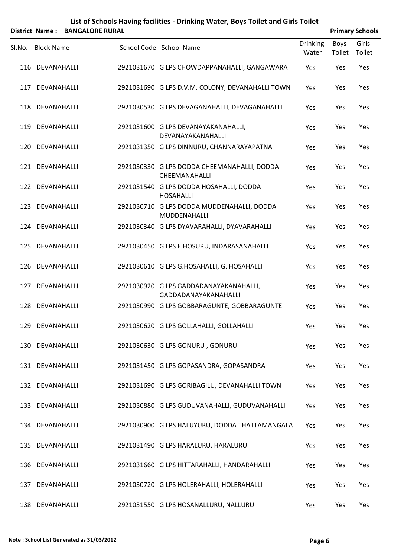|        |                   | District Name: BANGALORE RURAL |                                                                |                          |                | <b>Primary Schools</b> |
|--------|-------------------|--------------------------------|----------------------------------------------------------------|--------------------------|----------------|------------------------|
| SI.No. | <b>Block Name</b> |                                | School Code School Name                                        | <b>Drinking</b><br>Water | Boys<br>Toilet | Girls<br>Toilet        |
|        | 116 DEVANAHALLI   |                                | 2921031670 G LPS CHOWDAPPANAHALLI, GANGAWARA                   | Yes                      | Yes            | Yes                    |
| 117    | DEVANAHALLI       |                                | 2921031690 G LPS D.V.M. COLONY, DEVANAHALLI TOWN               | Yes                      | Yes            | Yes                    |
|        | 118 DEVANAHALLI   |                                | 2921030530 G LPS DEVAGANAHALLI, DEVAGANAHALLI                  | Yes                      | Yes            | Yes                    |
|        | 119 DEVANAHALLI   |                                | 2921031600 G LPS DEVANAYAKANAHALLI,<br>DEVANAYAKANAHALLI       | Yes                      | Yes            | Yes                    |
|        | 120 DEVANAHALLI   |                                | 2921031350 G LPS DINNURU, CHANNARAYAPATNA                      | Yes                      | Yes            | Yes                    |
|        | 121 DEVANAHALLI   |                                | 2921030330 G LPS DODDA CHEEMANAHALLI, DODDA<br>CHEEMANAHALLI   | Yes                      | Yes            | Yes                    |
|        | 122 DEVANAHALLI   |                                | 2921031540 G LPS DODDA HOSAHALLI, DODDA<br><b>HOSAHALLI</b>    | Yes                      | Yes            | Yes                    |
|        | 123 DEVANAHALLI   |                                | 2921030710 G LPS DODDA MUDDENAHALLI, DODDA<br>MUDDENAHALLI     | Yes                      | Yes            | Yes                    |
|        | 124 DEVANAHALLI   |                                | 2921030340 G LPS DYAVARAHALLI, DYAVARAHALLI                    | Yes                      | Yes            | Yes                    |
|        | 125 DEVANAHALLI   |                                | 2921030450 G LPS E.HOSURU, INDARASANAHALLI                     | Yes                      | Yes            | Yes                    |
|        | 126 DEVANAHALLI   |                                | 2921030610 G LPS G.HOSAHALLI, G. HOSAHALLI                     | Yes                      | Yes            | Yes                    |
| 127    | DEVANAHALLI       |                                | 2921030920 G LPS GADDADANAYAKANAHALLI,<br>GADDADANAYAKANAHALLI | Yes                      | Yes            | Yes                    |
|        | 128 DEVANAHALLI   |                                | 2921030990 G LPS GOBBARAGUNTE, GOBBARAGUNTE                    | Yes                      | Yes            | Yes                    |
|        | 129 DEVANAHALLI   |                                | 2921030620 G LPS GOLLAHALLI, GOLLAHALLI                        | Yes                      | Yes            | Yes                    |
|        | 130 DEVANAHALLI   |                                | 2921030630 G LPS GONURU, GONURU                                | Yes                      | Yes            | Yes                    |
|        | 131 DEVANAHALLI   |                                | 2921031450 G LPS GOPASANDRA, GOPASANDRA                        | Yes                      | Yes            | Yes                    |
|        | 132 DEVANAHALLI   |                                | 2921031690 G LPS GORIBAGILU, DEVANAHALLI TOWN                  | Yes                      | Yes            | Yes                    |
|        | 133 DEVANAHALLI   |                                | 2921030880 G LPS GUDUVANAHALLI, GUDUVANAHALLI                  | Yes                      | Yes            | Yes                    |
|        | 134 DEVANAHALLI   |                                | 2921030900 G LPS HALUYURU, DODDA THATTAMANGALA                 | Yes                      | Yes            | Yes                    |
|        | 135 DEVANAHALLI   |                                | 2921031490 G LPS HARALURU, HARALURU                            | Yes                      | Yes            | Yes                    |
|        | 136 DEVANAHALLI   |                                | 2921031660 G LPS HITTARAHALLI, HANDARAHALLI                    | Yes                      | Yes            | Yes                    |
|        | 137 DEVANAHALLI   |                                | 2921030720 G LPS HOLERAHALLI, HOLERAHALLI                      | Yes                      | Yes            | Yes                    |
|        | 138 DEVANAHALLI   |                                | 2921031550 G LPS HOSANALLURU, NALLURU                          | Yes                      | Yes            | Yes                    |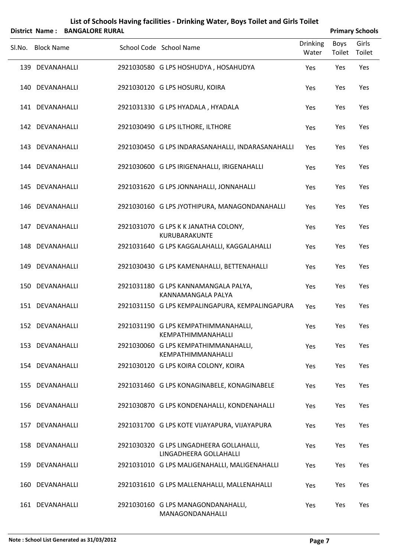|        | List of Schools Having facilities - Drinking Water, Boys Toilet and Girls Toilet |  |                        |                                                                    |                          |                |                        |  |  |  |  |
|--------|----------------------------------------------------------------------------------|--|------------------------|--------------------------------------------------------------------|--------------------------|----------------|------------------------|--|--|--|--|
|        | <b>District Name:</b>                                                            |  | <b>BANGALORE RURAL</b> |                                                                    |                          |                | <b>Primary Schools</b> |  |  |  |  |
| Sl.No. | <b>Block Name</b>                                                                |  |                        | School Code School Name                                            | <b>Drinking</b><br>Water | Boys<br>Toilet | Girls<br>Toilet        |  |  |  |  |
|        | 139 DEVANAHALLI                                                                  |  |                        | 2921030580 G LPS HOSHUDYA, HOSAHUDYA                               | Yes                      | Yes            | Yes                    |  |  |  |  |
|        | 140 DEVANAHALLI                                                                  |  |                        | 2921030120 G LPS HOSURU, KOIRA                                     | Yes                      | Yes            | Yes                    |  |  |  |  |
|        | 141 DEVANAHALLI                                                                  |  |                        | 2921031330 G LPS HYADALA, HYADALA                                  | Yes                      | Yes            | Yes                    |  |  |  |  |
|        | 142 DEVANAHALLI                                                                  |  |                        | 2921030490 G LPS ILTHORE, ILTHORE                                  | Yes                      | Yes            | Yes                    |  |  |  |  |
|        | 143 DEVANAHALLI                                                                  |  |                        | 2921030450 G LPS INDARASANAHALLI, INDARASANAHALLI                  | Yes                      | Yes            | Yes                    |  |  |  |  |
|        | 144 DEVANAHALLI                                                                  |  |                        | 2921030600 G LPS IRIGENAHALLI, IRIGENAHALLI                        | Yes                      | Yes            | Yes                    |  |  |  |  |
|        | 145 DEVANAHALLI                                                                  |  |                        | 2921031620 G LPS JONNAHALLI, JONNAHALLI                            | Yes                      | Yes            | Yes                    |  |  |  |  |
|        | 146 DEVANAHALLI                                                                  |  |                        | 2921030160 G LPS JYOTHIPURA, MANAGONDANAHALLI                      | Yes                      | Yes            | Yes                    |  |  |  |  |
|        | 147 DEVANAHALLI                                                                  |  |                        | 2921031070 G LPS K K JANATHA COLONY,<br>KURUBARAKUNTE              | Yes                      | Yes            | Yes                    |  |  |  |  |
|        | 148 DEVANAHALLI                                                                  |  |                        | 2921031640 G LPS KAGGALAHALLI, KAGGALAHALLI                        | Yes                      | Yes            | Yes                    |  |  |  |  |
|        | 149 DEVANAHALLI                                                                  |  |                        | 2921030430 G LPS KAMENAHALLI, BETTENAHALLI                         | Yes                      | Yes            | Yes                    |  |  |  |  |
| 150    | DEVANAHALLI                                                                      |  |                        | 2921031180 G LPS KANNAMANGALA PALYA,<br>KANNAMANGALA PALYA         | Yes                      | Yes            | Yes                    |  |  |  |  |
|        | 151 DEVANAHALLI                                                                  |  |                        | 2921031150 G LPS KEMPALINGAPURA, KEMPALINGAPURA                    | Yes                      | Yes            | Yes                    |  |  |  |  |
|        | 152 DEVANAHALLI                                                                  |  |                        | 2921031190 G LPS KEMPATHIMMANAHALLI,<br>KEMPATHIMMANAHALLI         | Yes                      | Yes            | Yes                    |  |  |  |  |
|        | 153 DEVANAHALLI                                                                  |  |                        | 2921030060 G LPS KEMPATHIMMANAHALLI,<br>KEMPATHIMMANAHALLI         | <b>Yes</b>               | Yes            | Yes                    |  |  |  |  |
|        | 154 DEVANAHALLI                                                                  |  |                        | 2921030120 G LPS KOIRA COLONY, KOIRA                               | Yes                      | Yes            | Yes                    |  |  |  |  |
|        | 155 DEVANAHALLI                                                                  |  |                        | 2921031460 G LPS KONAGINABELE, KONAGINABELE                        | <b>Yes</b>               | Yes            | Yes                    |  |  |  |  |
|        | 156 DEVANAHALLI                                                                  |  |                        | 2921030870 G LPS KONDENAHALLI, KONDENAHALLI                        | Yes                      | Yes            | Yes                    |  |  |  |  |
|        | 157 DEVANAHALLI                                                                  |  |                        | 2921031700 G LPS KOTE VIJAYAPURA, VIJAYAPURA                       | <b>Yes</b>               | Yes            | Yes                    |  |  |  |  |
|        | 158 DEVANAHALLI                                                                  |  |                        | 2921030320 G LPS LINGADHEERA GOLLAHALLI,<br>LINGADHEERA GOLLAHALLI | Yes                      | Yes            | Yes                    |  |  |  |  |
|        | 159 DEVANAHALLI                                                                  |  |                        | 2921031010 G LPS MALIGENAHALLI, MALIGENAHALLI                      | <b>Yes</b>               | Yes            | Yes                    |  |  |  |  |
| 160    | DEVANAHALLI                                                                      |  |                        | 2921031610 G LPS MALLENAHALLI, MALLENAHALLI                        | Yes                      | Yes            | Yes                    |  |  |  |  |
|        | 161 DEVANAHALLI                                                                  |  |                        | 2921030160 G LPS MANAGONDANAHALLI,<br>MANAGONDANAHALLI             | Yes                      | Yes            | Yes                    |  |  |  |  |

l,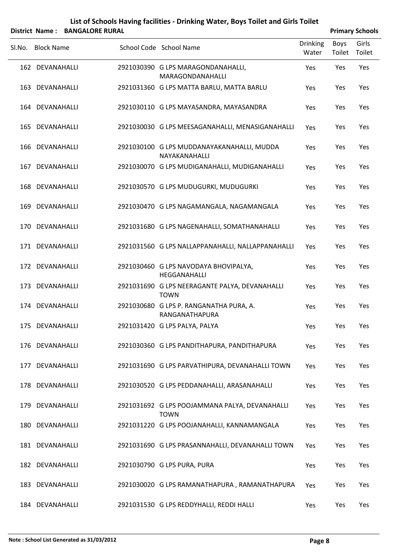|        |                   | District Name: BANGALORE RURAL |                                                               |                          |                | <b>Primary Schools</b> |
|--------|-------------------|--------------------------------|---------------------------------------------------------------|--------------------------|----------------|------------------------|
| Sl.No. | <b>Block Name</b> |                                | School Code School Name                                       | <b>Drinking</b><br>Water | Boys<br>Toilet | Girls<br>Toilet        |
|        | 162 DEVANAHALLI   |                                | 2921030390 G LPS MARAGONDANAHALLI,<br>MARAGONDANAHALLI        | Yes                      | Yes            | Yes                    |
|        | 163 DEVANAHALLI   |                                | 2921031360 G LPS MATTA BARLU, MATTA BARLU                     | Yes                      | Yes            | Yes                    |
|        | 164 DEVANAHALLI   |                                | 2921030110 G LPS MAYASANDRA, MAYASANDRA                       | Yes                      | Yes            | Yes                    |
|        | 165 DEVANAHALLI   |                                | 2921030030 G LPS MEESAGANAHALLI, MENASIGANAHALLI              | Yes                      | Yes            | Yes                    |
|        | 166 DEVANAHALLI   |                                | 2921030100 G LPS MUDDANAYAKANAHALLI, MUDDA<br>NAYAKANAHALLI   | Yes                      | Yes            | Yes                    |
|        | 167 DEVANAHALLI   |                                | 2921030070 G LPS MUDIGANAHALLI, MUDIGANAHALLI                 | Yes                      | Yes            | Yes                    |
|        | 168 DEVANAHALLI   |                                | 2921030570 G LPS MUDUGURKI, MUDUGURKI                         | Yes                      | Yes            | Yes                    |
|        | 169 DEVANAHALLI   |                                | 2921030470 G LPS NAGAMANGALA, NAGAMANGALA                     | Yes                      | Yes            | Yes                    |
|        | 170 DEVANAHALLI   |                                | 2921031680 G LPS NAGENAHALLI, SOMATHANAHALLI                  | Yes                      | Yes            | Yes                    |
|        | 171 DEVANAHALLI   |                                | 2921031560 G LPS NALLAPPANAHALLI, NALLAPPANAHALLI             | Yes                      | Yes            | Yes                    |
|        | 172 DEVANAHALLI   |                                | 2921030460 G LPS NAVODAYA BHOVIPALYA,<br>HEGGANAHALLI         | Yes                      | Yes            | Yes                    |
|        | 173 DEVANAHALLI   |                                | 2921031690 G LPS NEERAGANTE PALYA, DEVANAHALLI<br><b>TOWN</b> | Yes                      | Yes            | Yes                    |
|        | 174 DEVANAHALLI   |                                | 2921030680 G LPS P. RANGANATHA PURA, A.<br>RANGANATHAPURA     | Yes                      | Yes            | Yes                    |
|        | 175 DEVANAHALLI   |                                | 2921031420 G LPS PALYA, PALYA                                 | Yes                      | Yes            | Yes                    |
|        | 176 DEVANAHALLI   |                                | 2921030360 G LPS PANDITHAPURA, PANDITHAPURA                   | Yes                      | Yes            | Yes                    |
|        | 177 DEVANAHALLI   |                                | 2921031690 G LPS PARVATHIPURA, DEVANAHALLI TOWN               | Yes                      | Yes            | Yes                    |
|        | 178 DEVANAHALLI   |                                | 2921030520 G LPS PEDDANAHALLI, ARASANAHALLI                   | Yes                      | Yes            | Yes                    |
|        | 179 DEVANAHALLI   |                                | 2921031692 G LPS POOJAMMANA PALYA, DEVANAHALLI<br><b>TOWN</b> | Yes                      | Yes            | Yes                    |
|        | 180 DEVANAHALLI   |                                | 2921031220 G LPS POOJANAHALLI, KANNAMANGALA                   | Yes                      | Yes            | Yes                    |
|        | 181 DEVANAHALLI   |                                | 2921031690 G LPS PRASANNAHALLI, DEVANAHALLI TOWN              | Yes                      | Yes            | Yes                    |
|        | 182 DEVANAHALLI   |                                | 2921030790 G LPS PURA, PURA                                   | Yes                      | Yes            | Yes                    |
|        | 183 DEVANAHALLI   |                                | 2921030020 G LPS RAMANATHAPURA, RAMANATHAPURA                 | Yes                      | Yes            | Yes                    |
|        | 184 DEVANAHALLI   |                                | 2921031530 G LPS REDDYHALLI, REDDI HALLI                      | Yes                      | Yes            | Yes                    |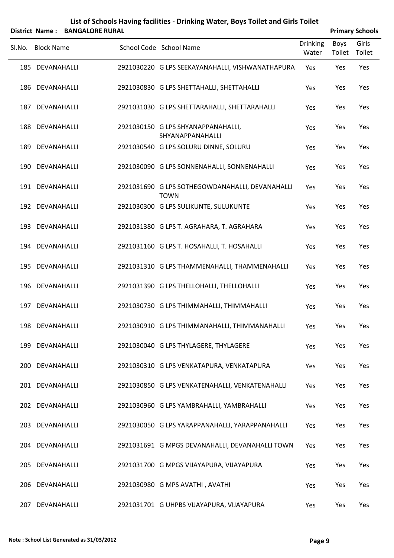|        |                                    | District Name: BANGALORE RURAL |                                                                                              |                          | <b>Primary Schools</b> |                 |
|--------|------------------------------------|--------------------------------|----------------------------------------------------------------------------------------------|--------------------------|------------------------|-----------------|
| Sl.No. | <b>Block Name</b>                  |                                | School Code School Name                                                                      | <b>Drinking</b><br>Water | Boys<br>Toilet         | Girls<br>Toilet |
|        | 185 DEVANAHALLI                    |                                | 2921030220 G LPS SEEKAYANAHALLI, VISHWANATHAPURA                                             | Yes                      | Yes                    | Yes             |
|        | 186 DEVANAHALLI                    |                                | 2921030830 G LPS SHETTAHALLI, SHETTAHALLI                                                    | Yes                      | Yes                    | Yes             |
|        | 187 DEVANAHALLI                    |                                | 2921031030 G LPS SHETTARAHALLI, SHETTARAHALLI                                                | Yes                      | Yes                    | Yes             |
|        | 188 DEVANAHALLI                    |                                | 2921030150 G LPS SHYANAPPANAHALLI,<br>SHYANAPPANAHALLI                                       | Yes                      | Yes                    | Yes             |
|        | 189 DEVANAHALLI                    |                                | 2921030540 G LPS SOLURU DINNE, SOLURU                                                        | Yes                      | Yes                    | Yes             |
|        | 190 DEVANAHALLI                    |                                | 2921030090 G LPS SONNENAHALLI, SONNENAHALLI                                                  | Yes                      | Yes                    | Yes             |
|        | 191 DEVANAHALLI                    |                                | 2921031690 G LPS SOTHEGOWDANAHALLI, DEVANAHALLI<br><b>TOWN</b>                               | Yes                      | Yes                    | Yes             |
|        | 192 DEVANAHALLI                    |                                | 2921030300 G LPS SULIKUNTE, SULUKUNTE                                                        | Yes                      | Yes                    | Yes             |
|        | 193 DEVANAHALLI                    |                                | 2921031380 G LPS T. AGRAHARA, T. AGRAHARA                                                    | Yes                      | Yes                    | Yes             |
|        | 194 DEVANAHALLI                    |                                | 2921031160 G LPS T. HOSAHALLI, T. HOSAHALLI                                                  | Yes                      | Yes                    | Yes             |
|        | 195 DEVANAHALLI                    |                                | 2921031310 G LPS THAMMENAHALLI, THAMMENAHALLI                                                | Yes                      | Yes                    | Yes             |
|        | 196 DEVANAHALLI                    |                                | 2921031390 G LPS THELLOHALLI, THELLOHALLI                                                    | Yes                      | Yes                    | Yes             |
|        | 197 DEVANAHALLI                    |                                | 2921030730 G LPS THIMMAHALLI, THIMMAHALLI                                                    | Yes                      | Yes                    | Yes             |
|        | 198 DEVANAHALLI                    |                                | 2921030910 G LPS THIMMANAHALLI, THIMMANAHALLI                                                | Yes                      | Yes                    | Yes             |
|        | 199 DEVANAHALLI                    |                                | 2921030040 G LPS THYLAGERE, THYLAGERE                                                        | Yes                      | Yes                    | Yes             |
|        | 200 DEVANAHALLI                    |                                | 2921030310 G LPS VENKATAPURA, VENKATAPURA                                                    | Yes                      | Yes                    | Yes             |
|        | 201 DEVANAHALLI<br>202 DEVANAHALLI |                                | 2921030850 G LPS VENKATENAHALLI, VENKATENAHALLI                                              | Yes                      | Yes                    | Yes             |
|        | 203 DEVANAHALLI                    |                                | 2921030960 G LPS YAMBRAHALLI, YAMBRAHALLI<br>2921030050 G LPS YARAPPANAHALLI, YARAPPANAHALLI | Yes<br>Yes               | Yes<br>Yes             | Yes<br>Yes      |
|        | 204 DEVANAHALLI                    |                                | 2921031691 G MPGS DEVANAHALLI, DEVANAHALLI TOWN                                              | Yes                      | Yes                    | Yes             |
|        | 205 DEVANAHALLI                    |                                | 2921031700 G MPGS VIJAYAPURA, VIJAYAPURA                                                     | Yes                      | Yes                    | Yes             |
|        | 206 DEVANAHALLI                    |                                | 2921030980 G MPS AVATHI, AVATHI                                                              | Yes                      | Yes                    | Yes             |
|        |                                    |                                |                                                                                              |                          |                        |                 |

207 DEVANAHALLI 2921031701 G UHPBS VIJAYAPURA, VIJAYAPURA Yes Yes Yes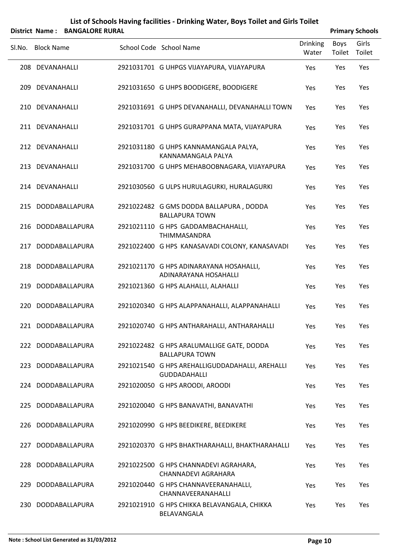|        |                   | District Name: BANGALORE RURAL |                                                                        |                          |                | <b>Primary Schools</b> |
|--------|-------------------|--------------------------------|------------------------------------------------------------------------|--------------------------|----------------|------------------------|
| Sl.No. | <b>Block Name</b> |                                | School Code School Name                                                | <b>Drinking</b><br>Water | Boys<br>Toilet | Girls<br>Toilet        |
|        | 208 DEVANAHALLI   |                                | 2921031701 G UHPGS VIJAYAPURA, VIJAYAPURA                              | Yes                      | Yes            | Yes                    |
|        | 209 DEVANAHALLI   |                                | 2921031650 G UHPS BOODIGERE, BOODIGERE                                 | Yes                      | Yes            | Yes                    |
|        | 210 DEVANAHALLI   |                                | 2921031691 G UHPS DEVANAHALLI, DEVANAHALLI TOWN                        | Yes                      | Yes            | Yes                    |
|        | 211 DEVANAHALLI   |                                | 2921031701 G UHPS GURAPPANA MATA, VIJAYAPURA                           | Yes                      | Yes            | Yes                    |
|        | 212 DEVANAHALLI   |                                | 2921031180 G UHPS KANNAMANGALA PALYA,<br>KANNAMANGALA PALYA            | Yes                      | Yes            | Yes                    |
|        | 213 DEVANAHALLI   |                                | 2921031700 G UHPS MEHABOOBNAGARA, VIJAYAPURA                           | Yes                      | Yes            | Yes                    |
|        | 214 DEVANAHALLI   |                                | 2921030560 G ULPS HURULAGURKI, HURALAGURKI                             | Yes                      | Yes            | Yes                    |
|        |                   | 215 DODDABALLAPURA             | 2921022482 G GMS DODDA BALLAPURA, DODDA<br><b>BALLAPURA TOWN</b>       | Yes                      | Yes            | Yes                    |
|        |                   | 216 DODDABALLAPURA             | 2921021110 G HPS GADDAMBACHAHALLI,<br>THIMMASANDRA                     | Yes                      | Yes            | Yes                    |
| 217    |                   | DODDABALLAPURA                 | 2921022400 G HPS KANASAVADI COLONY, KANASAVADI                         | Yes                      | Yes            | Yes                    |
|        |                   | 218 DODDABALLAPURA             | 2921021170 G HPS ADINARAYANA HOSAHALLI,<br>ADINARAYANA HOSAHALLI       | Yes                      | Yes            | Yes                    |
|        |                   | 219 DODDABALLAPURA             | 2921021360 G HPS ALAHALLI, ALAHALLI                                    | Yes                      | Yes            | Yes                    |
| 220    |                   | DODDABALLAPURA                 | 2921020340 G HPS ALAPPANAHALLI, ALAPPANAHALLI                          | Yes                      | Yes            | Yes                    |
|        |                   | 221 DODDABALLAPURA             | 2921020740 G HPS ANTHARAHALLI, ANTHARAHALLI                            | Yes                      | Yes            | Yes                    |
|        |                   | 222 DODDABALLAPURA             | 2921022482 G HPS ARALUMALLIGE GATE, DODDA<br><b>BALLAPURA TOWN</b>     | Yes                      | Yes            | Yes                    |
|        |                   | 223 DODDABALLAPURA             | 2921021540 G HPS AREHALLIGUDDADAHALLI, AREHALLI<br><b>GUDDADAHALLI</b> | Yes                      | Yes            | Yes                    |
|        |                   | 224 DODDABALLAPURA             | 2921020050 G HPS AROODI, AROODI                                        | Yes                      | Yes            | Yes                    |
|        |                   | 225 DODDABALLAPURA             | 2921020040 G HPS BANAVATHI, BANAVATHI                                  | <b>Yes</b>               | Yes            | Yes                    |
| 226    |                   | DODDABALLAPURA                 | 2921020990 G HPS BEEDIKERE, BEEDIKERE                                  | Yes                      | Yes            | Yes                    |
| 227    |                   | DODDABALLAPURA                 | 2921020370 G HPS BHAKTHARAHALLI, BHAKTHARAHALLI                        | <b>Yes</b>               | Yes            | Yes                    |
| 228    |                   | DODDABALLAPURA                 | 2921022500 G HPS CHANNADEVI AGRAHARA,<br>CHANNADEVI AGRAHARA           | Yes                      | Yes            | Yes                    |
| 229    |                   | DODDABALLAPURA                 | 2921020440 G HPS CHANNAVEERANAHALLI,<br>CHANNAVEERANAHALLI             | <b>Yes</b>               | Yes            | Yes                    |
| 230    |                   | DODDABALLAPURA                 | 2921021910 G HPS CHIKKA BELAVANGALA, CHIKKA<br>BELAVANGALA             | Yes                      | Yes            | Yes                    |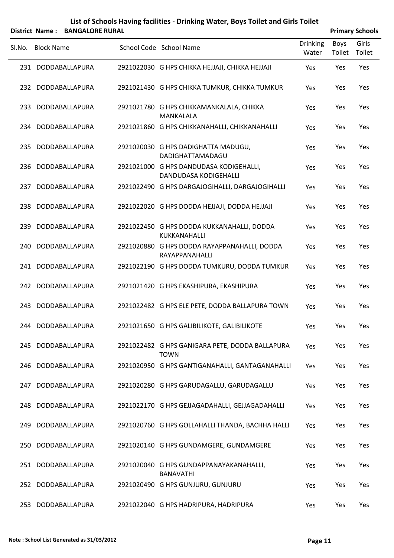|        | <b>District Name:</b> | <b>BANGALORE RURAL</b> |                                                                         |                          |                       | <b>Primary Schools</b> |
|--------|-----------------------|------------------------|-------------------------------------------------------------------------|--------------------------|-----------------------|------------------------|
| SI.No. | <b>Block Name</b>     |                        | School Code School Name                                                 | <b>Drinking</b><br>Water | <b>Boys</b><br>Toilet | Girls<br>Toilet        |
|        |                       | 231 DODDABALLAPURA     | 2921022030 G HPS CHIKKA HEJJAJI, CHIKKA HEJJAJI                         | Yes                      | Yes                   | Yes                    |
|        |                       | 232 DODDABALLAPURA     | 2921021430 G HPS CHIKKA TUMKUR, CHIKKA TUMKUR                           | Yes                      | Yes                   | Yes                    |
| 233    |                       | DODDABALLAPURA         | 2921021780 G HPS CHIKKAMANKALALA, CHIKKA<br>MANKALALA                   | Yes                      | Yes                   | Yes                    |
|        |                       | 234 DODDABALLAPURA     | 2921021860 G HPS CHIKKANAHALLI, CHIKKANAHALLI                           | Yes                      | Yes                   | Yes                    |
| 235    |                       | DODDABALLAPURA         | 2921020030 G HPS DADIGHATTA MADUGU,<br>DADIGHATTAMADAGU                 | Yes                      | Yes                   | Yes                    |
|        |                       | 236 DODDABALLAPURA     | 2921021000 G HPS DANDUDASA KODIGEHALLI,<br><b>DANDUDASA KODIGEHALLI</b> | Yes                      | Yes                   | Yes                    |
| 237    |                       | DODDABALLAPURA         | 2921022490 G HPS DARGAJOGIHALLI, DARGAJOGIHALLI                         | Yes                      | Yes                   | Yes                    |
| 238    |                       | DODDABALLAPURA         | 2921022020 G HPS DODDA HEJJAJI, DODDA HEJJAJI                           | Yes                      | Yes                   | Yes                    |
| 239.   |                       | DODDABALLAPURA         | 2921022450 G HPS DODDA KUKKANAHALLI, DODDA<br>KUKKANAHALLI              | Yes                      | Yes                   | Yes                    |
| 240.   |                       | DODDABALLAPURA         | 2921020880 G HPS DODDA RAYAPPANAHALLI, DODDA<br>RAYAPPANAHALLI          | Yes                      | Yes                   | Yes                    |
| 241    |                       | DODDABALLAPURA         | 2921022190 G HPS DODDA TUMKURU, DODDA TUMKUR                            | Yes                      | Yes                   | Yes                    |
|        |                       | 242 DODDABALLAPURA     | 2921021420 G HPS EKASHIPURA, EKASHIPURA                                 | Yes                      | Yes                   | Yes                    |
| 243.   |                       | DODDABALLAPURA         | 2921022482 G HPS ELE PETE, DODDA BALLAPURA TOWN                         | Yes                      | Yes                   | Yes                    |
|        |                       | 244 DODDABALLAPURA     | 2921021650 G HPS GALIBILIKOTE, GALIBILIKOTE                             | Yes                      | Yes                   | Yes                    |
|        |                       | 245 DODDABALLAPURA     | 2921022482 G HPS GANIGARA PETE, DODDA BALLAPURA<br><b>TOWN</b>          | Yes                      | Yes                   | Yes                    |
|        |                       | 246 DODDABALLAPURA     | 2921020950 G HPS GANTIGANAHALLI, GANTAGANAHALLI                         | Yes                      | Yes                   | Yes                    |
|        |                       | 247 DODDABALLAPURA     | 2921020280 G HPS GARUDAGALLU, GARUDAGALLU                               | Yes                      | Yes                   | Yes                    |
|        |                       | 248 DODDABALLAPURA     | 2921022170 G HPS GEJJAGADAHALLI, GEJJAGADAHALLI                         | Yes                      | Yes                   | Yes                    |
|        |                       | 249 DODDABALLAPURA     | 2921020760 G HPS GOLLAHALLI THANDA, BACHHA HALLI                        | Yes                      | Yes                   | Yes                    |
| 250    |                       | DODDABALLAPURA         | 2921020140 G HPS GUNDAMGERE, GUNDAMGERE                                 | Yes                      | Yes                   | Yes                    |
|        |                       | 251 DODDABALLAPURA     | 2921020040 G HPS GUNDAPPANAYAKANAHALLI,<br><b>BANAVATHI</b>             | Yes                      | Yes                   | Yes                    |
|        |                       | 252 DODDABALLAPURA     | 2921020490 G HPS GUNJURU, GUNJURU                                       | Yes                      | Yes                   | Yes                    |
|        |                       | 253 DODDABALLAPURA     | 2921022040 G HPS HADRIPURA, HADRIPURA                                   | Yes                      | Yes                   | Yes                    |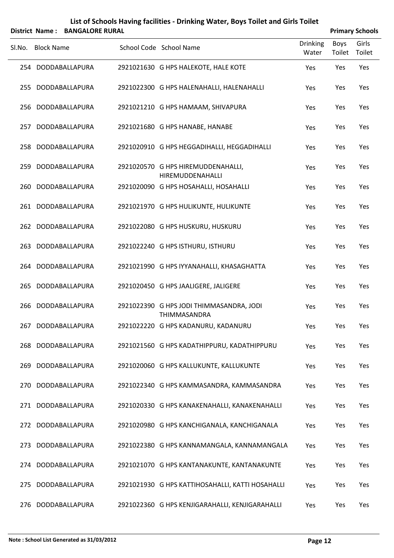|        |                   | District Name: BANGALORE RURAL |                                                                 |                          |                | <b>Primary Schools</b> |
|--------|-------------------|--------------------------------|-----------------------------------------------------------------|--------------------------|----------------|------------------------|
| SI.No. | <b>Block Name</b> |                                | School Code School Name                                         | <b>Drinking</b><br>Water | Boys<br>Toilet | Girls<br>Toilet        |
|        |                   | 254 DODDABALLAPURA             | 2921021630 G HPS HALEKOTE, HALE KOTE                            | Yes                      | Yes            | Yes                    |
| 255    |                   | DODDABALLAPURA                 | 2921022300 G HPS HALENAHALLI, HALENAHALLI                       | Yes                      | Yes            | Yes                    |
|        |                   | 256 DODDABALLAPURA             | 2921021210 G HPS HAMAAM, SHIVAPURA                              | Yes                      | Yes            | Yes                    |
| 257    |                   | DODDABALLAPURA                 | 2921021680 G HPS HANABE, HANABE                                 | Yes                      | Yes            | Yes                    |
|        |                   | 258 DODDABALLAPURA             | 2921020910 G HPS HEGGADIHALLI, HEGGADIHALLI                     | Yes                      | Yes            | Yes                    |
| 259    |                   | DODDABALLAPURA                 | 2921020570 G HPS HIREMUDDENAHALLI,<br>HIREMUDDENAHALLI          | Yes                      | Yes            | Yes                    |
| 260    |                   | DODDABALLAPURA                 | 2921020090 G HPS HOSAHALLI, HOSAHALLI                           | Yes                      | Yes            | Yes                    |
| 261    |                   | DODDABALLAPURA                 | 2921021970 G HPS HULIKUNTE, HULIKUNTE                           | Yes                      | Yes            | Yes                    |
| 262    |                   | DODDABALLAPURA                 | 2921022080 G HPS HUSKURU, HUSKURU                               | Yes                      | Yes            | Yes                    |
| 263    |                   | DODDABALLAPURA                 | 2921022240 G HPS ISTHURU, ISTHURU                               | Yes                      | Yes            | Yes                    |
| 264    |                   | DODDABALLAPURA                 | 2921021990 G HPS IYYANAHALLI, KHASAGHATTA                       | Yes                      | Yes            | Yes                    |
| 265    |                   | DODDABALLAPURA                 | 2921020450 G HPS JAALIGERE, JALIGERE                            | Yes                      | Yes            | Yes                    |
| 266    |                   | DODDABALLAPURA                 | 2921022390 G HPS JODI THIMMASANDRA, JODI<br><b>THIMMASANDRA</b> | Yes                      | Yes            | Yes                    |
|        |                   | 267 DODDABALLAPURA             | 2921022220 G HPS KADANURU, KADANURU                             | Yes                      | Yes            | Yes                    |
| 268    |                   | DODDABALLAPURA                 | 2921021560 G HPS KADATHIPPURU, KADATHIPPURU                     | Yes                      | Yes            | Yes                    |
| 269    |                   | DODDABALLAPURA                 | 2921020060 G HPS KALLUKUNTE, KALLUKUNTE                         | Yes                      | Yes            | Yes                    |
| 270    |                   | DODDABALLAPURA                 | 2921022340 G HPS KAMMASANDRA, KAMMASANDRA                       | Yes                      | Yes            | Yes                    |
| 271    |                   | DODDABALLAPURA                 | 2921020330 G HPS KANAKENAHALLI, KANAKENAHALLI                   | Yes                      | Yes            | Yes                    |
| 272    |                   | DODDABALLAPURA                 | 2921020980 G HPS KANCHIGANALA, KANCHIGANALA                     | Yes                      | Yes            | Yes                    |
| 273    |                   | DODDABALLAPURA                 | 2921022380 G HPS KANNAMANGALA, KANNAMANGALA                     | Yes                      | Yes            | Yes                    |
| 274    |                   | DODDABALLAPURA                 | 2921021070 G HPS KANTANAKUNTE, KANTANAKUNTE                     | Yes                      | Yes            | Yes                    |
| 275    |                   | DODDABALLAPURA                 | 2921021930 G HPS KATTIHOSAHALLI, KATTI HOSAHALLI                | Yes                      | Yes            | Yes                    |
|        |                   | 276 DODDABALLAPURA             | 2921022360 G HPS KENJIGARAHALLI, KENJIGARAHALLI                 | Yes                      | Yes            | Yes                    |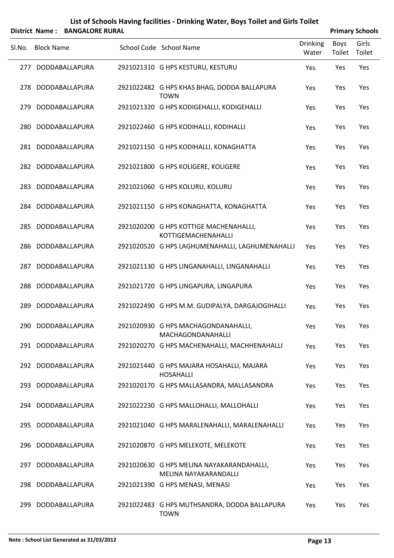|        |                   | District Name: BANGALORE RURAL |                                                                    |                          |                | <b>Primary Schools</b> |
|--------|-------------------|--------------------------------|--------------------------------------------------------------------|--------------------------|----------------|------------------------|
| SI.No. | <b>Block Name</b> |                                | School Code School Name                                            | <b>Drinking</b><br>Water | Boys<br>Toilet | Girls<br>Toilet        |
| 277    |                   | DODDABALLAPURA                 | 2921021310 G HPS KESTURU, KESTURU                                  | Yes                      | Yes            | Yes                    |
| 278    |                   | DODDABALLAPURA                 | 2921022482 G HPS KHAS BHAG, DODDA BALLAPURA<br><b>TOWN</b>         | Yes                      | Yes            | Yes                    |
| 279    |                   | DODDABALLAPURA                 | 2921021320 G HPS KODIGEHALLI, KODIGEHALLI                          | Yes                      | Yes            | Yes                    |
| 280    |                   | DODDABALLAPURA                 | 2921022460 G HPS KODIHALLI, KODIHALLI                              | Yes                      | Yes            | Yes                    |
|        |                   | 281 DODDABALLAPURA             | 2921021150 G HPS KODIHALLI, KONAGHATTA                             | Yes                      | Yes            | Yes                    |
|        |                   | 282 DODDABALLAPURA             | 2921021800 G HPS KOLIGERE, KOLIGERE                                | Yes                      | Yes            | Yes                    |
|        |                   | 283 DODDABALLAPURA             | 2921021060 G HPS KOLURU, KOLURU                                    | Yes                      | Yes            | Yes                    |
|        |                   | 284 DODDABALLAPURA             | 2921021150 G HPS KONAGHATTA, KONAGHATTA                            | Yes                      | Yes            | Yes                    |
| 285    |                   | DODDABALLAPURA                 | 2921020200 G HPS KOTTIGE MACHENAHALLI,<br>KOTTIGEMACHENAHALLI      | Yes                      | Yes            | Yes                    |
| 286    |                   | DODDABALLAPURA                 | 2921020520 G HPS LAGHUMENAHALLI, LAGHUMENAHALLI                    | Yes                      | Yes            | Yes                    |
| 287    |                   | DODDABALLAPURA                 | 2921021130 G HPS LINGANAHALLI, LINGANAHALLI                        | Yes                      | Yes            | Yes                    |
| 288    |                   | DODDABALLAPURA                 | 2921021720 G HPS LINGAPURA, LINGAPURA                              | Yes                      | Yes            | Yes                    |
| 289    |                   | DODDABALLAPURA                 | 2921022490 G HPS M.M. GUDIPALYA, DARGAJOGIHALLI                    | Yes                      | Yes            | Yes                    |
|        |                   | 290 DODDABALLAPURA             | 2921020930 G HPS MACHAGONDANAHALLI,<br><b>MACHAGONDANAHALLI</b>    | Yes                      | Yes            | Yes                    |
|        |                   | 291 DODDABALLAPURA             | 2921020270 G HPS MACHENAHALLI, MACHHENAHALLI                       | Yes                      | Yes            | Yes                    |
|        |                   | 292 DODDABALLAPURA             | 2921021440 G HPS MAJARA HOSAHALLI, MAJARA<br><b>HOSAHALLI</b>      | Yes                      | Yes            | Yes                    |
|        |                   | 293 DODDABALLAPURA             | 2921020170 G HPS MALLASANDRA, MALLASANDRA                          | Yes                      | Yes            | Yes                    |
|        |                   | 294 DODDABALLAPURA             | 2921022230 G HPS MALLOHALLI, MALLOHALLI                            | Yes                      | Yes            | Yes                    |
| 295    |                   | DODDABALLAPURA                 | 2921021040 G HPS MARALENAHALLI, MARALENAHALLI                      | Yes                      | Yes            | Yes                    |
| 296    |                   | DODDABALLAPURA                 | 2921020870 G HPS MELEKOTE, MELEKOTE                                | Yes                      | Yes            | Yes                    |
| 297    |                   | DODDABALLAPURA                 | 2921020630 G HPS MELINA NAYAKARANDAHALLI,<br>MELINA NAYAKARANDALLI | Yes                      | Yes            | Yes                    |
| 298    |                   | DODDABALLAPURA                 | 2921021390 G HPS MENASI, MENASI                                    | Yes                      | Yes            | Yes                    |
| 299    |                   | DODDABALLAPURA                 | 2921022483 G HPS MUTHSANDRA, DODDA BALLAPURA<br><b>TOWN</b>        | Yes                      | Yes            | Yes                    |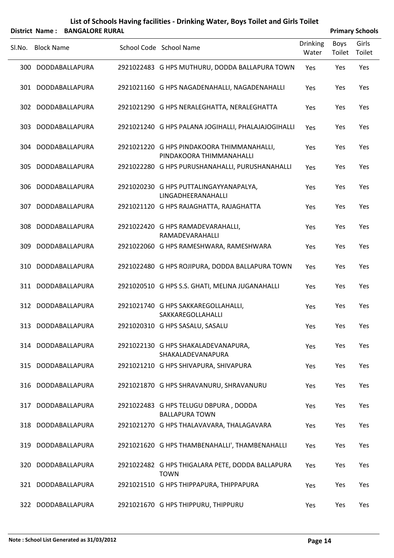|        | District Name: BANGALORE RURAL |                                                                        |                          |                       | <b>Primary Schools</b> |
|--------|--------------------------------|------------------------------------------------------------------------|--------------------------|-----------------------|------------------------|
| Sl.No. | <b>Block Name</b>              | School Code School Name                                                | <b>Drinking</b><br>Water | <b>Boys</b><br>Toilet | Girls<br>Toilet        |
|        | 300 DODDABALLAPURA             | 2921022483 G HPS MUTHURU, DODDA BALLAPURA TOWN                         | Yes                      | Yes                   | Yes                    |
|        | 301 DODDABALLAPURA             | 2921021160 G HPS NAGADENAHALLI, NAGADENAHALLI                          | Yes                      | Yes                   | Yes                    |
|        | 302 DODDABALLAPURA             | 2921021290 G HPS NERALEGHATTA, NERALEGHATTA                            | Yes                      | Yes                   | Yes                    |
| 303    | DODDABALLAPURA                 | 2921021240 G HPS PALANA JOGIHALLI, PHALAJAJOGIHALLI                    | Yes                      | Yes                   | Yes                    |
|        | 304 DODDABALLAPURA             | 2921021220 G HPS PINDAKOORA THIMMANAHALLI,<br>PINDAKOORA THIMMANAHALLI | Yes                      | Yes                   | Yes                    |
| 305.   | DODDABALLAPURA                 | 2921022280 G HPS PURUSHANAHALLI, PURUSHANAHALLI                        | Yes                      | Yes                   | Yes                    |
| 306.   | DODDABALLAPURA                 | 2921020230 G HPS PUTTALINGAYYANAPALYA,<br>LINGADHEERANAHALLI           | Yes                      | Yes                   | Yes                    |
| 307.   | DODDABALLAPURA                 | 2921021120 G HPS RAJAGHATTA, RAJAGHATTA                                | Yes                      | Yes                   | Yes                    |
| 308    | DODDABALLAPURA                 | 2921022420 G HPS RAMADEVARAHALLI,<br>RAMADEVARAHALLI                   | Yes                      | Yes                   | Yes                    |
| 309.   | DODDABALLAPURA                 | 2921022060 G HPS RAMESHWARA, RAMESHWARA                                | Yes                      | Yes                   | Yes                    |
| 310    | DODDABALLAPURA                 | 2921022480 G HPS ROJIPURA, DODDA BALLAPURA TOWN                        | Yes                      | Yes                   | Yes                    |
|        | 311 DODDABALLAPURA             | 2921020510 G HPS S.S. GHATI, MELINA JUGANAHALLI                        | Yes                      | Yes                   | Yes                    |
|        | 312 DODDABALLAPURA             | 2921021740 G HPS SAKKAREGOLLAHALLI,<br>SAKKAREGOLLAHALLI               | Yes                      | Yes                   | Yes                    |
|        | 313 DODDABALLAPURA             | 2921020310 G HPS SASALU, SASALU                                        | Yes                      | Yes                   | Yes                    |
|        | 314 DODDABALLAPURA             | 2921022130 G HPS SHAKALADEVANAPURA,<br>SHAKALADEVANAPURA               | Yes                      | Yes                   | Yes                    |
|        | 315 DODDABALLAPURA             | 2921021210 G HPS SHIVAPURA, SHIVAPURA                                  | Yes                      | Yes                   | Yes                    |
|        | 316 DODDABALLAPURA             | 2921021870 G HPS SHRAVANURU, SHRAVANURU                                | Yes                      | Yes                   | Yes                    |
|        | 317 DODDABALLAPURA             | 2921022483 G HPS TELUGU DBPURA, DODDA<br><b>BALLAPURA TOWN</b>         | Yes                      | Yes                   | Yes                    |
|        | 318 DODDABALLAPURA             | 2921021270 G HPS THALAVAVARA, THALAGAVARA                              | Yes                      | Yes                   | Yes                    |
|        | 319 DODDABALLAPURA             | 2921021620 G HPS THAMBENAHALLI', THAMBENAHALLI                         | Yes                      | Yes                   | Yes                    |
|        | 320 DODDABALLAPURA             | 2921022482 G HPS THIGALARA PETE, DODDA BALLAPURA<br><b>TOWN</b>        | Yes                      | Yes                   | Yes                    |
|        | 321 DODDABALLAPURA             | 2921021510 G HPS THIPPAPURA, THIPPAPURA                                | Yes                      | Yes                   | Yes                    |
|        | 322 DODDABALLAPURA             | 2921021670 G HPS THIPPURU, THIPPURU                                    | Yes                      | Yes                   | Yes                    |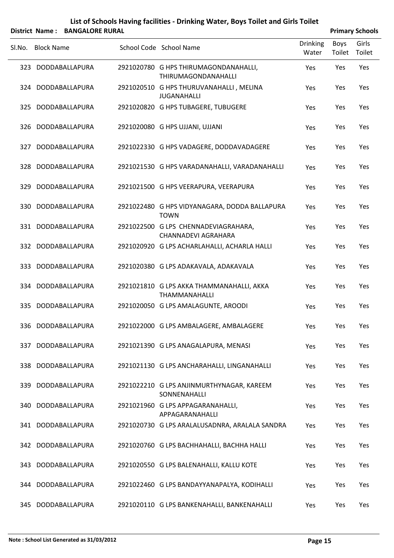|        |                   | District Name: BANGALORE RURAL |                                                                   |                          |                | <b>Primary Schools</b> |
|--------|-------------------|--------------------------------|-------------------------------------------------------------------|--------------------------|----------------|------------------------|
| SI.No. | <b>Block Name</b> |                                | School Code School Name                                           | <b>Drinking</b><br>Water | Boys<br>Toilet | Girls<br>Toilet        |
|        |                   | 323 DODDABALLAPURA             | 2921020780 G HPS THIRUMAGONDANAHALLI,<br>THIRUMAGONDANAHALLI      | Yes                      | Yes            | Yes                    |
|        |                   | 324 DODDABALLAPURA             | 2921020510 G HPS THURUVANAHALLI, MELINA<br><b>JUGANAHALLI</b>     | Yes                      | Yes            | Yes                    |
|        |                   | 325 DODDABALLAPURA             | 2921020820 G HPS TUBAGERE, TUBUGERE                               | Yes                      | Yes            | Yes                    |
| 326    |                   | DODDABALLAPURA                 | 2921020080 G HPS UJJANI, UJJANI                                   | Yes                      | Yes            | Yes                    |
|        |                   | 327 DODDABALLAPURA             | 2921022330 G HPS VADAGERE, DODDAVADAGERE                          | Yes                      | Yes            | Yes                    |
| 328    |                   | DODDABALLAPURA                 | 2921021530 G HPS VARADANAHALLI, VARADANAHALLI                     | Yes                      | Yes            | Yes                    |
| 329    |                   | DODDABALLAPURA                 | 2921021500 G HPS VEERAPURA, VEERAPURA                             | Yes                      | Yes            | Yes                    |
|        |                   | 330 DODDABALLAPURA             | 2921022480 G HPS VIDYANAGARA, DODDA BALLAPURA<br><b>TOWN</b>      | Yes                      | Yes            | Yes                    |
|        |                   | 331 DODDABALLAPURA             | 2921022500 G LPS CHENNADEVIAGRAHARA,<br>CHANNADEVI AGRAHARA       | Yes                      | Yes            | Yes                    |
|        |                   | 332 DODDABALLAPURA             | 2921020920 G LPS ACHARLAHALLI, ACHARLA HALLI                      | Yes                      | Yes            | Yes                    |
|        |                   | 333 DODDABALLAPURA             | 2921020380 G LPS ADAKAVALA, ADAKAVALA                             | Yes                      | Yes            | Yes                    |
|        |                   | 334 DODDABALLAPURA             | 2921021810 G LPS AKKA THAMMANAHALLI, AKKA<br><b>THAMMANAHALLI</b> | Yes                      | Yes            | Yes                    |
| 335    |                   | DODDABALLAPURA                 | 2921020050 G LPS AMALAGUNTE, AROODI                               | Yes                      | Yes            | Yes                    |
|        |                   | 336 DODDABALLAPURA             | 2921022000 G LPS AMBALAGERE, AMBALAGERE                           | Yes                      | Yes            | Yes                    |
|        |                   | 337 DODDABALLAPURA             | 2921021390 G LPS ANAGALAPURA, MENASI                              | Yes                      | Yes            | Yes                    |
|        |                   | 338 DODDABALLAPURA             | 2921021130 G LPS ANCHARAHALLI, LINGANAHALLI                       | Yes                      | Yes            | Yes                    |
|        |                   | 339 DODDABALLAPURA             | 2921022210 G LPS ANJINMURTHYNAGAR, KAREEM<br>SONNENAHALLI         | Yes                      | Yes            | Yes                    |
|        |                   | 340 DODDABALLAPURA             | 2921021960 G LPS APPAGARANAHALLI,<br>APPAGARANAHALLI              | Yes                      | Yes            | Yes                    |
|        |                   | 341 DODDABALLAPURA             | 2921020730 G LPS ARALALUSADNRA, ARALALA SANDRA                    | Yes                      | Yes            | Yes                    |
|        |                   | 342 DODDABALLAPURA             | 2921020760 G LPS BACHHAHALLI, BACHHA HALLI                        | Yes                      | Yes            | Yes                    |
|        |                   | 343 DODDABALLAPURA             | 2921020550 G LPS BALENAHALLI, KALLU KOTE                          | Yes                      | Yes            | Yes                    |
|        |                   | 344 DODDABALLAPURA             | 2921022460 G LPS BANDAYYANAPALYA, KODIHALLI                       | Yes                      | Yes            | Yes                    |
|        |                   | 345 DODDABALLAPURA             | 2921020110 G LPS BANKENAHALLI, BANKENAHALLI                       | Yes                      | Yes            | Yes                    |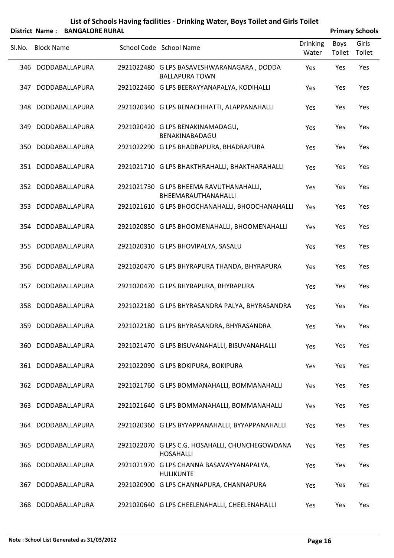|        |                   | District Name: BANGALORE RURAL |                                                                     |                          |                | <b>Primary Schools</b> |
|--------|-------------------|--------------------------------|---------------------------------------------------------------------|--------------------------|----------------|------------------------|
| SI.No. | <b>Block Name</b> |                                | School Code School Name                                             | <b>Drinking</b><br>Water | Boys<br>Toilet | Girls<br>Toilet        |
|        |                   | 346 DODDABALLAPURA             | 2921022480 G LPS BASAVESHWARANAGARA, DODDA<br><b>BALLAPURA TOWN</b> | Yes                      | Yes            | Yes                    |
| 347    |                   | DODDABALLAPURA                 | 2921022460 G LPS BEERAYYANAPALYA, KODIHALLI                         | Yes                      | Yes            | Yes                    |
|        |                   | 348 DODDABALLAPURA             | 2921020340 G LPS BENACHIHATTI, ALAPPANAHALLI                        | Yes                      | Yes            | Yes                    |
| 349.   |                   | DODDABALLAPURA                 | 2921020420 G LPS BENAKINAMADAGU,<br>BENAKINABADAGU                  | Yes                      | Yes            | Yes                    |
|        |                   | 350 DODDABALLAPURA             | 2921022290 G LPS BHADRAPURA, BHADRAPURA                             | Yes                      | Yes            | Yes                    |
|        |                   | 351 DODDABALLAPURA             | 2921021710 G LPS BHAKTHRAHALLI, BHAKTHARAHALLI                      | Yes                      | Yes            | Yes                    |
|        |                   | 352 DODDABALLAPURA             | 2921021730 G LPS BHEEMA RAVUTHANAHALLI,<br>BHEEMARAUTHANAHALLI      | Yes                      | Yes            | Yes                    |
|        |                   | 353 DODDABALLAPURA             | 2921021610 G LPS BHOOCHANAHALLI, BHOOCHANAHALLI                     | Yes                      | Yes            | Yes                    |
|        |                   | 354 DODDABALLAPURA             | 2921020850 G LPS BHOOMENAHALLI, BHOOMENAHALLI                       | Yes                      | Yes            | Yes                    |
|        |                   | 355 DODDABALLAPURA             | 2921020310 G LPS BHOVIPALYA, SASALU                                 | Yes                      | Yes            | Yes                    |
|        |                   | 356 DODDABALLAPURA             | 2921020470 G LPS BHYRAPURA THANDA, BHYRAPURA                        | Yes                      | Yes            | Yes                    |
| 357    |                   | DODDABALLAPURA                 | 2921020470 G LPS BHYRAPURA, BHYRAPURA                               | Yes                      | Yes            | Yes                    |
|        |                   | 358 DODDABALLAPURA             | 2921022180 G LPS BHYRASANDRA PALYA, BHYRASANDRA                     | Yes                      | Yes            | Yes                    |
|        |                   | 359 DODDABALLAPURA             | 2921022180 G LPS BHYRASANDRA, BHYRASANDRA                           | Yes                      | Yes            | Yes                    |
|        |                   | 360 DODDABALLAPURA             | 2921021470 G LPS BISUVANAHALLI, BISUVANAHALLI                       | Yes                      | Yes            | Yes                    |
|        |                   | 361 DODDABALLAPURA             | 2921022090 G LPS BOKIPURA, BOKIPURA                                 | Yes                      | Yes            | Yes                    |
|        |                   | 362 DODDABALLAPURA             | 2921021760 G LPS BOMMANAHALLI, BOMMANAHALLI                         | Yes                      | Yes            | Yes                    |
|        |                   | 363 DODDABALLAPURA             | 2921021640 G LPS BOMMANAHALLI, BOMMANAHALLI                         | Yes                      | Yes            | Yes                    |
|        |                   | 364 DODDABALLAPURA             | 2921020360 G LPS BYYAPPANAHALLI, BYYAPPANAHALLI                     | Yes                      | Yes            | Yes                    |
|        |                   | 365 DODDABALLAPURA             | 2921022070 G LPS C.G. HOSAHALLI, CHUNCHEGOWDANA<br><b>HOSAHALLI</b> | Yes                      | Yes            | Yes                    |
|        |                   | 366 DODDABALLAPURA             | 2921021970 G LPS CHANNA BASAVAYYANAPALYA,<br><b>HULIKUNTE</b>       | Yes                      | Yes            | Yes                    |
| 367    |                   | DODDABALLAPURA                 | 2921020900 G LPS CHANNAPURA, CHANNAPURA                             | Yes                      | Yes            | Yes                    |
|        |                   | 368 DODDABALLAPURA             | 2921020640 G LPS CHEELENAHALLI, CHEELENAHALLI                       | Yes                      | Yes            | Yes                    |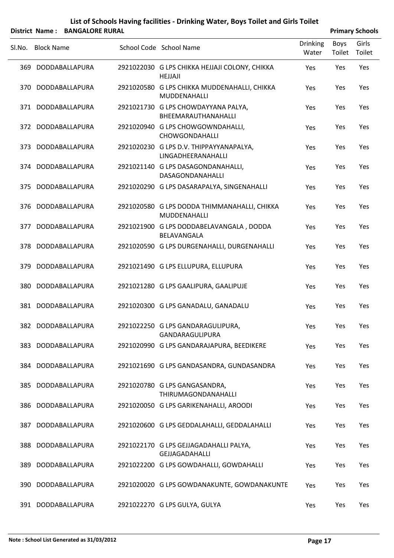|        |                   | District Name: BANGALORE RURAL |                                                                 |                          |                | <b>Primary Schools</b> |
|--------|-------------------|--------------------------------|-----------------------------------------------------------------|--------------------------|----------------|------------------------|
| SI.No. | <b>Block Name</b> |                                | School Code School Name                                         | <b>Drinking</b><br>Water | Boys<br>Toilet | Girls<br>Toilet        |
|        |                   | 369 DODDABALLAPURA             | 2921022030 G LPS CHIKKA HEJJAJI COLONY, CHIKKA<br>HEJJAJI       | Yes                      | Yes            | Yes                    |
| 370    |                   | DODDABALLAPURA                 | 2921020580 G LPS CHIKKA MUDDENAHALLI, CHIKKA<br>MUDDENAHALLI    | Yes                      | Yes            | Yes                    |
|        |                   | 371 DODDABALLAPURA             | 2921021730 G LPS CHOWDAYYANA PALYA,<br>BHEEMARAUTHANAHALLI      | Yes                      | Yes            | Yes                    |
| 372    |                   | DODDABALLAPURA                 | 2921020940 G LPS CHOWGOWNDAHALLI,<br>CHOWGONDAHALLI             | Yes                      | Yes            | Yes                    |
| 373    |                   | DODDABALLAPURA                 | 2921020230 G LPS D.V. THIPPAYYANAPALYA,<br>LINGADHEERANAHALLI   | Yes                      | Yes            | Yes                    |
|        |                   | 374 DODDABALLAPURA             | 2921021140 G LPS DASAGONDANAHALLI,<br>DASAGONDANAHALLI          | Yes                      | Yes            | Yes                    |
|        |                   | 375 DODDABALLAPURA             | 2921020290 G LPS DASARAPALYA, SINGENAHALLI                      | Yes                      | Yes            | Yes                    |
| 376    |                   | DODDABALLAPURA                 | 2921020580 G LPS DODDA THIMMANAHALLI, CHIKKA<br>MUDDENAHALLI    | Yes                      | Yes            | Yes                    |
| 377    |                   | DODDABALLAPURA                 | 2921021900 G LPS DODDABELAVANGALA, DODDA<br>BELAVANGALA         | Yes                      | Yes            | Yes                    |
| 378    |                   | DODDABALLAPURA                 | 2921020590 G LPS DURGENAHALLI, DURGENAHALLI                     | Yes                      | Yes            | Yes                    |
| 379    |                   | DODDABALLAPURA                 | 2921021490 G LPS ELLUPURA, ELLUPURA                             | Yes                      | Yes            | Yes                    |
| 380    |                   | DODDABALLAPURA                 | 2921021280 G LPS GAALIPURA, GAALIPUJE                           | Yes                      | Yes            | Yes                    |
|        |                   | 381 DODDABALLAPURA             | 2921020300 G LPS GANADALU, GANADALU                             | Yes                      | Yes            | Yes                    |
|        |                   | 382 DODDABALLAPURA             | 2921022250 G LPS GANDARAGULIPURA,<br>GANDARAGULIPURA            | Yes                      | Yes            | Yes                    |
| 383    |                   | DODDABALLAPURA                 | 2921020990 G LPS GANDARAJAPURA, BEEDIKERE                       | Yes                      | Yes            | Yes                    |
|        |                   | 384 DODDABALLAPURA             | 2921021690 G LPS GANDASANDRA, GUNDASANDRA                       | Yes                      | Yes            | Yes                    |
|        |                   | 385 DODDABALLAPURA             | 2921020780 G LPS GANGASANDRA,<br>THIRUMAGONDANAHALLI            | Yes                      | Yes            | Yes                    |
|        |                   | 386 DODDABALLAPURA             | 2921020050 G LPS GARIKENAHALLI, AROODI                          | Yes                      | Yes            | Yes                    |
| 387    |                   | DODDABALLAPURA                 | 2921020600 G LPS GEDDALAHALLI, GEDDALAHALLI                     | Yes                      | Yes            | Yes                    |
| 388    |                   | DODDABALLAPURA                 | 2921022170 G LPS GEJJAGADAHALLI PALYA,<br><b>GEJJAGADAHALLI</b> | Yes                      | Yes            | Yes                    |
| 389    |                   | DODDABALLAPURA                 | 2921022200 G LPS GOWDAHALLI, GOWDAHALLI                         | Yes                      | Yes            | Yes                    |
| 390    |                   | DODDABALLAPURA                 | 2921020020 G LPS GOWDANAKUNTE, GOWDANAKUNTE                     | Yes                      | Yes            | Yes                    |
|        |                   | 391 DODDABALLAPURA             | 2921022270 G LPS GULYA, GULYA                                   | Yes                      | Yes            | Yes                    |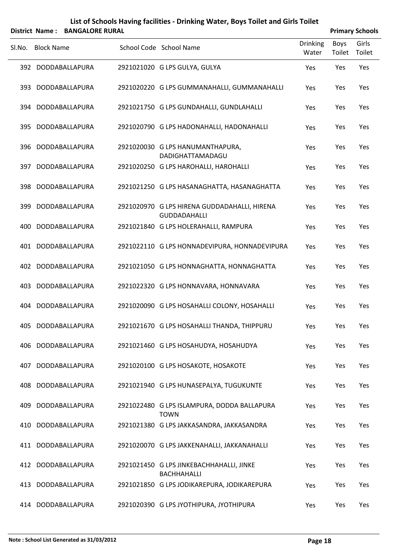#### **List of Schools Having facilities ‐ Drinking Water, Boys Toilet and Girls Toilet District Name: BANGALORE RURAL Primary** Schools

| Sl.No. | <b>Block Name</b>  |  | School Code School Name                                             | <b>Drinking</b><br>Water | Boys<br>Toilet | Girls<br>Toilet |
|--------|--------------------|--|---------------------------------------------------------------------|--------------------------|----------------|-----------------|
|        | 392 DODDABALLAPURA |  | 2921021020 G LPS GULYA, GULYA                                       | Yes                      | Yes            | Yes             |
|        | 393 DODDABALLAPURA |  | 2921020220 G LPS GUMMANAHALLI, GUMMANAHALLI                         | Yes                      | Yes            | Yes             |
|        | 394 DODDABALLAPURA |  | 2921021750 G LPS GUNDAHALLI, GUNDLAHALLI                            | Yes                      | Yes            | Yes             |
|        | 395 DODDABALLAPURA |  | 2921020790 G LPS HADONAHALLI, HADONAHALLI                           | Yes                      | Yes            | Yes             |
|        | 396 DODDABALLAPURA |  | 2921020030 G LPS HANUMANTHAPURA,<br>DADIGHATTAMADAGU                | Yes                      | Yes            | Yes             |
|        | 397 DODDABALLAPURA |  | 2921020250 G LPS HAROHALLI, HAROHALLI                               | Yes                      | Yes            | Yes             |
|        | 398 DODDABALLAPURA |  | 2921021250 G LPS HASANAGHATTA, HASANAGHATTA                         | Yes                      | Yes            | Yes             |
|        | 399 DODDABALLAPURA |  | 2921020970 G LPS HIRENA GUDDADAHALLI, HIRENA<br><b>GUDDADAHALLI</b> | Yes                      | Yes            | Yes             |
| 400    | DODDABALLAPURA     |  | 2921021840 G LPS HOLERAHALLI, RAMPURA                               | Yes                      | Yes            | Yes             |
| 401    | DODDABALLAPURA     |  | 2921022110 G LPS HONNADEVIPURA, HONNADEVIPURA                       | Yes                      | Yes            | Yes             |
|        | 402 DODDABALLAPURA |  | 2921021050 G LPS HONNAGHATTA, HONNAGHATTA                           | Yes                      | Yes            | Yes             |
| 403    | DODDABALLAPURA     |  | 2921022320 G LPS HONNAVARA, HONNAVARA                               | Yes                      | Yes            | Yes             |
| 404    | DODDABALLAPURA     |  | 2921020090 G LPS HOSAHALLI COLONY, HOSAHALLI                        | Yes                      | Yes            | Yes             |
|        | 405 DODDABALLAPURA |  | 2921021670 G LPS HOSAHALLI THANDA, THIPPURU                         | Yes                      | Yes            | Yes             |
| 406    | DODDABALLAPURA     |  | 2921021460 G LPS HOSAHUDYA, HOSAHUDYA                               | Yes                      | Yes            | Yes             |
| 407    | DODDABALLAPURA     |  | 2921020100 G LPS HOSAKOTE, HOSAKOTE                                 | Yes                      | Yes            | Yes             |
| 408    | DODDABALLAPURA     |  | 2921021940 G LPS HUNASEPALYA, TUGUKUNTE                             | Yes                      | Yes            | Yes             |
| 409    | DODDABALLAPURA     |  | 2921022480 G LPS ISLAMPURA, DODDA BALLAPURA<br><b>TOWN</b>          | Yes                      | Yes            | Yes             |
| 410    | DODDABALLAPURA     |  | 2921021380 G LPS JAKKASANDRA, JAKKASANDRA                           | Yes                      | Yes            | Yes             |
| 411    | DODDABALLAPURA     |  | 2921020070 G LPS JAKKENAHALLI, JAKKANAHALLI                         | Yes                      | Yes            | Yes             |
| 412    | DODDABALLAPURA     |  | 2921021450 G LPS JINKEBACHHAHALLI, JINKE<br>BACHHAHALLI             | <b>Yes</b>               | Yes            | Yes             |
| 413    | DODDABALLAPURA     |  | 2921021850 G LPS JODIKAREPURA, JODIKAREPURA                         | Yes                      | Yes            | Yes             |
|        | 414 DODDABALLAPURA |  | 2921020390 G LPS JYOTHIPURA, JYOTHIPURA                             | Yes                      | Yes            | Yes             |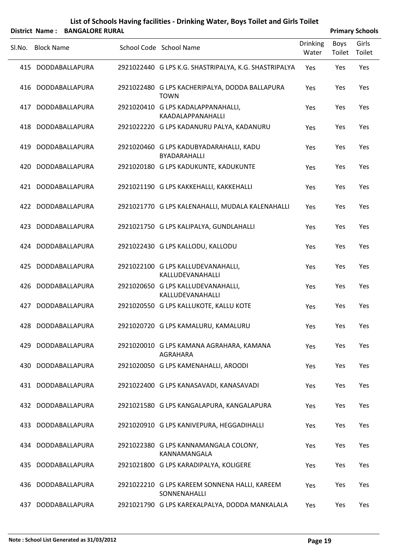|     | District Name: BANGALORE RURAL |                                                               |                          |                       | <b>Primary Schools</b> |
|-----|--------------------------------|---------------------------------------------------------------|--------------------------|-----------------------|------------------------|
|     | Sl.No. Block Name              | School Code School Name                                       | <b>Drinking</b><br>Water | <b>Boys</b><br>Toilet | Girls<br>Toilet        |
|     | 415 DODDABALLAPURA             | 2921022440 G LPS K.G. SHASTRIPALYA, K.G. SHASTRIPALYA         | Yes                      | Yes                   | Yes                    |
|     | 416 DODDABALLAPURA             | 2921022480 G LPS KACHERIPALYA, DODDA BALLAPURA<br><b>TOWN</b> | Yes                      | Yes                   | Yes                    |
| 417 | DODDABALLAPURA                 | 2921020410 G LPS KADALAPPANAHALLI,<br>KAADALAPPANAHALLI       | Yes                      | Yes                   | Yes                    |
|     | 418 DODDABALLAPURA             | 2921022220 G LPS KADANURU PALYA, KADANURU                     | Yes                      | Yes                   | Yes                    |
| 419 | DODDABALLAPURA                 | 2921020460 G LPS KADUBYADARAHALLI, KADU<br>BYADARAHALLI       | Yes                      | Yes                   | Yes                    |
| 420 | DODDABALLAPURA                 | 2921020180 G LPS KADUKUNTE, KADUKUNTE                         | Yes                      | Yes                   | Yes                    |
| 421 | DODDABALLAPURA                 | 2921021190 G LPS KAKKEHALLI, KAKKEHALLI                       | Yes                      | Yes                   | Yes                    |
|     | 422 DODDABALLAPURA             | 2921021770 G LPS KALENAHALLI, MUDALA KALENAHALLI              | Yes                      | Yes                   | Yes                    |
| 423 | DODDABALLAPURA                 | 2921021750 G LPS KALIPALYA, GUNDLAHALLI                       | Yes                      | Yes                   | Yes                    |
|     | 424 DODDABALLAPURA             | 2921022430 G LPS KALLODU, KALLODU                             | Yes                      | Yes                   | Yes                    |
| 425 | DODDABALLAPURA                 | 2921022100 G LPS KALLUDEVANAHALLI,<br>KALLUDEVANAHALLI        | Yes                      | Yes                   | Yes                    |
| 426 | DODDABALLAPURA                 | 2921020650 G LPS KALLUDEVANAHALLI,<br>KALLUDEVANAHALLI        | Yes                      | Yes                   | Yes                    |
| 427 | DODDABALLAPURA                 | 2921020550 G LPS KALLUKOTE, KALLU KOTE                        | Yes                      | Yes                   | Yes                    |
|     | 428 DODDABALLAPURA             | 2921020720 G LPS KAMALURU, KAMALURU                           | Yes                      | Yes                   | Yes                    |
| 429 | DODDABALLAPURA                 | 2921020010 G LPS KAMANA AGRAHARA, KAMANA<br>AGRAHARA          | Yes                      | Yes                   | Yes                    |
|     | 430 DODDABALLAPURA             | 2921020050 G LPS KAMENAHALLI, AROODI                          | Yes                      | Yes                   | Yes                    |
|     | 431 DODDABALLAPURA             | 2921022400 G LPS KANASAVADI, KANASAVADI                       | Yes                      | Yes                   | Yes                    |
|     | 432 DODDABALLAPURA             | 2921021580 G LPS KANGALAPURA, KANGALAPURA                     | Yes                      | Yes                   | Yes                    |
|     | 433 DODDABALLAPURA             | 2921020910 G LPS KANIVEPURA, HEGGADIHALLI                     | Yes                      | Yes                   | Yes                    |
|     | 434 DODDABALLAPURA             | 2921022380 G LPS KANNAMANGALA COLONY,<br>KANNAMANGALA         | Yes                      | Yes                   | Yes                    |
|     | 435 DODDABALLAPURA             | 2921021800 G LPS KARADIPALYA, KOLIGERE                        | Yes                      | Yes                   | Yes                    |
| 436 | DODDABALLAPURA                 | 2921022210 G LPS KAREEM SONNENA HALLI, KAREEM<br>SONNENAHALLI | Yes                      | Yes                   | Yes                    |
| 437 | DODDABALLAPURA                 | 2921021790 G LPS KAREKALPALYA, DODDA MANKALALA                | Yes                      | Yes                   | Yes                    |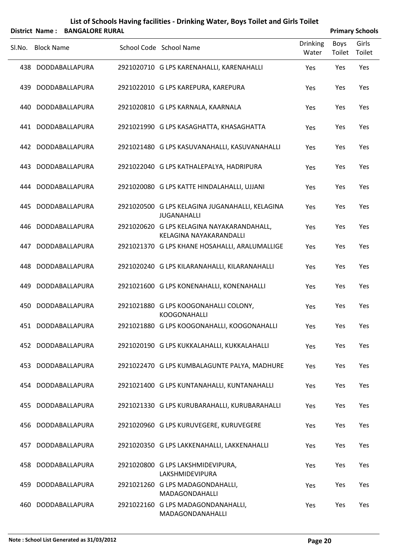|        |                   | District Name: BANGALORE RURAL |                                                                       |                   | <b>Primary Schools</b> |                 |
|--------|-------------------|--------------------------------|-----------------------------------------------------------------------|-------------------|------------------------|-----------------|
| SI.No. | <b>Block Name</b> |                                | School Code School Name                                               | Drinking<br>Water | Boys<br>Toilet         | Girls<br>Toilet |
| 438    |                   | DODDABALLAPURA                 | 2921020710 G LPS KARENAHALLI, KARENAHALLI                             | Yes               | Yes                    | Yes             |
| 439    |                   | DODDABALLAPURA                 | 2921022010 G LPS KAREPURA, KAREPURA                                   | Yes               | Yes                    | Yes             |
| 440    |                   | DODDABALLAPURA                 | 2921020810 G LPS KARNALA, KAARNALA                                    | Yes               | Yes                    | Yes             |
| 441    |                   | DODDABALLAPURA                 | 2921021990 G LPS KASAGHATTA, KHASAGHATTA                              | Yes               | Yes                    | Yes             |
| 442    |                   | DODDABALLAPURA                 | 2921021480 G LPS KASUVANAHALLI, KASUVANAHALLI                         | Yes               | Yes                    | Yes             |
| 443    |                   | DODDABALLAPURA                 | 2921022040 G LPS KATHALEPALYA, HADRIPURA                              | Yes               | Yes                    | Yes             |
| 444    |                   | DODDABALLAPURA                 | 2921020080 G LPS KATTE HINDALAHALLI, UJJANI                           | Yes               | Yes                    | Yes             |
| 445.   |                   | DODDABALLAPURA                 | 2921020500 G LPS KELAGINA JUGANAHALLI, KELAGINA<br><b>JUGANAHALLI</b> | Yes               | Yes                    | Yes             |
| 446    |                   | DODDABALLAPURA                 | 2921020620 G LPS KELAGINA NAYAKARANDAHALL,<br>KELAGINA NAYAKARANDALLI | Yes               | Yes                    | Yes             |
| 447    |                   | DODDABALLAPURA                 | 2921021370 G LPS KHANE HOSAHALLI, ARALUMALLIGE                        | Yes               | Yes                    | Yes             |
| 448.   |                   | DODDABALLAPURA                 | 2921020240 G LPS KILARANAHALLI, KILARANAHALLI                         | Yes               | Yes                    | Yes             |
| 449.   |                   | DODDABALLAPURA                 | 2921021600 G LPS KONENAHALLI, KONENAHALLI                             | Yes               | Yes                    | Yes             |
| 450    |                   | DODDABALLAPURA                 | 2921021880 G LPS KOOGONAHALLI COLONY,<br><b>KOOGONAHALLI</b>          | Yes               | Yes                    | Yes             |
|        |                   | 451 DODDABALLAPURA             | 2921021880 G LPS KOOGONAHALLI, KOOGONAHALLI                           | Yes               | Yes                    | Yes             |
| 452    |                   | DODDABALLAPURA                 | 2921020190 G LPS KUKKALAHALLI, KUKKALAHALLI                           | Yes               | Yes                    | Yes             |
| 453    |                   | DODDABALLAPURA                 | 2921022470 G LPS KUMBALAGUNTE PALYA, MADHURE                          | Yes               | Yes                    | Yes             |
| 454    |                   | DODDABALLAPURA                 | 2921021400 G LPS KUNTANAHALLI, KUNTANAHALLI                           | Yes               | Yes                    | Yes             |
| 455    |                   | DODDABALLAPURA                 | 2921021330 G LPS KURUBARAHALLI, KURUBARAHALLI                         | Yes               | Yes                    | Yes             |
| 456    |                   | DODDABALLAPURA                 | 2921020960 G LPS KURUVEGERE, KURUVEGERE                               | Yes               | Yes                    | Yes             |
| 457    |                   | DODDABALLAPURA                 | 2921020350 G LPS LAKKENAHALLI, LAKKENAHALLI                           | Yes               | Yes                    | Yes             |
| 458    |                   | DODDABALLAPURA                 | 2921020800 G LPS LAKSHMIDEVIPURA,<br>LAKSHMIDEVIPURA                  | Yes               | Yes                    | Yes             |
| 459    |                   | DODDABALLAPURA                 | 2921021260 G LPS MADAGONDAHALLI,<br>MADAGONDAHALLI                    | Yes               | Yes                    | Yes             |
| 460    |                   | DODDABALLAPURA                 | 2921022160 G LPS MADAGONDANAHALLI,<br>MADAGONDANAHALLI                | Yes               | Yes                    | Yes             |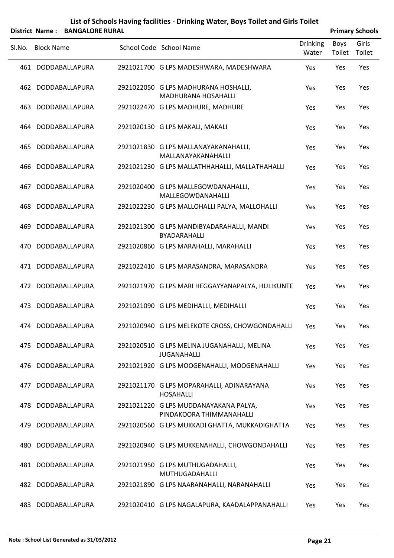|        |                   | District Name: BANGALORE RURAL |                                                                    |                          |                | <b>Primary Schools</b> |
|--------|-------------------|--------------------------------|--------------------------------------------------------------------|--------------------------|----------------|------------------------|
| Sl.No. | <b>Block Name</b> |                                | School Code School Name                                            | <b>Drinking</b><br>Water | Boys<br>Toilet | Girls<br>Toilet        |
|        |                   | 461 DODDABALLAPURA             | 2921021700 G LPS MADESHWARA, MADESHWARA                            | Yes                      | Yes            | Yes                    |
|        |                   | 462 DODDABALLAPURA             | 2921022050 G LPS MADHURANA HOSHALLI,<br><b>MADHURANA HOSAHALLI</b> | Yes                      | Yes            | Yes                    |
| 463    |                   | DODDABALLAPURA                 | 2921022470 G LPS MADHURE, MADHURE                                  | Yes                      | Yes            | Yes                    |
|        |                   | 464 DODDABALLAPURA             | 2921020130 G LPS MAKALI, MAKALI                                    | Yes                      | Yes            | Yes                    |
| 465    |                   | DODDABALLAPURA                 | 2921021830 G LPS MALLANAYAKANAHALLI,<br>MALLANAYAKANAHALLI         | Yes                      | Yes            | Yes                    |
| 466    |                   | DODDABALLAPURA                 | 2921021230 G LPS MALLATHHAHALLI, MALLATHAHALLI                     | Yes                      | Yes            | Yes                    |
| 467    |                   | DODDABALLAPURA                 | 2921020400 G LPS MALLEGOWDANAHALLI,<br>MALLEGOWDANAHALLI           | Yes                      | Yes            | Yes                    |
| 468    |                   | DODDABALLAPURA                 | 2921022230 G LPS MALLOHALLI PALYA, MALLOHALLI                      | Yes                      | Yes            | Yes                    |
| 469    |                   | DODDABALLAPURA                 | 2921021300 G LPS MANDIBYADARAHALLI, MANDI<br>BYADARAHALLI          | Yes                      | Yes            | Yes                    |
| 470    |                   | DODDABALLAPURA                 | 2921020860 G LPS MARAHALLI, MARAHALLI                              | Yes                      | Yes            | Yes                    |
| 471    |                   | DODDABALLAPURA                 | 2921022410 G LPS MARASANDRA, MARASANDRA                            | Yes                      | Yes            | Yes                    |
|        |                   | 472 DODDABALLAPURA             | 2921021970 G LPS MARI HEGGAYYANAPALYA, HULIKUNTE                   | Yes                      | Yes            | Yes                    |
| 473    |                   | DODDABALLAPURA                 | 2921021090 G LPS MEDIHALLI, MEDIHALLI                              | Yes                      | Yes            | Yes                    |
|        |                   | 474 DODDABALLAPURA             | 2921020940 G LPS MELEKOTE CROSS, CHOWGONDAHALLI Yes                |                          | Yes            | Yes                    |
| 475    |                   | DODDABALLAPURA                 | 2921020510 G LPS MELINA JUGANAHALLI, MELINA<br><b>JUGANAHALLI</b>  | Yes                      | Yes            | Yes                    |
| 476    |                   | DODDABALLAPURA                 | 2921021920 G LPS MOOGENAHALLI, MOOGENAHALLI                        | Yes                      | Yes            | Yes                    |
| 477    |                   | DODDABALLAPURA                 | 2921021170 G LPS MOPARAHALLI, ADINARAYANA<br><b>HOSAHALLI</b>      | Yes                      | Yes            | Yes                    |
| 478    |                   | DODDABALLAPURA                 | 2921021220 G LPS MUDDANAYAKANA PALYA,<br>PINDAKOORA THIMMANAHALLI  | Yes                      | Yes            | Yes                    |
| 479    |                   | DODDABALLAPURA                 | 2921020560 G LPS MUKKADI GHATTA, MUKKADIGHATTA                     | Yes                      | Yes            | Yes                    |
| 480    |                   | DODDABALLAPURA                 | 2921020940 G LPS MUKKENAHALLI, CHOWGONDAHALLI                      | Yes                      | Yes            | Yes                    |
|        |                   | 481 DODDABALLAPURA             | 2921021950 G LPS MUTHUGADAHALLI,<br>MUTHUGADAHALLI                 | Yes                      | Yes            | Yes                    |
| 482    |                   | DODDABALLAPURA                 | 2921021890 G LPS NAARANAHALLI, NARANAHALLI                         | Yes                      | Yes            | Yes                    |
| 483    |                   | DODDABALLAPURA                 | 2921020410 G LPS NAGALAPURA, KAADALAPPANAHALLI                     | Yes                      | Yes            | Yes                    |

 $\overline{a}$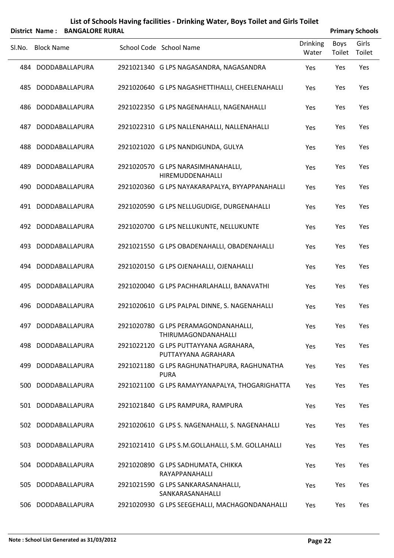|        |                   | District Name: BANGALORE RURAL |                                                              |                          |                | <b>Primary Schools</b> |
|--------|-------------------|--------------------------------|--------------------------------------------------------------|--------------------------|----------------|------------------------|
| Sl.No. | <b>Block Name</b> |                                | School Code School Name                                      | <b>Drinking</b><br>Water | Boys<br>Toilet | Girls<br>Toilet        |
|        |                   | 484 DODDABALLAPURA             | 2921021340 G LPS NAGASANDRA, NAGASANDRA                      | Yes                      | Yes            | Yes                    |
| 485    |                   | DODDABALLAPURA                 | 2921020640 G LPS NAGASHETTIHALLI, CHEELENAHALLI              | Yes                      | Yes            | Yes                    |
| 486    |                   | DODDABALLAPURA                 | 2921022350 G LPS NAGENAHALLI, NAGENAHALLI                    | Yes                      | Yes            | Yes                    |
| 487    |                   | DODDABALLAPURA                 | 2921022310 G LPS NALLENAHALLI, NALLENAHALLI                  | Yes                      | Yes            | Yes                    |
| 488    |                   | DODDABALLAPURA                 | 2921021020 G LPS NANDIGUNDA, GULYA                           | Yes                      | Yes            | Yes                    |
| 489    |                   | DODDABALLAPURA                 | 2921020570 G LPS NARASIMHANAHALLI,<br>HIREMUDDENAHALLI       | Yes                      | Yes            | Yes                    |
| 490    |                   | DODDABALLAPURA                 | 2921020360 G LPS NAYAKARAPALYA, BYYAPPANAHALLI               | Yes                      | Yes            | Yes                    |
|        |                   | 491 DODDABALLAPURA             | 2921020590 G LPS NELLUGUDIGE, DURGENAHALLI                   | Yes                      | Yes            | Yes                    |
|        |                   | 492 DODDABALLAPURA             | 2921020700 G LPS NELLUKUNTE, NELLUKUNTE                      | Yes                      | Yes            | Yes                    |
|        |                   | 493 DODDABALLAPURA             | 2921021550 G LPS OBADENAHALLI, OBADENAHALLI                  | Yes                      | Yes            | Yes                    |
|        |                   | 494 DODDABALLAPURA             | 2921020150 G LPS OJENAHALLI, OJENAHALLI                      | Yes                      | Yes            | Yes                    |
| 495    |                   | DODDABALLAPURA                 | 2921020040 G LPS PACHHARLAHALLI, BANAVATHI                   | Yes                      | Yes            | Yes                    |
| 496    |                   | DODDABALLAPURA                 | 2921020610 G LPS PALPAL DINNE, S. NAGENAHALLI                | Yes                      | Yes            | Yes                    |
|        |                   | 497 DODDABALLAPURA             | 2921020780 G LPS PERAMAGONDANAHALLI,<br>THIRUMAGONDANAHALLI  | Yes                      | Yes            | Yes                    |
|        |                   | 498 DODDABALLAPURA             | 2921022120 G LPS PUTTAYYANA AGRAHARA,<br>PUTTAYYANA AGRAHARA | Yes                      | Yes            | Yes                    |
|        |                   | 499 DODDABALLAPURA             | 2921021180 G LPS RAGHUNATHAPURA, RAGHUNATHA<br><b>PURA</b>   | Yes                      | Yes            | Yes                    |
| 500    |                   | DODDABALLAPURA                 | 2921021100 G LPS RAMAYYANAPALYA, THOGARIGHATTA               | Yes                      | Yes            | Yes                    |
|        |                   | 501 DODDABALLAPURA             | 2921021840 G LPS RAMPURA, RAMPURA                            | Yes                      | Yes            | Yes                    |
|        |                   | 502 DODDABALLAPURA             | 2921020610 G LPS S. NAGENAHALLI, S. NAGENAHALLI              | Yes                      | Yes            | Yes                    |
|        |                   | 503 DODDABALLAPURA             | 2921021410 G LPS S.M.GOLLAHALLI, S.M. GOLLAHALLI             | Yes                      | Yes            | Yes                    |
|        |                   | 504 DODDABALLAPURA             | 2921020890 G LPS SADHUMATA, CHIKKA<br>RAYAPPANAHALLI         | Yes                      | Yes            | Yes                    |
| 505 -  |                   | DODDABALLAPURA                 | 2921021590 G LPS SANKARASANAHALLI,<br>SANKARASANAHALLI       | Yes                      | Yes            | Yes                    |
| 506    |                   | DODDABALLAPURA                 | 2921020930 G LPS SEEGEHALLI, MACHAGONDANAHALLI               | Yes                      | Yes            | Yes                    |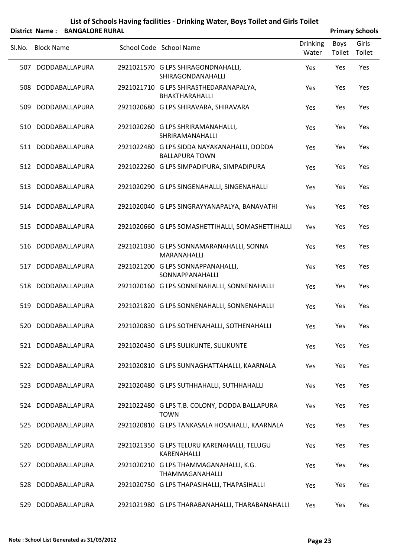|        |                   | District Name: BANGALORE RURAL |                                                                      |                          |                | <b>Primary Schools</b> |
|--------|-------------------|--------------------------------|----------------------------------------------------------------------|--------------------------|----------------|------------------------|
| SI.No. | <b>Block Name</b> |                                | School Code School Name                                              | <b>Drinking</b><br>Water | Boys<br>Toilet | Girls<br>Toilet        |
|        |                   | 507 DODDABALLAPURA             | 2921021570 G LPS SHIRAGONDNAHALLI,<br>SHIRAGONDANAHALLI              | Yes                      | Yes            | Yes                    |
| 508    |                   | DODDABALLAPURA                 | 2921021710 G LPS SHIRASTHEDARANAPALYA,<br>BHAKTHARAHALLI             | Yes                      | Yes            | Yes                    |
| 509    |                   | DODDABALLAPURA                 | 2921020680 G LPS SHIRAVARA, SHIRAVARA                                | Yes                      | Yes            | Yes                    |
| 510    |                   | DODDABALLAPURA                 | 2921020260 G LPS SHRIRAMANAHALLI,<br>SHRIRAMANAHALLI                 | Yes                      | Yes            | Yes                    |
|        |                   | 511 DODDABALLAPURA             | 2921022480 G LPS SIDDA NAYAKANAHALLI, DODDA<br><b>BALLAPURA TOWN</b> | Yes                      | Yes            | Yes                    |
|        |                   | 512 DODDABALLAPURA             | 2921022260 G LPS SIMPADIPURA, SIMPADIPURA                            | Yes                      | Yes            | Yes                    |
|        |                   | 513 DODDABALLAPURA             | 2921020290 G LPS SINGENAHALLI, SINGENAHALLI                          | Yes                      | Yes            | Yes                    |
|        |                   | 514 DODDABALLAPURA             | 2921020040 G LPS SINGRAYYANAPALYA, BANAVATHI                         | Yes                      | Yes            | Yes                    |
| 515    |                   | DODDABALLAPURA                 | 2921020660 G LPS SOMASHETTIHALLI, SOMASHETTIHALLI                    | Yes                      | Yes            | Yes                    |
| 516    |                   | DODDABALLAPURA                 | 2921021030 G LPS SONNAMARANAHALLI, SONNA<br>MARANAHALLI              | Yes                      | Yes            | Yes                    |
| 517    |                   | DODDABALLAPURA                 | 2921021200 G LPS SONNAPPANAHALLI,<br>SONNAPPANAHALLI                 | Yes                      | Yes            | Yes                    |
| 518    |                   | DODDABALLAPURA                 | 2921020160 G LPS SONNENAHALLI, SONNENAHALLI                          | Yes                      | Yes            | Yes                    |
| 519    |                   | DODDABALLAPURA                 | 2921021820 G LPS SONNENAHALLI, SONNENAHALLI                          | Yes                      | Yes            | Yes                    |
|        |                   | 520 DODDABALLAPURA             | 2921020830 G LPS SOTHENAHALLI, SOTHENAHALLI                          | Yes                      | Yes            | Yes                    |
|        |                   | 521 DODDABALLAPURA             | 2921020430 G LPS SULIKUNTE, SULIKUNTE                                | Yes                      | Yes            | Yes                    |
|        |                   | 522 DODDABALLAPURA             | 2921020810 G LPS SUNNAGHATTAHALLI, KAARNALA                          | Yes                      | Yes            | Yes                    |
| 523    |                   | DODDABALLAPURA                 | 2921020480 G LPS SUTHHAHALLI, SUTHHAHALLI                            | Yes                      | Yes            | Yes                    |
|        |                   | 524 DODDABALLAPURA             | 2921022480 G LPS T.B. COLONY, DODDA BALLAPURA<br><b>TOWN</b>         | Yes                      | Yes            | Yes                    |
| 525    |                   | DODDABALLAPURA                 | 2921020810 G LPS TANKASALA HOSAHALLI, KAARNALA                       | Yes                      | Yes            | Yes                    |
|        |                   | 526 DODDABALLAPURA             | 2921021350 G LPS TELURU KARENAHALLI, TELUGU<br>KARENAHALLI           | Yes                      | Yes            | Yes                    |
| 527    |                   | DODDABALLAPURA                 | 2921020210 G LPS THAMMAGANAHALLI, K.G.<br>THAMMAGANAHALLI            | Yes                      | Yes            | Yes                    |
| 528    |                   | DODDABALLAPURA                 | 2921020750 G LPS THAPASIHALLI, THAPASIHALLI                          | Yes                      | Yes            | Yes                    |
|        |                   | 529 DODDABALLAPURA             | 2921021980 G LPS THARABANAHALLI, THARABANAHALLI                      | Yes                      | Yes            | Yes                    |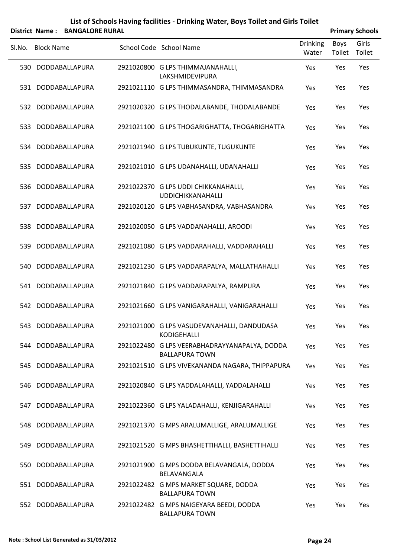|        |                   | District Name: BANGALORE RURAL |                                                                        |                          |                | <b>Primary Schools</b> |
|--------|-------------------|--------------------------------|------------------------------------------------------------------------|--------------------------|----------------|------------------------|
| Sl.No. | <b>Block Name</b> |                                | School Code School Name                                                | <b>Drinking</b><br>Water | Boys<br>Toilet | Girls<br>Toilet        |
|        |                   | 530 DODDABALLAPURA             | 2921020800 G LPS THIMMAJANAHALLI,<br>LAKSHMIDEVIPURA                   | Yes                      | Yes            | Yes                    |
|        |                   | 531 DODDABALLAPURA             | 2921021110 G LPS THIMMASANDRA, THIMMASANDRA                            | Yes                      | Yes            | Yes                    |
|        |                   | 532 DODDABALLAPURA             | 2921020320 G LPS THODALABANDE, THODALABANDE                            | Yes                      | Yes            | Yes                    |
|        |                   | 533 DODDABALLAPURA             | 2921021100 G LPS THOGARIGHATTA, THOGARIGHATTA                          | Yes                      | Yes            | Yes                    |
|        |                   | 534 DODDABALLAPURA             | 2921021940 G LPS TUBUKUNTE, TUGUKUNTE                                  | Yes                      | Yes            | Yes                    |
| 535    |                   | DODDABALLAPURA                 | 2921021010 G LPS UDANAHALLI, UDANAHALLI                                | Yes                      | Yes            | Yes                    |
|        |                   | 536 DODDABALLAPURA             | 2921022370 G LPS UDDI CHIKKANAHALLI,<br><b>UDDICHIKKANAHALLI</b>       | Yes                      | Yes            | Yes                    |
| 537    |                   | DODDABALLAPURA                 | 2921020120 G LPS VABHASANDRA, VABHASANDRA                              | Yes                      | Yes            | Yes                    |
|        |                   | 538 DODDABALLAPURA             | 2921020050 G LPS VADDANAHALLI, AROODI                                  | Yes                      | Yes            | Yes                    |
| 539    |                   | DODDABALLAPURA                 | 2921021080 G LPS VADDARAHALLI, VADDARAHALLI                            | Yes                      | Yes            | Yes                    |
|        |                   | 540 DODDABALLAPURA             | 2921021230 G LPS VADDARAPALYA, MALLATHAHALLI                           | Yes                      | Yes            | Yes                    |
|        |                   | 541 DODDABALLAPURA             | 2921021840 G LPS VADDARAPALYA, RAMPURA                                 | Yes                      | Yes            | Yes                    |
|        |                   | 542 DODDABALLAPURA             | 2921021660 G LPS VANIGARAHALLI, VANIGARAHALLI                          | Yes                      | Yes            | Yes                    |
|        |                   | 543 DODDABALLAPURA             | 2921021000 G LPS VASUDEVANAHALLI, DANDUDASA<br>KODIGEHALLI             | Yes                      | Yes            | Yes                    |
|        |                   | 544 DODDABALLAPURA             | 2921022480 G LPS VEERABHADRAYYANAPALYA, DODDA<br><b>BALLAPURA TOWN</b> | Yes                      | Yes            | Yes                    |
|        |                   | 545 DODDABALLAPURA             | 2921021510 G LPS VIVEKANANDA NAGARA, THIPPAPURA                        | Yes                      | Yes            | Yes                    |
|        |                   | 546 DODDABALLAPURA             | 2921020840 G LPS YADDALAHALLI, YADDALAHALLI                            | Yes                      | Yes            | Yes                    |
|        |                   | 547 DODDABALLAPURA             | 2921022360 G LPS YALADAHALLI, KENJIGARAHALLI                           | Yes                      | Yes            | Yes                    |
|        |                   | 548 DODDABALLAPURA             | 2921021370 G MPS ARALUMALLIGE, ARALUMALLIGE                            | Yes                      | Yes            | Yes                    |
|        |                   | 549 DODDABALLAPURA             | 2921021520 G MPS BHASHETTIHALLI, BASHETTIHALLI                         | Yes                      | Yes            | Yes                    |
| 550    |                   | DODDABALLAPURA                 | 2921021900 G MPS DODDA BELAVANGALA, DODDA<br>BELAVANGALA               | Yes                      | Yes            | Yes                    |
|        |                   | 551 DODDABALLAPURA             | 2921022482 G MPS MARKET SQUARE, DODDA<br><b>BALLAPURA TOWN</b>         | Yes                      | Yes            | Yes                    |
|        |                   | 552 DODDABALLAPURA             | 2921022482 G MPS NAIGEYARA BEEDI, DODDA<br><b>BALLAPURA TOWN</b>       | Yes                      | Yes            | Yes                    |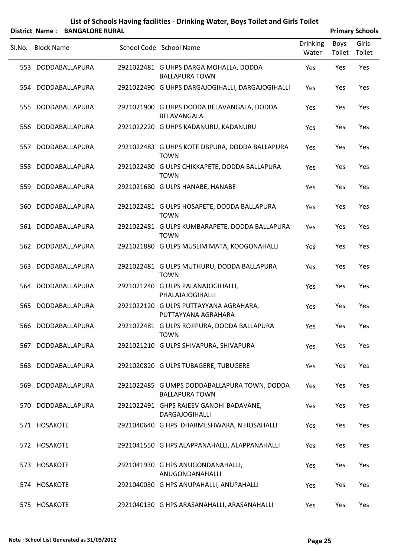|        |                   | District Name: BANGALORE RURAL |                                                                       |                          |                | <b>Primary Schools</b> |
|--------|-------------------|--------------------------------|-----------------------------------------------------------------------|--------------------------|----------------|------------------------|
| SI.No. | <b>Block Name</b> |                                | School Code School Name                                               | <b>Drinking</b><br>Water | Boys<br>Toilet | Girls<br>Toilet        |
|        |                   | 553 DODDABALLAPURA             | 2921022481 G UHPS DARGA MOHALLA, DODDA<br><b>BALLAPURA TOWN</b>       | Yes                      | Yes            | Yes                    |
|        |                   | 554 DODDABALLAPURA             | 2921022490 G UHPS DARGAJOGIHALLI, DARGAJOGIHALLI                      | Yes                      | Yes            | Yes                    |
|        |                   | 555 DODDABALLAPURA             | 2921021900 G UHPS DODDA BELAVANGALA, DODDA<br>BELAVANGALA             | Yes                      | Yes            | Yes                    |
| 556    |                   | DODDABALLAPURA                 | 2921022220 G UHPS KADANURU, KADANURU                                  | Yes                      | Yes            | Yes                    |
|        |                   | 557 DODDABALLAPURA             | 2921022483 G UHPS KOTE DBPURA, DODDA BALLAPURA<br><b>TOWN</b>         | Yes                      | Yes            | Yes                    |
|        |                   | 558 DODDABALLAPURA             | 2921022480 G ULPS CHIKKAPETE, DODDA BALLAPURA<br><b>TOWN</b>          | Yes                      | Yes            | Yes                    |
|        |                   | 559 DODDABALLAPURA             | 2921021680 G ULPS HANABE, HANABE                                      | Yes                      | Yes            | Yes                    |
|        |                   | 560 DODDABALLAPURA             | 2921022481 G ULPS HOSAPETE, DODDA BALLAPURA<br><b>TOWN</b>            | Yes                      | Yes            | Yes                    |
|        |                   | 561 DODDABALLAPURA             | 2921022481 G ULPS KUMBARAPETE, DODDA BALLAPURA<br><b>TOWN</b>         | Yes                      | Yes            | Yes                    |
|        |                   | 562 DODDABALLAPURA             | 2921021880 G ULPS MUSLIM MATA, KOOGONAHALLI                           | Yes                      | Yes            | Yes                    |
|        |                   | 563 DODDABALLAPURA             | 2921022481 G ULPS MUTHURU, DODDA BALLAPURA<br><b>TOWN</b>             | Yes                      | Yes            | Yes                    |
|        |                   | 564 DODDABALLAPURA             | 2921021240 G ULPS PALANAJOGIHALLI,<br>PHALAJAJOGIHALLI                | Yes                      | Yes            | Yes                    |
| 565.   |                   | DODDABALLAPURA                 | 2921022120 G ULPS PUTTAYYANA AGRAHARA,<br>PUTTAYYANA AGRAHARA         | Yes                      | Yes            | Yes                    |
|        |                   | 566 DODDABALLAPURA             | 2921022481 G ULPS ROJIPURA, DODDA BALLAPURA<br><b>TOWN</b>            | Yes                      | Yes            | Yes                    |
|        |                   | 567 DODDABALLAPURA             | 2921021210 G ULPS SHIVAPURA, SHIVAPURA                                | Yes                      | Yes            | Yes                    |
|        |                   | 568 DODDABALLAPURA             | 2921020820 G ULPS TUBAGERE, TUBUGERE                                  | Yes                      | Yes            | Yes                    |
|        |                   | 569 DODDABALLAPURA             | 2921022485 G UMPS DODDABALLAPURA TOWN, DODDA<br><b>BALLAPURA TOWN</b> | Yes                      | Yes            | Yes                    |
|        |                   | 570 DODDABALLAPURA             | 2921022491 GHPS RAJEEV GANDHI BADAVANE,<br><b>DARGAJOGIHALLI</b>      | Yes                      | Yes            | Yes                    |
|        | 571 HOSAKOTE      |                                | 2921040640 G HPS DHARMESHWARA, N.HOSAHALLI                            | Yes                      | Yes            | Yes                    |
|        | 572 HOSAKOTE      |                                | 2921041550 G HPS ALAPPANAHALLI, ALAPPANAHALLI                         | Yes                      | Yes            | Yes                    |
|        | 573 HOSAKOTE      |                                | 2921041930 G HPS ANUGONDANAHALLI,<br>ANUGONDANAHALLI                  | Yes                      | Yes            | Yes                    |
|        | 574 HOSAKOTE      |                                | 2921040030 G HPS ANUPAHALLI, ANUPAHALLI                               | Yes                      | Yes            | Yes                    |
|        | 575 HOSAKOTE      |                                | 2921040130 G HPS ARASANAHALLI, ARASANAHALLI                           | Yes                      | Yes            | Yes                    |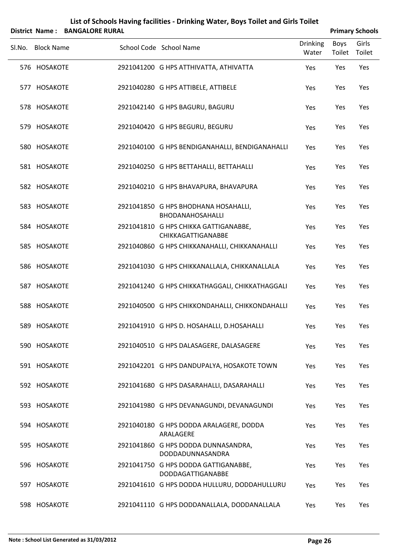|        |                   | District Name: BANGALORE RURAL |                                                                  |                          |                       | <b>Primary Schools</b> |
|--------|-------------------|--------------------------------|------------------------------------------------------------------|--------------------------|-----------------------|------------------------|
| SI.No. | <b>Block Name</b> |                                | School Code School Name                                          | <b>Drinking</b><br>Water | <b>Boys</b><br>Toilet | Girls<br>Toilet        |
|        | 576 HOSAKOTE      |                                | 2921041200 G HPS ATTHIVATTA, ATHIVATTA                           | Yes                      | Yes                   | Yes                    |
|        | 577 HOSAKOTE      |                                | 2921040280 G HPS ATTIBELE, ATTIBELE                              | Yes                      | Yes                   | Yes                    |
|        | 578 HOSAKOTE      |                                | 2921042140 G HPS BAGURU, BAGURU                                  | Yes                      | Yes                   | Yes                    |
|        | 579 HOSAKOTE      |                                | 2921040420 G HPS BEGURU, BEGURU                                  | Yes                      | Yes                   | Yes                    |
|        | 580 HOSAKOTE      |                                | 2921040100 G HPS BENDIGANAHALLI, BENDIGANAHALLI                  | Yes                      | Yes                   | Yes                    |
|        | 581 HOSAKOTE      |                                | 2921040250 G HPS BETTAHALLI, BETTAHALLI                          | Yes                      | Yes                   | Yes                    |
|        | 582 HOSAKOTE      |                                | 2921040210 G HPS BHAVAPURA, BHAVAPURA                            | Yes                      | Yes                   | Yes                    |
|        | 583 HOSAKOTE      |                                | 2921041850 G HPS BHODHANA HOSAHALLI,<br>BHODANAHOSAHALLI         | Yes                      | Yes                   | Yes                    |
|        | 584 HOSAKOTE      |                                | 2921041810 G HPS CHIKKA GATTIGANABBE,<br>CHIKKAGATTIGANABBE      | Yes                      | Yes                   | Yes                    |
|        | 585 HOSAKOTE      |                                | 2921040860 G HPS CHIKKANAHALLI, CHIKKANAHALLI                    | Yes                      | Yes                   | Yes                    |
|        | 586 HOSAKOTE      |                                | 2921041030 G HPS CHIKKANALLALA, CHIKKANALLALA                    | Yes                      | Yes                   | Yes                    |
| 587    | <b>HOSAKOTE</b>   |                                | 2921041240 G HPS CHIKKATHAGGALI, CHIKKATHAGGALI                  | Yes                      | Yes                   | Yes                    |
|        | 588 HOSAKOTE      |                                | 2921040500 G HPS CHIKKONDAHALLI, CHIKKONDAHALLI                  | Yes                      | Yes                   | Yes                    |
|        | 589 HOSAKOTE      |                                | 2921041910 G HPS D. HOSAHALLI, D.HOSAHALLI                       | Yes                      | Yes                   | Yes                    |
|        | 590 HOSAKOTE      |                                | 2921040510 G HPS DALASAGERE, DALASAGERE                          | Yes                      | Yes                   | Yes                    |
|        | 591 HOSAKOTE      |                                | 2921042201 G HPS DANDUPALYA, HOSAKOTE TOWN                       | Yes                      | Yes                   | Yes                    |
|        | 592 HOSAKOTE      |                                | 2921041680 G HPS DASARAHALLI, DASARAHALLI                        | Yes                      | Yes                   | Yes                    |
|        | 593 HOSAKOTE      |                                | 2921041980 G HPS DEVANAGUNDI, DEVANAGUNDI                        | Yes                      | Yes                   | Yes                    |
|        | 594 HOSAKOTE      |                                | 2921040180 G HPS DODDA ARALAGERE, DODDA<br>ARALAGERE             | Yes                      | Yes                   | Yes                    |
|        | 595 HOSAKOTE      |                                | 2921041860 G HPS DODDA DUNNASANDRA,<br>DODDADUNNASANDRA          | Yes                      | Yes                   | Yes                    |
|        | 596 HOSAKOTE      |                                | 2921041750 G HPS DODDA GATTIGANABBE,<br><b>DODDAGATTIGANABBE</b> | Yes                      | Yes                   | Yes                    |
|        | 597 HOSAKOTE      |                                | 2921041610 G HPS DODDA HULLURU, DODDAHULLURU                     | Yes                      | Yes                   | Yes                    |
|        | 598 HOSAKOTE      |                                | 2921041110 G HPS DODDANALLALA, DODDANALLALA                      | Yes                      | Yes                   | Yes                    |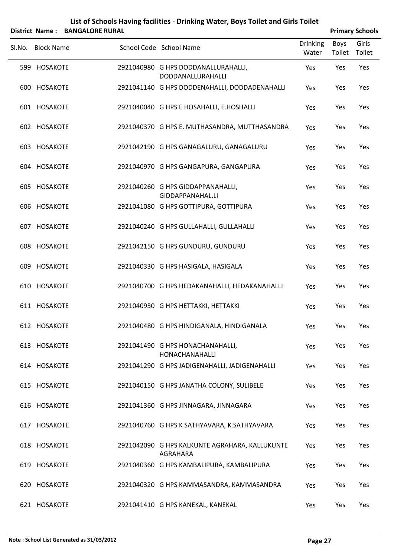|        |                   | District Name: BANGALORE RURAL |                                                                 |                          |                | <b>Primary Schools</b> |
|--------|-------------------|--------------------------------|-----------------------------------------------------------------|--------------------------|----------------|------------------------|
| SI.No. | <b>Block Name</b> |                                | School Code School Name                                         | <b>Drinking</b><br>Water | Boys<br>Toilet | Girls<br>Toilet        |
|        | 599 HOSAKOTE      |                                | 2921040980 G HPS DODDANALLURAHALLI,<br><b>DODDANALLURAHALLI</b> | Yes                      | Yes            | Yes                    |
|        | 600 HOSAKOTE      |                                | 2921041140 G HPS DODDENAHALLI, DODDADENAHALLI                   | Yes                      | Yes            | Yes                    |
|        | 601 HOSAKOTE      |                                | 2921040040 G HPS E HOSAHALLI, E.HOSHALLI                        | Yes                      | Yes            | Yes                    |
|        | 602 HOSAKOTE      |                                | 2921040370 G HPS E. MUTHASANDRA, MUTTHASANDRA                   | Yes                      | Yes            | Yes                    |
|        | 603 HOSAKOTE      |                                | 2921042190 G HPS GANAGALURU, GANAGALURU                         | Yes                      | Yes            | Yes                    |
|        | 604 HOSAKOTE      |                                | 2921040970 G HPS GANGAPURA, GANGAPURA                           | Yes                      | Yes            | Yes                    |
|        | 605 HOSAKOTE      |                                | 2921040260 G HPS GIDDAPPANAHALLI,<br>GIDDAPPANAHAL.LI           | Yes                      | Yes            | Yes                    |
|        | 606 HOSAKOTE      |                                | 2921041080 G HPS GOTTIPURA, GOTTIPURA                           | Yes                      | Yes            | Yes                    |
|        | 607 HOSAKOTE      |                                | 2921040240 G HPS GULLAHALLI, GULLAHALLI                         | Yes                      | Yes            | Yes                    |
|        | 608 HOSAKOTE      |                                | 2921042150 G HPS GUNDURU, GUNDURU                               | Yes                      | Yes            | Yes                    |
|        | 609 HOSAKOTE      |                                | 2921040330 G HPS HASIGALA, HASIGALA                             | Yes                      | Yes            | Yes                    |
|        | 610 HOSAKOTE      |                                | 2921040700 G HPS HEDAKANAHALLI, HEDAKANAHALLI                   | Yes                      | Yes            | Yes                    |
|        | 611 HOSAKOTE      |                                | 2921040930 G HPS HETTAKKI, HETTAKKI                             | Yes                      | Yes            | Yes                    |
|        | 612 HOSAKOTE      |                                | 2921040480 G HPS HINDIGANALA, HINDIGANALA                       | Yes                      | Yes            | Yes                    |
|        | 613 HOSAKOTE      |                                | 2921041490 G HPS HONACHANAHALLI,<br>HONACHANAHALLI              | Yes                      | Yes            | Yes                    |
|        | 614 HOSAKOTE      |                                | 2921041290 G HPS JADIGENAHALLI, JADIGENAHALLI                   | Yes                      | Yes            | Yes                    |
|        | 615 HOSAKOTE      |                                | 2921040150 G HPS JANATHA COLONY, SULIBELE                       | Yes                      | Yes            | Yes                    |
|        | 616 HOSAKOTE      |                                | 2921041360 G HPS JINNAGARA, JINNAGARA                           | Yes                      | Yes            | Yes                    |
|        | 617 HOSAKOTE      |                                | 2921040760 G HPS K SATHYAVARA, K.SATHYAVARA                     | Yes                      | Yes            | Yes                    |
|        | 618 HOSAKOTE      |                                | 2921042090 G HPS KALKUNTE AGRAHARA, KALLUKUNTE<br>AGRAHARA      | Yes                      | Yes            | Yes                    |
|        | 619 HOSAKOTE      |                                | 2921040360 G HPS KAMBALIPURA, KAMBALIPURA                       | Yes                      | Yes            | Yes                    |
|        | 620 HOSAKOTE      |                                | 2921040320 G HPS KAMMASANDRA, KAMMASANDRA                       | Yes                      | Yes            | Yes                    |
|        | 621 HOSAKOTE      |                                | 2921041410 G HPS KANEKAL, KANEKAL                               | Yes                      | Yes            | Yes                    |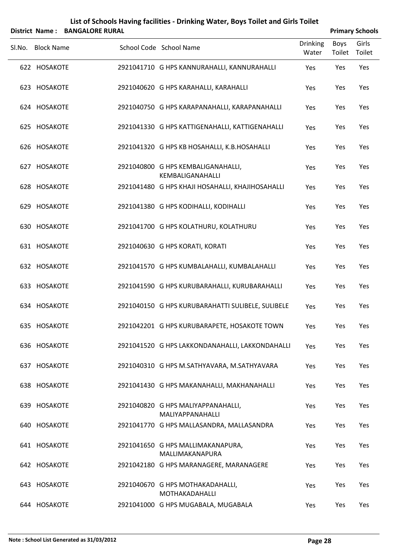|        |                   | District Name: BANGALORE RURAL |                                                        |                          |                | <b>Primary Schools</b> |
|--------|-------------------|--------------------------------|--------------------------------------------------------|--------------------------|----------------|------------------------|
| Sl.No. | <b>Block Name</b> |                                | School Code School Name                                | <b>Drinking</b><br>Water | Boys<br>Toilet | Girls<br>Toilet        |
|        | 622 HOSAKOTE      |                                | 2921041710 G HPS KANNURAHALLI, KANNURAHALLI            | Yes                      | Yes            | Yes                    |
|        | 623 HOSAKOTE      |                                | 2921040620 G HPS KARAHALLI, KARAHALLI                  | Yes                      | Yes            | Yes                    |
|        | 624 HOSAKOTE      |                                | 2921040750 G HPS KARAPANAHALLI, KARAPANAHALLI          | Yes                      | Yes            | Yes                    |
|        | 625 HOSAKOTE      |                                | 2921041330 G HPS KATTIGENAHALLI, KATTIGENAHALLI        | Yes                      | Yes            | Yes                    |
|        | 626 HOSAKOTE      |                                | 2921041320 G HPS KB HOSAHALLI, K.B.HOSAHALLI           | Yes                      | Yes            | Yes                    |
|        | 627 HOSAKOTE      |                                | 2921040800 G HPS KEMBALIGANAHALLI,<br>KEMBALIGANAHALLI | Yes                      | Yes            | Yes                    |
|        | 628 HOSAKOTE      |                                | 2921041480 G HPS KHAJI HOSAHALLI, KHAJIHOSAHALLI       | Yes                      | Yes            | Yes                    |
|        | 629 HOSAKOTE      |                                | 2921041380 G HPS KODIHALLI, KODIHALLI                  | Yes                      | Yes            | Yes                    |
|        | 630 HOSAKOTE      |                                | 2921041700 G HPS KOLATHURU, KOLATHURU                  | Yes                      | Yes            | Yes                    |
|        | 631 HOSAKOTE      |                                | 2921040630 G HPS KORATI, KORATI                        | Yes                      | Yes            | Yes                    |
|        | 632 HOSAKOTE      |                                | 2921041570 G HPS KUMBALAHALLI, KUMBALAHALLI            | Yes                      | Yes            | Yes                    |
|        | 633 HOSAKOTE      |                                | 2921041590 G HPS KURUBARAHALLI, KURUBARAHALLI          | Yes                      | Yes            | Yes                    |
|        | 634 HOSAKOTE      |                                | 2921040150 G HPS KURUBARAHATTI SULIBELE, SULIBELE      | Yes                      | Yes            | Yes                    |
|        | 635 HOSAKOTE      |                                | 2921042201 G HPS KURUBARAPETE, HOSAKOTE TOWN           | Yes                      | Yes            | Yes                    |
|        | 636 HOSAKOTE      |                                | 2921041520 G HPS LAKKONDANAHALLI, LAKKONDAHALLI        | Yes                      | Yes            | Yes                    |
|        | 637 HOSAKOTE      |                                | 2921040310 G HPS M.SATHYAVARA, M.SATHYAVARA            | Yes                      | Yes            | Yes                    |
|        | 638 HOSAKOTE      |                                | 2921041430 G HPS MAKANAHALLI, MAKHANAHALLI             | Yes                      | Yes            | Yes                    |
|        | 639 HOSAKOTE      |                                | 2921040820 G HPS MALIYAPPANAHALLI,<br>MALIYAPPANAHALLI | Yes                      | Yes            | Yes                    |
|        | 640 HOSAKOTE      |                                | 2921041770 G HPS MALLASANDRA, MALLASANDRA              | Yes                      | Yes            | Yes                    |
|        | 641 HOSAKOTE      |                                | 2921041650 G HPS MALLIMAKANAPURA,<br>MALLIMAKANAPURA   | Yes                      | Yes            | Yes                    |
|        | 642 HOSAKOTE      |                                | 2921042180 G HPS MARANAGERE, MARANAGERE                | Yes                      | Yes            | Yes                    |
|        | 643 HOSAKOTE      |                                | 2921040670 G HPS MOTHAKADAHALLI,<br>MOTHAKADAHALLI     | Yes                      | Yes            | Yes                    |
|        | 644 HOSAKOTE      |                                | 2921041000 G HPS MUGABALA, MUGABALA                    | Yes                      | Yes            | Yes                    |

#### **Note : School List Generated as 31/03/2012 Page 28**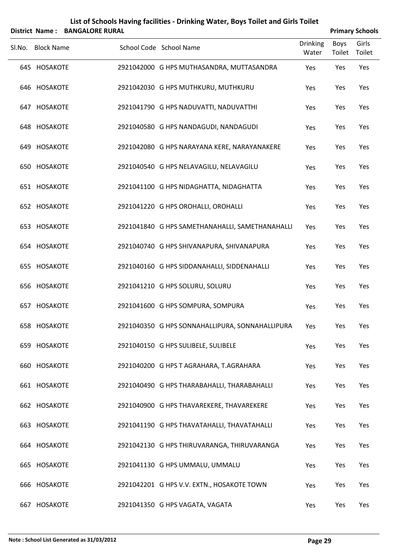|        | <b>District Name:</b> | <b>BANGALORE RURAL</b> | List of Schools Having facilities - Drinking Water, Boys Toilet and Girls Toilet |                          |                       | <b>Primary Schools</b> |
|--------|-----------------------|------------------------|----------------------------------------------------------------------------------|--------------------------|-----------------------|------------------------|
| SI.No. | <b>Block Name</b>     |                        | School Code School Name                                                          | <b>Drinking</b><br>Water | <b>Boys</b><br>Toilet | Girls<br>Toilet        |
|        | 645 HOSAKOTE          |                        | 2921042000 G HPS MUTHASANDRA, MUTTASANDRA                                        | Yes                      | Yes                   | Yes                    |
|        | 646 HOSAKOTE          |                        | 2921042030 G HPS MUTHKURU, MUTHKURU                                              | Yes                      | Yes                   | Yes                    |
|        | 647 HOSAKOTE          |                        | 2921041790 G HPS NADUVATTI, NADUVATTHI                                           | Yes                      | Yes                   | Yes                    |
|        | 648 HOSAKOTE          |                        | 2921040580 G HPS NANDAGUDI, NANDAGUDI                                            | Yes                      | Yes                   | Yes                    |
|        | 649 HOSAKOTE          |                        | 2921042080 G HPS NARAYANA KERE, NARAYANAKERE                                     | Yes                      | Yes                   | Yes                    |
|        | 650 HOSAKOTE          |                        | 2921040540 G HPS NELAVAGILU, NELAVAGILU                                          | Yes                      | Yes                   | Yes                    |
|        | 651 HOSAKOTE          |                        | 2921041100 G HPS NIDAGHATTA, NIDAGHATTA                                          | Yes                      | Yes                   | Yes                    |
|        | 652 HOSAKOTE          |                        | 2921041220 G HPS OROHALLI, OROHALLI                                              | Yes                      | Yes                   | Yes                    |
|        | 653 HOSAKOTE          |                        | 2921041840 G HPS SAMETHANAHALLI, SAMETHANAHALLI                                  | Yes                      | Yes                   | Yes                    |
|        | 654 HOSAKOTE          |                        | 2921040740 G HPS SHIVANAPURA, SHIVANAPURA                                        | Yes                      | Yes                   | Yes                    |
|        | 655 HOSAKOTE          |                        | 2921040160 G HPS SIDDANAHALLI, SIDDENAHALLI                                      | Yes                      | Yes                   | Yes                    |
|        | 656 HOSAKOTE          |                        | 2921041210 G HPS SOLURU, SOLURU                                                  | Yes                      | Yes                   | Yes                    |
|        | 657 HOSAKOTE          |                        | 2921041600 G HPS SOMPURA, SOMPURA                                                | Yes                      | Yes                   | Yes                    |
|        | 658 HOSAKOTE          |                        | 2921040350 G HPS SONNAHALLIPURA, SONNAHALLIPURA                                  | Yes                      | Yes                   | Yes                    |
|        | 659 HOSAKOTE          |                        | 2921040150 G HPS SULIBELE, SULIBELE                                              | Yes                      | Yes                   | Yes                    |
|        | 660 HOSAKOTE          |                        | 2921040200 G HPS T AGRAHARA, T.AGRAHARA                                          | Yes                      | Yes                   | Yes                    |
|        | 661 HOSAKOTE          |                        | 2921040490 G HPS THARABAHALLI, THARABAHALLI                                      | Yes                      | Yes                   | Yes                    |
|        | 662 HOSAKOTE          |                        | 2921040900 G HPS THAVAREKERE, THAVAREKERE                                        | Yes                      | Yes                   | Yes                    |
|        | 663 HOSAKOTE          |                        | 2921041190 G HPS THAVATAHALLI, THAVATAHALLI                                      | Yes                      | Yes                   | Yes                    |
|        | 664 HOSAKOTE          |                        | 2921042130 G HPS THIRUVARANGA, THIRUVARANGA                                      | Yes                      | Yes                   | Yes                    |
|        | 665 HOSAKOTE          |                        | 2921041130 G HPS UMMALU, UMMALU                                                  | Yes                      | Yes                   | Yes                    |
|        | 666 HOSAKOTE          |                        | 2921042201 G HPS V.V. EXTN., HOSAKOTE TOWN                                       | Yes                      | Yes                   | Yes                    |
| 667    | <b>HOSAKOTE</b>       |                        | 2921041350 G HPS VAGATA, VAGATA                                                  | Yes                      | Yes                   | Yes                    |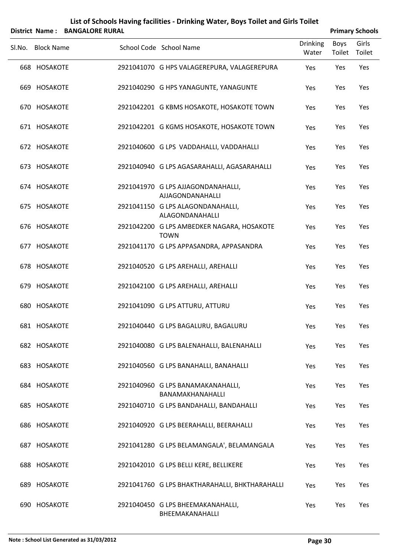|        |                   | District Name: BANGALORE RURAL |                                                           |                          | <b>Primary Schools</b> |                 |
|--------|-------------------|--------------------------------|-----------------------------------------------------------|--------------------------|------------------------|-----------------|
| Sl.No. | <b>Block Name</b> |                                | School Code School Name                                   | <b>Drinking</b><br>Water | Boys<br>Toilet         | Girls<br>Toilet |
|        | 668 HOSAKOTE      |                                | 2921041070 G HPS VALAGEREPURA, VALAGEREPURA               | Yes                      | Yes                    | Yes             |
|        | 669 HOSAKOTE      |                                | 2921040290 G HPS YANAGUNTE, YANAGUNTE                     | Yes                      | Yes                    | Yes             |
|        | 670 HOSAKOTE      |                                | 2921042201 G KBMS HOSAKOTE, HOSAKOTE TOWN                 | Yes                      | Yes                    | Yes             |
|        | 671 HOSAKOTE      |                                | 2921042201 G KGMS HOSAKOTE, HOSAKOTE TOWN                 | Yes                      | Yes                    | Yes             |
|        | 672 HOSAKOTE      |                                | 2921040600 G LPS VADDAHALLI, VADDAHALLI                   | Yes                      | Yes                    | Yes             |
|        | 673 HOSAKOTE      |                                | 2921040940 G LPS AGASARAHALLI, AGASARAHALLI               | Yes                      | Yes                    | Yes             |
|        | 674 HOSAKOTE      |                                | 2921041970 G LPS AJJAGONDANAHALLI,<br>AJJAGONDANAHALLI    | Yes                      | Yes                    | Yes             |
|        | 675 HOSAKOTE      |                                | 2921041150 G LPS ALAGONDANAHALLI,<br>ALAGONDANAHALLI      | Yes                      | Yes                    | Yes             |
|        | 676 HOSAKOTE      |                                | 2921042200 G LPS AMBEDKER NAGARA, HOSAKOTE<br><b>TOWN</b> | Yes                      | Yes                    | Yes             |
|        | 677 HOSAKOTE      |                                | 2921041170 G LPS APPASANDRA, APPASANDRA                   | Yes                      | Yes                    | Yes             |
|        | 678 HOSAKOTE      |                                | 2921040520 G LPS AREHALLI, AREHALLI                       | Yes                      | Yes                    | Yes             |
|        | 679 HOSAKOTE      |                                | 2921042100 G LPS AREHALLI, AREHALLI                       | Yes                      | Yes                    | Yes             |
|        | 680 HOSAKOTE      |                                | 2921041090 G LPS ATTURU, ATTURU                           | Yes                      | Yes                    | Yes             |
|        | 681 HOSAKOTE      |                                | 2921040440 G LPS BAGALURU, BAGALURU                       | Yes                      | Yes                    | Yes             |
|        | 682 HOSAKOTE      |                                | 2921040080 G LPS BALENAHALLI, BALENAHALLI                 | Yes                      | Yes                    | Yes             |
|        | 683 HOSAKOTE      |                                | 2921040560 G LPS BANAHALLI, BANAHALLI                     | Yes                      | Yes                    | Yes             |
|        | 684 HOSAKOTE      |                                | 2921040960 G LPS BANAMAKANAHALLI,<br>BANAMAKHANAHALLI     | Yes                      | Yes                    | Yes             |
|        | 685 HOSAKOTE      |                                | 2921040710 G LPS BANDAHALLI, BANDAHALLI                   | Yes                      | Yes                    | Yes             |
|        | 686 HOSAKOTE      |                                | 2921040920 G LPS BEERAHALLI, BEERAHALLI                   | Yes                      | Yes                    | Yes             |
|        | 687 HOSAKOTE      |                                | 2921041280 G LPS BELAMANGALA', BELAMANGALA                | Yes                      | Yes                    | Yes             |
|        | 688 HOSAKOTE      |                                | 2921042010 G LPS BELLI KERE, BELLIKERE                    | Yes                      | Yes                    | Yes             |
|        | 689 HOSAKOTE      |                                | 2921041760 G LPS BHAKTHARAHALLI, BHKTHARAHALLI            | Yes                      | Yes                    | Yes             |
|        | 690 HOSAKOTE      |                                | 2921040450 G LPS BHEEMAKANAHALLI,<br>BHEEMAKANAHALLI      | Yes                      | Yes                    | Yes             |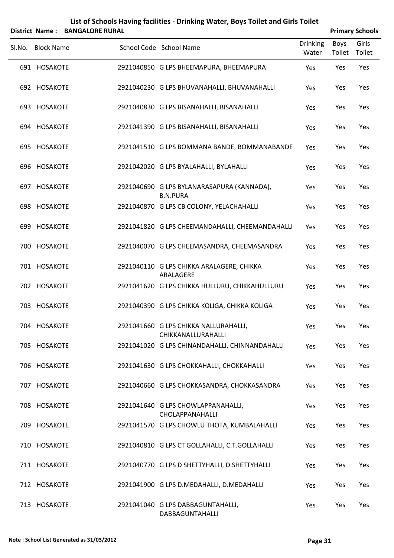|        |                   | District Name: BANGALORE RURAL |                                                               |                          |                | <b>Primary Schools</b> |
|--------|-------------------|--------------------------------|---------------------------------------------------------------|--------------------------|----------------|------------------------|
| Sl.No. | <b>Block Name</b> |                                | School Code School Name                                       | <b>Drinking</b><br>Water | Boys<br>Toilet | Girls<br>Toilet        |
|        | 691 HOSAKOTE      |                                | 2921040850 G LPS BHEEMAPURA, BHEEMAPURA                       | Yes                      | Yes            | Yes                    |
|        | 692 HOSAKOTE      |                                | 2921040230 G LPS BHUVANAHALLI, BHUVANAHALLI                   | Yes                      | Yes            | Yes                    |
|        | 693 HOSAKOTE      |                                | 2921040830 G LPS BISANAHALLI, BISANAHALLI                     | Yes                      | Yes            | Yes                    |
|        | 694 HOSAKOTE      |                                | 2921041390 G LPS BISANAHALLI, BISANAHALLI                     | Yes                      | Yes            | Yes                    |
|        | 695 HOSAKOTE      |                                | 2921041510 G LPS BOMMANA BANDE, BOMMANABANDE                  | Yes                      | Yes            | Yes                    |
|        | 696 HOSAKOTE      |                                | 2921042020 G LPS BYALAHALLI, BYLAHALLI                        | Yes                      | Yes            | Yes                    |
|        | 697 HOSAKOTE      |                                | 2921040690 G LPS BYLANARASAPURA (KANNADA),<br><b>B.N.PURA</b> | Yes                      | Yes            | Yes                    |
|        | 698 HOSAKOTE      |                                | 2921040870 G LPS CB COLONY, YELACHAHALLI                      | Yes                      | Yes            | Yes                    |
|        | 699 HOSAKOTE      |                                | 2921041820 G LPS CHEEMANDAHALLI, CHEEMANDAHALLI               | Yes                      | Yes            | Yes                    |
|        | 700 HOSAKOTE      |                                | 2921040070 G LPS CHEEMASANDRA, CHEEMASANDRA                   | Yes                      | Yes            | Yes                    |
|        | 701 HOSAKOTE      |                                | 2921040110 G LPS CHIKKA ARALAGERE, CHIKKA<br>ARALAGERE        | Yes                      | Yes            | Yes                    |
|        | 702 HOSAKOTE      |                                | 2921041620 G LPS CHIKKA HULLURU, CHIKKAHULLURU                | Yes                      | Yes            | Yes                    |
|        | 703 HOSAKOTE      |                                | 2921040390 G LPS CHIKKA KOLIGA, CHIKKA KOLIGA                 | Yes                      | Yes            | Yes                    |
|        | 704 HOSAKOTE      |                                | 2921041660 G LPS CHIKKA NALLURAHALLI,<br>CHIKKANALLURAHALLI   | Yes                      | Yes            | Yes                    |
|        | 705 HOSAKOTE      |                                | 2921041020 G LPS CHINANDAHALLI, CHINNANDAHALLI                | Yes                      | Yes            | Yes                    |
|        | 706 HOSAKOTE      |                                | 2921041630 G LPS CHOKKAHALLI, CHOKKAHALLI                     | Yes                      | Yes            | Yes                    |
|        | 707 HOSAKOTE      |                                | 2921040660 G LPS CHOKKASANDRA, CHOKKASANDRA                   | Yes                      | Yes            | Yes                    |
|        | 708 HOSAKOTE      |                                | 2921041640 G LPS CHOWLAPPANAHALLI,<br>CHOLAPPANAHALLI         | Yes                      | Yes            | Yes                    |
|        | 709 HOSAKOTE      |                                | 2921041570 G LPS CHOWLU THOTA, KUMBALAHALLI                   | Yes                      | Yes            | Yes                    |
|        | 710 HOSAKOTE      |                                | 2921040810 G LPS CT GOLLAHALLI, C.T.GOLLAHALLI                | Yes                      | Yes            | Yes                    |
|        | 711 HOSAKOTE      |                                | 2921040770 G LPS D SHETTYHALLI, D.SHETTYHALLI                 | Yes                      | Yes            | Yes                    |
|        | 712 HOSAKOTE      |                                | 2921041900 G LPS D.MEDAHALLI, D.MEDAHALLI                     | Yes                      | Yes            | Yes                    |
|        | 713 HOSAKOTE      |                                | 2921041040 G LPS DABBAGUNTAHALLI,<br>DABBAGUNTAHALLI          | Yes                      | Yes            | Yes                    |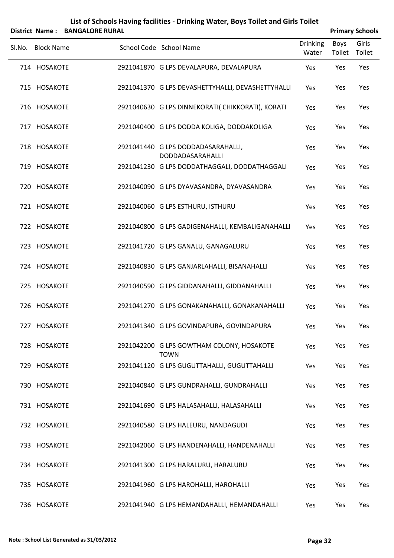|        |                   | District Name: BANGALORE RURAL |                                                          |                          |                | <b>Primary Schools</b> |
|--------|-------------------|--------------------------------|----------------------------------------------------------|--------------------------|----------------|------------------------|
| Sl.No. | <b>Block Name</b> |                                | School Code School Name                                  | <b>Drinking</b><br>Water | Boys<br>Toilet | Girls<br>Toilet        |
|        | 714 HOSAKOTE      |                                | 2921041870 G LPS DEVALAPURA, DEVALAPURA                  | Yes                      | Yes            | Yes                    |
|        | 715 HOSAKOTE      |                                | 2921041370 G LPS DEVASHETTYHALLI, DEVASHETTYHALLI        | Yes                      | Yes            | Yes                    |
|        | 716 HOSAKOTE      |                                | 2921040630 G LPS DINNEKORATI( CHIKKORATI), KORATI        | Yes                      | Yes            | Yes                    |
|        | 717 HOSAKOTE      |                                | 2921040400 G LPS DODDA KOLIGA, DODDAKOLIGA               | Yes                      | Yes            | Yes                    |
|        | 718 HOSAKOTE      |                                | 2921041440 G LPS DODDADASARAHALLI,<br>DODDADASARAHALLI   | Yes                      | Yes            | Yes                    |
|        | 719 HOSAKOTE      |                                | 2921041230 G LPS DODDATHAGGALI, DODDATHAGGALI            | Yes                      | Yes            | Yes                    |
|        | 720 HOSAKOTE      |                                | 2921040090 G LPS DYAVASANDRA, DYAVASANDRA                | Yes                      | Yes            | Yes                    |
|        | 721 HOSAKOTE      |                                | 2921040060 G LPS ESTHURU, ISTHURU                        | Yes                      | Yes            | Yes                    |
|        | 722 HOSAKOTE      |                                | 2921040800 G LPS GADIGENAHALLI, KEMBALIGANAHALLI         | Yes                      | Yes            | Yes                    |
|        | 723 HOSAKOTE      |                                | 2921041720 G LPS GANALU, GANAGALURU                      | Yes                      | Yes            | Yes                    |
|        | 724 HOSAKOTE      |                                | 2921040830 G LPS GANJARLAHALLI, BISANAHALLI              | Yes                      | Yes            | Yes                    |
|        | 725 HOSAKOTE      |                                | 2921040590 G LPS GIDDANAHALLI, GIDDANAHALLI              | Yes                      | Yes            | Yes                    |
|        | 726 HOSAKOTE      |                                | 2921041270 G LPS GONAKANAHALLI, GONAKANAHALLI            | Yes                      | Yes            | Yes                    |
|        | 727 HOSAKOTE      |                                | 2921041340 G LPS GOVINDAPURA, GOVINDAPURA                | Yes                      | Yes            | Yes                    |
|        | 728 HOSAKOTE      |                                | 2921042200 G LPS GOWTHAM COLONY, HOSAKOTE<br><b>TOWN</b> | Yes                      | Yes            | Yes                    |
|        | 729 HOSAKOTE      |                                | 2921041120 G LPS GUGUTTAHALLI, GUGUTTAHALLI              | Yes                      | Yes            | Yes                    |
|        | 730 HOSAKOTE      |                                | 2921040840 G LPS GUNDRAHALLI, GUNDRAHALLI                | Yes                      | Yes            | Yes                    |
|        | 731 HOSAKOTE      |                                | 2921041690 G LPS HALASAHALLI, HALASAHALLI                | Yes                      | Yes            | Yes                    |
|        | 732 HOSAKOTE      |                                | 2921040580 G LPS HALEURU, NANDAGUDI                      | Yes                      | Yes            | Yes                    |
|        | 733 HOSAKOTE      |                                | 2921042060 G LPS HANDENAHALLI, HANDENAHALLI              | Yes                      | Yes            | Yes                    |
|        | 734 HOSAKOTE      |                                | 2921041300 G LPS HARALURU, HARALURU                      | Yes                      | Yes            | Yes                    |
|        | 735 HOSAKOTE      |                                | 2921041960 G LPS HAROHALLI, HAROHALLI                    | Yes                      | Yes            | Yes                    |
|        |                   |                                |                                                          |                          |                |                        |

HOSAKOTE 2921041940 G LPS HEMANDAHALLI, HEMANDAHALLI Yes Yes Yes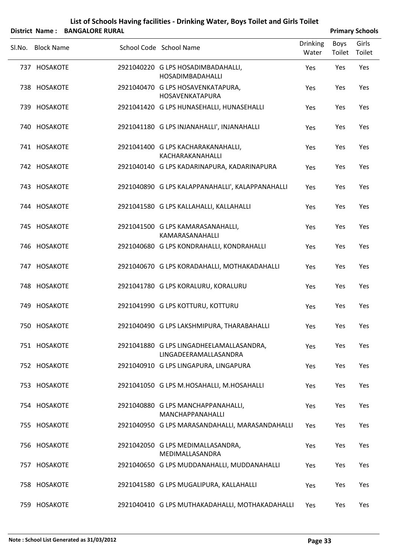|        |                   | District Name: BANGALORE RURAL |                                                                   |                          |                | <b>Primary Schools</b> |
|--------|-------------------|--------------------------------|-------------------------------------------------------------------|--------------------------|----------------|------------------------|
| SI.No. | <b>Block Name</b> |                                | School Code School Name                                           | <b>Drinking</b><br>Water | Boys<br>Toilet | Girls<br>Toilet        |
|        | 737 HOSAKOTE      |                                | 2921040220 G LPS HOSADIMBADAHALLI,<br><b>HOSADIMBADAHALLI</b>     | Yes                      | Yes            | Yes                    |
|        | 738 HOSAKOTE      |                                | 2921040470 G LPS HOSAVENKATAPURA,<br>HOSAVENKATAPURA              | Yes                      | Yes            | Yes                    |
|        | 739 HOSAKOTE      |                                | 2921041420 G LPS HUNASEHALLI, HUNASEHALLI                         | Yes                      | Yes            | Yes                    |
|        | 740 HOSAKOTE      |                                | 2921041180 G LPS INJANAHALLI', INJANAHALLI                        | Yes                      | Yes            | Yes                    |
|        | 741 HOSAKOTE      |                                | 2921041400 G LPS KACHARAKANAHALLI,<br>KACHARAKANAHALLI            | Yes                      | Yes            | Yes                    |
|        | 742 HOSAKOTE      |                                | 2921040140 G LPS KADARINAPURA, KADARINAPURA                       | Yes                      | Yes            | Yes                    |
|        | 743 HOSAKOTE      |                                | 2921040890 G LPS KALAPPANAHALLI', KALAPPANAHALLI                  | Yes                      | Yes            | Yes                    |
|        | 744 HOSAKOTE      |                                | 2921041580 G LPS KALLAHALLI, KALLAHALLI                           | Yes                      | Yes            | Yes                    |
|        | 745 HOSAKOTE      |                                | 2921041500 G LPS KAMARASANAHALLI,<br>KAMARASANAHALLI              | Yes                      | Yes            | Yes                    |
|        | 746 HOSAKOTE      |                                | 2921040680 G LPS KONDRAHALLI, KONDRAHALLI                         | Yes                      | Yes            | Yes                    |
|        | 747 HOSAKOTE      |                                | 2921040670 G LPS KORADAHALLI, MOTHAKADAHALLI                      | Yes                      | Yes            | Yes                    |
|        | 748 HOSAKOTE      |                                | 2921041780 G LPS KORALURU, KORALURU                               | Yes                      | Yes            | Yes                    |
|        | 749 HOSAKOTE      |                                | 2921041990 G LPS KOTTURU, KOTTURU                                 | Yes                      | Yes            | Yes                    |
|        | 750 HOSAKOTE      |                                | 2921040490 G LPS LAKSHMIPURA, THARABAHALLI                        | Yes                      | Yes            | Yes                    |
|        | 751 HOSAKOTE      |                                | 2921041880 G LPS LINGADHEELAMALLASANDRA,<br>LINGADEERAMALLASANDRA | Yes                      | Yes            | Yes                    |
|        | 752 HOSAKOTE      |                                | 2921040910 G LPS LINGAPURA, LINGAPURA                             | Yes                      | Yes            | Yes                    |
|        | 753 HOSAKOTE      |                                | 2921041050 G LPS M.HOSAHALLI, M.HOSAHALLI                         | Yes                      | Yes            | Yes                    |
|        | 754 HOSAKOTE      |                                | 2921040880 G LPS MANCHAPPANAHALLI,<br>MANCHAPPANAHALLI            | Yes                      | Yes            | Yes                    |
|        | 755 HOSAKOTE      |                                | 2921040950 G LPS MARASANDAHALLI, MARASANDAHALLI                   | Yes                      | Yes            | Yes                    |
|        | 756 HOSAKOTE      |                                | 2921042050 G LPS MEDIMALLASANDRA,<br>MEDIMALLASANDRA              | Yes                      | Yes            | Yes                    |
|        | 757 HOSAKOTE      |                                | 2921040650 G LPS MUDDANAHALLI, MUDDANAHALLI                       | Yes                      | Yes            | Yes                    |
|        | 758 HOSAKOTE      |                                | 2921041580 G LPS MUGALIPURA, KALLAHALLI                           | <b>Yes</b>               | Yes            | Yes                    |
|        | 759 HOSAKOTE      |                                | 2921040410 G LPS MUTHAKADAHALLI, MOTHAKADAHALLI                   | Yes                      | Yes            | Yes                    |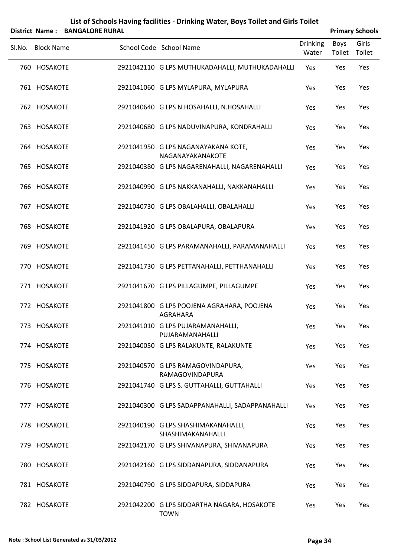|        |                   | District Name: BANGALORE RURAL |                                                               |                          |                | <b>Primary Schools</b> |
|--------|-------------------|--------------------------------|---------------------------------------------------------------|--------------------------|----------------|------------------------|
| Sl.No. | <b>Block Name</b> |                                | School Code School Name                                       | <b>Drinking</b><br>Water | Boys<br>Toilet | Girls<br>Toilet        |
|        | 760 HOSAKOTE      |                                | 2921042110 G LPS MUTHUKADAHALLI, MUTHUKADAHALLI               | Yes                      | Yes            | Yes                    |
|        | 761 HOSAKOTE      |                                | 2921041060 G LPS MYLAPURA, MYLAPURA                           | Yes                      | Yes            | Yes                    |
|        | 762 HOSAKOTE      |                                | 2921040640 G LPS N.HOSAHALLI, N.HOSAHALLI                     | Yes                      | Yes            | Yes                    |
|        | 763 HOSAKOTE      |                                | 2921040680 G LPS NADUVINAPURA, KONDRAHALLI                    | Yes                      | Yes            | Yes                    |
|        | 764 HOSAKOTE      |                                | 2921041950 G LPS NAGANAYAKANA KOTE,<br>NAGANAYAKANAKOTE       | Yes                      | Yes            | Yes                    |
|        | 765 HOSAKOTE      |                                | 2921040380 G LPS NAGARENAHALLI, NAGARENAHALLI                 | Yes                      | Yes            | Yes                    |
|        | 766 HOSAKOTE      |                                | 2921040990 G LPS NAKKANAHALLI, NAKKANAHALLI                   | Yes                      | Yes            | Yes                    |
|        | 767 HOSAKOTE      |                                | 2921040730 G LPS OBALAHALLI, OBALAHALLI                       | Yes                      | Yes            | Yes                    |
|        | 768 HOSAKOTE      |                                | 2921041920 G LPS OBALAPURA, OBALAPURA                         | Yes                      | Yes            | Yes                    |
|        | 769 HOSAKOTE      |                                | 2921041450 G LPS PARAMANAHALLI, PARAMANAHALLI                 | Yes                      | Yes            | Yes                    |
|        | 770 HOSAKOTE      |                                | 2921041730 G LPS PETTANAHALLI, PETTHANAHALLI                  | Yes                      | Yes            | Yes                    |
|        | 771 HOSAKOTE      |                                | 2921041670 G LPS PILLAGUMPE, PILLAGUMPE                       | Yes                      | Yes            | Yes                    |
|        | 772 HOSAKOTE      |                                | 2921041800 G LPS POOJENA AGRAHARA, POOJENA<br><b>AGRAHARA</b> | Yes                      | Yes            | Yes                    |
|        | 773 HOSAKOTE      |                                | 2921041010 G LPS PUJARAMANAHALLI,<br>PUJARAMANAHALLI          | Yes                      | Yes            | Yes                    |
|        | 774 HOSAKOTE      |                                | 2921040050 G LPS RALAKUNTE, RALAKUNTE                         | Yes                      | Yes            | Yes                    |
|        | 775 HOSAKOTE      |                                | 2921040570 G LPS RAMAGOVINDAPURA,<br><b>RAMAGOVINDAPURA</b>   | Yes                      | Yes            | Yes                    |
|        | 776 HOSAKOTE      |                                | 2921041740 G LPS S. GUTTAHALLI, GUTTAHALLI                    | Yes                      | Yes            | Yes                    |
|        | 777 HOSAKOTE      |                                | 2921040300 G LPS SADAPPANAHALLI, SADAPPANAHALLI               | Yes                      | Yes            | Yes                    |
|        | 778 HOSAKOTE      |                                | 2921040190 G LPS SHASHIMAKANAHALLI,<br>SHASHIMAKANAHALLI      | Yes                      | Yes            | Yes                    |
|        | 779 HOSAKOTE      |                                | 2921042170 G LPS SHIVANAPURA, SHIVANAPURA                     | Yes                      | Yes            | Yes                    |
|        | 780 HOSAKOTE      |                                | 2921042160 G LPS SIDDANAPURA, SIDDANAPURA                     | Yes                      | Yes            | Yes                    |
|        | 781 HOSAKOTE      |                                | 2921040790 G LPS SIDDAPURA, SIDDAPURA                         | Yes                      | Yes            | Yes                    |
|        | 782 HOSAKOTE      |                                | 2921042200 G LPS SIDDARTHA NAGARA, HOSAKOTE                   | Yes                      | Yes            | Yes                    |

TOWN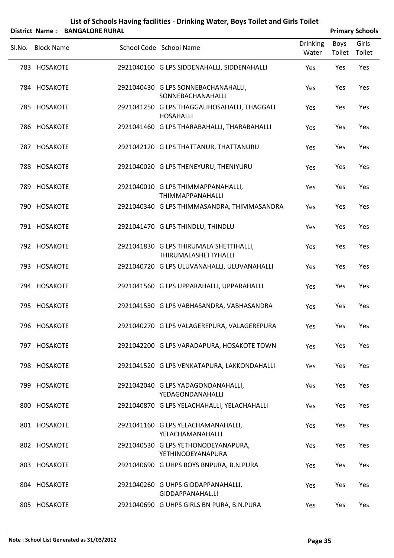|        |                   | District Name: BANGALORE RURAL |                                                                  |                          |                | <b>Primary Schools</b> |
|--------|-------------------|--------------------------------|------------------------------------------------------------------|--------------------------|----------------|------------------------|
| Sl.No. | <b>Block Name</b> |                                | School Code School Name                                          | <b>Drinking</b><br>Water | Boys<br>Toilet | Girls<br>Toilet        |
|        | 783 HOSAKOTE      |                                | 2921040160 G LPS SIDDENAHALLI, SIDDENAHALLI                      | Yes                      | Yes            | Yes                    |
|        | 784 HOSAKOTE      |                                | 2921040430 G LPS SONNEBACHANAHALLI,<br>SONNEBACHANAHALLI         | Yes                      | Yes            | Yes                    |
|        | 785 HOSAKOTE      |                                | 2921041250 G LPS THAGGALIHOSAHALLI, THAGGALI<br><b>HOSAHALLI</b> | Yes                      | Yes            | Yes                    |
|        | 786 HOSAKOTE      |                                | 2921041460 G LPS THARABAHALLI, THARABAHALLI                      | Yes                      | Yes            | Yes                    |
|        | 787 HOSAKOTE      |                                | 2921042120 G LPS THATTANUR, THATTANURU                           | Yes                      | Yes            | Yes                    |
|        | 788 HOSAKOTE      |                                | 2921040020 G LPS THENEYURU, THENIYURU                            | Yes                      | Yes            | Yes                    |
|        | 789 HOSAKOTE      |                                | 2921040010 G LPS THIMMAPPANAHALLI,<br><b>THIMMAPPANAHALLI</b>    | Yes                      | Yes            | Yes                    |
|        | 790 HOSAKOTE      |                                | 2921040340 G LPS THIMMASANDRA, THIMMASANDRA                      | Yes                      | Yes            | Yes                    |
|        | 791 HOSAKOTE      |                                | 2921041470 G LPS THINDLU, THINDLU                                | Yes                      | Yes            | Yes                    |
|        | 792 HOSAKOTE      |                                | 2921041830 G LPS THIRUMALA SHETTIHALLI,<br>THIRUMALASHETTYHALLI  | Yes                      | Yes            | Yes                    |
|        | 793 HOSAKOTE      |                                | 2921040720 G LPS ULUVANAHALLI, ULUVANAHALLI                      | Yes                      | Yes            | Yes                    |
|        | 794 HOSAKOTE      |                                | 2921041560 G LPS UPPARAHALLI, UPPARAHALLI                        | Yes                      | Yes            | Yes                    |
|        | 795 HOSAKOTE      |                                | 2921041530 G LPS VABHASANDRA, VABHASANDRA                        | Yes                      | Yes            | Yes                    |
|        | 796 HOSAKOTE      |                                | 2921040270 G LPS VALAGEREPURA, VALAGEREPURA                      | Yes                      | Yes            | Yes                    |
|        | 797 HOSAKOTE      |                                | 2921042200 G LPS VARADAPURA, HOSAKOTE TOWN                       | Yes                      | Yes            | Yes                    |
|        | 798 HOSAKOTE      |                                | 2921041520 G LPS VENKATAPURA, LAKKONDAHALLI                      | Yes                      | Yes            | Yes                    |
|        | 799 HOSAKOTE      |                                | 2921042040 G LPS YADAGONDANAHALLI,<br>YEDAGONDANAHALLI           | Yes                      | Yes            | Yes                    |
|        | 800 HOSAKOTE      |                                | 2921040870 G LPS YELACHAHALLI, YELACHAHALLI                      | Yes                      | Yes            | Yes                    |
|        | 801 HOSAKOTE      |                                | 2921041160 G LPS YELACHAMANAHALLI,<br>YELACHAMANAHALLI           | Yes                      | Yes            | Yes                    |
|        | 802 HOSAKOTE      |                                | 2921040530 G LPS YETHONODEYANAPURA,<br>YETHINODEYANAPURA         | Yes                      | Yes            | Yes                    |
|        | 803 HOSAKOTE      |                                | 2921040690 G UHPS BOYS BNPURA, B.N.PURA                          | Yes                      | Yes            | Yes                    |
|        | 804 HOSAKOTE      |                                | 2921040260 G UHPS GIDDAPPANAHALLI,<br>GIDDAPPANAHAL.LI           | Yes                      | Yes            | Yes                    |
|        | 805 HOSAKOTE      |                                | 2921040690 G UHPS GIRLS BN PURA, B.N.PURA                        | Yes                      | Yes            | Yes                    |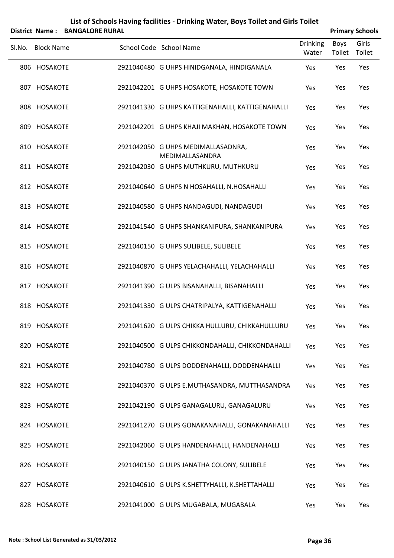|        |                   | District Name: BANGALORE RURAL |                                                       |                          | <b>Primary Schools</b> |                 |
|--------|-------------------|--------------------------------|-------------------------------------------------------|--------------------------|------------------------|-----------------|
| SI.No. | <b>Block Name</b> |                                | School Code School Name                               | <b>Drinking</b><br>Water | <b>Boys</b><br>Toilet  | Girls<br>Toilet |
|        | 806 HOSAKOTE      |                                | 2921040480 G UHPS HINIDGANALA, HINDIGANALA            | Yes                      | Yes                    | Yes             |
|        | 807 HOSAKOTE      |                                | 2921042201 G UHPS HOSAKOTE, HOSAKOTE TOWN             | Yes                      | Yes                    | Yes             |
|        | 808 HOSAKOTE      |                                | 2921041330 G UHPS KATTIGENAHALLI, KATTIGENAHALLI      | Yes                      | Yes                    | Yes             |
|        | 809 HOSAKOTE      |                                | 2921042201 G UHPS KHAJI MAKHAN, HOSAKOTE TOWN         | Yes                      | Yes                    | Yes             |
|        | 810 HOSAKOTE      |                                | 2921042050 G UHPS MEDIMALLASADNRA,<br>MEDIMALLASANDRA | Yes                      | Yes                    | Yes             |
|        | 811 HOSAKOTE      |                                | 2921042030 G UHPS MUTHKURU, MUTHKURU                  | Yes                      | Yes                    | Yes             |
|        | 812 HOSAKOTE      |                                | 2921040640 G UHPS N HOSAHALLI, N.HOSAHALLI            | Yes                      | Yes                    | Yes             |
|        | 813 HOSAKOTE      |                                | 2921040580 G UHPS NANDAGUDI, NANDAGUDI                | Yes                      | Yes                    | Yes             |
|        | 814 HOSAKOTE      |                                | 2921041540 G UHPS SHANKANIPURA, SHANKANIPURA          | Yes                      | Yes                    | Yes             |
|        | 815 HOSAKOTE      |                                | 2921040150 G UHPS SULIBELE, SULIBELE                  | Yes                      | Yes                    | Yes             |
|        | 816 HOSAKOTE      |                                | 2921040870 G UHPS YELACHAHALLI, YELACHAHALLI          | Yes                      | Yes                    | Yes             |
|        | 817 HOSAKOTE      |                                | 2921041390 G ULPS BISANAHALLI, BISANAHALLI            | Yes                      | Yes                    | Yes             |
|        | 818 HOSAKOTE      |                                | 2921041330 G ULPS CHATRIPALYA, KATTIGENAHALLI         | Yes                      | Yes                    | Yes             |
|        | 819 HOSAKOTE      |                                | 2921041620 G ULPS CHIKKA HULLURU, CHIKKAHULLURU       | Yes                      | Yes                    | Yes             |
|        | 820 HOSAKOTE      |                                | 2921040500 G ULPS CHIKKONDAHALLI, CHIKKONDAHALLI      | Yes                      | Yes                    | Yes             |
|        | 821 HOSAKOTE      |                                | 2921040780 G ULPS DODDENAHALLI, DODDENAHALLI          | Yes                      | Yes                    | Yes             |
|        | 822 HOSAKOTE      |                                | 2921040370 G ULPS E.MUTHASANDRA, MUTTHASANDRA         | Yes                      | Yes                    | Yes             |
|        | 823 HOSAKOTE      |                                | 2921042190 G ULPS GANAGALURU, GANAGALURU              | Yes                      | Yes                    | Yes             |
|        | 824 HOSAKOTE      |                                | 2921041270 G ULPS GONAKANAHALLI, GONAKANAHALLI        | Yes                      | Yes                    | Yes             |
|        | 825 HOSAKOTE      |                                | 2921042060 G ULPS HANDENAHALLI, HANDENAHALLI          | Yes                      | Yes                    | Yes             |
|        | 826 HOSAKOTE      |                                | 2921040150 G ULPS JANATHA COLONY, SULIBELE            | Yes                      | Yes                    | Yes             |
|        | 827 HOSAKOTE      |                                | 2921040610 G ULPS K.SHETTYHALLI, K.SHETTAHALLI        | Yes                      | Yes                    | Yes             |
|        | 828 HOSAKOTE      |                                | 2921041000 G ULPS MUGABALA, MUGABALA                  | Yes                      | Yes                    | Yes             |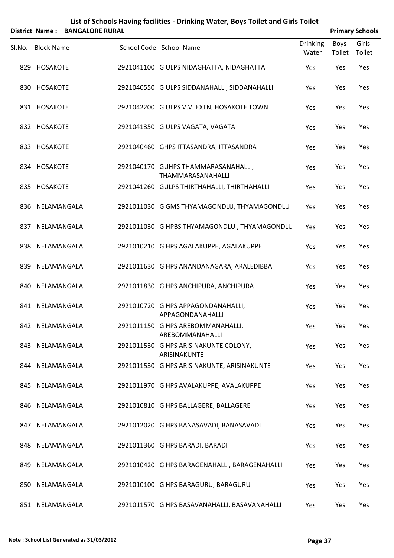|        |                   | District Name: BANGALORE RURAL |                                                          |                          |                | <b>Primary Schools</b> |
|--------|-------------------|--------------------------------|----------------------------------------------------------|--------------------------|----------------|------------------------|
| Sl.No. | <b>Block Name</b> |                                | School Code School Name                                  | <b>Drinking</b><br>Water | Boys<br>Toilet | Girls<br>Toilet        |
|        | 829 HOSAKOTE      |                                | 2921041100 G ULPS NIDAGHATTA, NIDAGHATTA                 | Yes                      | Yes            | Yes                    |
|        | 830 HOSAKOTE      |                                | 2921040550 G ULPS SIDDANAHALLI, SIDDANAHALLI             | Yes                      | Yes            | Yes                    |
|        | 831 HOSAKOTE      |                                | 2921042200 G ULPS V.V. EXTN, HOSAKOTE TOWN               | Yes                      | Yes            | Yes                    |
|        | 832 HOSAKOTE      |                                | 2921041350 G ULPS VAGATA, VAGATA                         | Yes                      | Yes            | Yes                    |
|        | 833 HOSAKOTE      |                                | 2921040460 GHPS ITTASANDRA, ITTASANDRA                   | Yes                      | Yes            | Yes                    |
|        | 834 HOSAKOTE      |                                | 2921040170 GUHPS THAMMARASANAHALLI,<br>THAMMARASANAHALLI | Yes                      | Yes            | Yes                    |
|        | 835 HOSAKOTE      |                                | 2921041260 GULPS THIRTHAHALLI, THIRTHAHALLI              | Yes                      | Yes            | Yes                    |
|        | 836 NELAMANGALA   |                                | 2921011030 G GMS THYAMAGONDLU, THYAMAGONDLU              | Yes                      | Yes            | Yes                    |
|        | 837 NELAMANGALA   |                                | 2921011030 G HPBS THYAMAGONDLU, THYAMAGONDLU             | Yes                      | Yes            | Yes                    |
|        | 838 NELAMANGALA   |                                | 2921010210 G HPS AGALAKUPPE, AGALAKUPPE                  | Yes                      | Yes            | Yes                    |
|        | 839 NELAMANGALA   |                                | 2921011630 G HPS ANANDANAGARA, ARALEDIBBA                | Yes                      | Yes            | Yes                    |
|        | 840 NELAMANGALA   |                                | 2921011830 G HPS ANCHIPURA, ANCHIPURA                    | Yes                      | Yes            | Yes                    |
|        | 841 NELAMANGALA   |                                | 2921010720 G HPS APPAGONDANAHALLI,<br>APPAGONDANAHALLI   | Yes                      | Yes            | Yes                    |
|        | 842 NELAMANGALA   |                                | 2921011150 G HPS AREBOMMANAHALLI,<br>AREBOMMANAHALLI     | Yes                      | Yes            | Yes                    |
|        | 843 NELAMANGALA   |                                | 2921011530 G HPS ARISINAKUNTE COLONY,<br>ARISINAKUNTE    | Yes                      | Yes            | Yes                    |
|        | 844 NELAMANGALA   |                                | 2921011530 G HPS ARISINAKUNTE, ARISINAKUNTE              | Yes                      | Yes            | Yes                    |
|        | 845 NELAMANGALA   |                                | 2921011970 G HPS AVALAKUPPE, AVALAKUPPE                  | Yes                      | Yes            | Yes                    |
|        | 846 NELAMANGALA   |                                | 2921010810 G HPS BALLAGERE, BALLAGERE                    | Yes                      | Yes            | Yes                    |
|        | 847 NELAMANGALA   |                                | 2921012020 G HPS BANASAVADI, BANASAVADI                  | Yes                      | Yes            | Yes                    |
|        | 848 NELAMANGALA   |                                | 2921011360 G HPS BARADI, BARADI                          | Yes                      | Yes            | Yes                    |
|        | 849 NELAMANGALA   |                                | 2921010420 G HPS BARAGENAHALLI, BARAGENAHALLI            | Yes                      | Yes            | Yes                    |
|        | 850 NELAMANGALA   |                                | 2921010100 G HPS BARAGURU, BARAGURU                      | Yes                      | Yes            | Yes                    |
|        | 851 NELAMANGALA   |                                | 2921011570 G HPS BASAVANAHALLI, BASAVANAHALLI            | Yes                      | Yes            | Yes                    |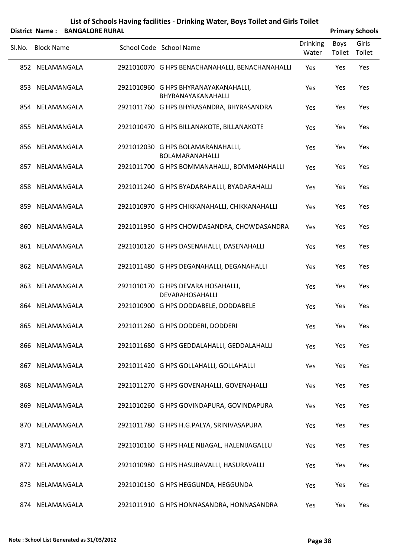|        |                   | District Name: BANGALORE RURAL |                                                            |                          |                | <b>Primary Schools</b> |
|--------|-------------------|--------------------------------|------------------------------------------------------------|--------------------------|----------------|------------------------|
| SI.No. | <b>Block Name</b> |                                | School Code School Name                                    | <b>Drinking</b><br>Water | Boys<br>Toilet | Girls<br>Toilet        |
|        | 852 NELAMANGALA   |                                | 2921010070 G HPS BENACHANAHALLI, BENACHANAHALLI            | Yes                      | Yes            | Yes                    |
|        | 853 NELAMANGALA   |                                | 2921010960 G HPS BHYRANAYAKANAHALLI,<br>BHYRANAYAKANAHALLI | Yes                      | Yes            | Yes                    |
|        | 854 NELAMANGALA   |                                | 2921011760 G HPS BHYRASANDRA, BHYRASANDRA                  | Yes                      | Yes            | Yes                    |
|        | 855 NELAMANGALA   |                                | 2921010470 G HPS BILLANAKOTE, BILLANAKOTE                  | Yes                      | Yes            | Yes                    |
|        | 856 NELAMANGALA   |                                | 2921012030 G HPS BOLAMARANAHALLI,<br>BOLAMARANAHALLI       | Yes                      | Yes            | Yes                    |
|        | 857 NELAMANGALA   |                                | 2921011700 G HPS BOMMANAHALLI, BOMMANAHALLI                | Yes                      | Yes            | Yes                    |
|        | 858 NELAMANGALA   |                                | 2921011240 G HPS BYADARAHALLI, BYADARAHALLI                | Yes                      | Yes            | Yes                    |
|        | 859 NELAMANGALA   |                                | 2921010970 G HPS CHIKKANAHALLI, CHIKKANAHALLI              | Yes                      | Yes            | Yes                    |
|        | 860 NELAMANGALA   |                                | 2921011950 G HPS CHOWDASANDRA, CHOWDASANDRA                | Yes                      | Yes            | Yes                    |
|        | 861 NELAMANGALA   |                                | 2921010120 G HPS DASENAHALLI, DASENAHALLI                  | Yes                      | Yes            | Yes                    |
|        | 862 NELAMANGALA   |                                | 2921011480 G HPS DEGANAHALLI, DEGANAHALLI                  | Yes                      | Yes            | Yes                    |
|        | 863 NELAMANGALA   |                                | 2921010170 G HPS DEVARA HOSAHALLI,<br>DEVARAHOSAHALLI      | Yes                      | Yes            | Yes                    |
|        | 864 NELAMANGALA   |                                | 2921010900 G HPS DODDABELE, DODDABELE                      | Yes                      | Yes            | Yes                    |
|        | 865 NELAMANGALA   |                                | 2921011260 G HPS DODDERI, DODDERI                          | Yes                      | Yes            | Yes                    |
|        | 866 NELAMANGALA   |                                | 2921011680 G HPS GEDDALAHALLI, GEDDALAHALLI                | Yes                      | Yes            | Yes                    |
|        | 867 NELAMANGALA   |                                | 2921011420 G HPS GOLLAHALLI, GOLLAHALLI                    | Yes                      | Yes            | Yes                    |
|        | 868 NELAMANGALA   |                                | 2921011270 G HPS GOVENAHALLI, GOVENAHALLI                  | Yes                      | Yes            | Yes                    |
|        | 869 NELAMANGALA   |                                | 2921010260 G HPS GOVINDAPURA, GOVINDAPURA                  | Yes                      | Yes            | Yes                    |
|        | 870 NELAMANGALA   |                                | 2921011780 G HPS H.G.PALYA, SRINIVASAPURA                  | Yes                      | Yes            | Yes                    |
|        | 871 NELAMANGALA   |                                | 2921010160 G HPS HALE NIJAGAL, HALENIJAGALLU               | Yes                      | Yes            | Yes                    |
|        | 872 NELAMANGALA   |                                | 2921010980 G HPS HASURAVALLI, HASURAVALLI                  | Yes                      | Yes            | Yes                    |
|        | 873 NELAMANGALA   |                                | 2921010130 G HPS HEGGUNDA, HEGGUNDA                        | Yes                      | Yes            | Yes                    |
|        | 874 NELAMANGALA   |                                | 2921011910 G HPS HONNASANDRA, HONNASANDRA                  | Yes                      | Yes            | Yes                    |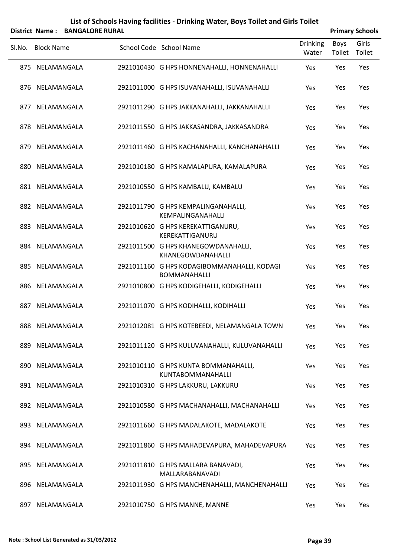| List of Schools Having facilities - Drinking Water, Boys Toilet and Girls Toilet |
|----------------------------------------------------------------------------------|
| <br>--------------                                                               |

|        | <b>District Name:</b><br><b>BANGALORE RURAL</b> |                                                                    |                          |                | <b>Primary Schools</b> |
|--------|-------------------------------------------------|--------------------------------------------------------------------|--------------------------|----------------|------------------------|
| Sl.No. | <b>Block Name</b>                               | School Code School Name                                            | <b>Drinking</b><br>Water | Boys<br>Toilet | Girls<br>Toilet        |
|        | 875 NELAMANGALA                                 | 2921010430 G HPS HONNENAHALLI, HONNENAHALLI                        | Yes                      | Yes            | Yes                    |
|        | 876 NELAMANGALA                                 | 2921011000 G HPS ISUVANAHALLI, ISUVANAHALLI                        | Yes                      | Yes            | Yes                    |
|        | 877 NELAMANGALA                                 | 2921011290 G HPS JAKKANAHALLI, JAKKANAHALLI                        | Yes                      | Yes            | Yes                    |
|        | 878 NELAMANGALA                                 | 2921011550 G HPS JAKKASANDRA, JAKKASANDRA                          | Yes                      | Yes            | Yes                    |
|        | 879 NELAMANGALA                                 | 2921011460 G HPS KACHANAHALLI, KANCHANAHALLI                       | Yes                      | Yes            | Yes                    |
|        | 880 NELAMANGALA                                 | 2921010180 G HPS KAMALAPURA, KAMALAPURA                            | Yes                      | Yes            | Yes                    |
|        | 881 NELAMANGALA                                 | 2921010550 G HPS KAMBALU, KAMBALU                                  | Yes                      | Yes            | Yes                    |
|        | 882 NELAMANGALA                                 | 2921011790 G HPS KEMPALINGANAHALLI,<br>KEMPALINGANAHALLI           | Yes                      | Yes            | Yes                    |
|        | 883 NELAMANGALA                                 | 2921010620 G HPS KEREKATTIGANURU,<br>KEREKATTIGANURU               | Yes                      | Yes            | Yes                    |
|        | 884 NELAMANGALA                                 | 2921011500 G HPS KHANEGOWDANAHALLI,<br>KHANEGOWDANAHALLI           | Yes                      | Yes            | Yes                    |
|        | 885 NELAMANGALA                                 | 2921011160 G HPS KODAGIBOMMANAHALLI, KODAGI<br><b>BOMMANAHALLI</b> | Yes                      | Yes            | Yes                    |
|        | 886 NELAMANGALA                                 | 2921010800 G HPS KODIGEHALLI, KODIGEHALLI                          | Yes                      | Yes            | Yes                    |
|        | 887 NELAMANGALA                                 | 2921011070 G HPS KODIHALLI, KODIHALLI                              | Yes                      | Yes            | Yes                    |
|        | 888 NELAMANGALA                                 | 2921012081 G HPS KOTEBEEDI, NELAMANGALA TOWN                       | Yes                      | Yes            | Yes                    |
|        | 889 NELAMANGALA                                 | 2921011120 G HPS KULUVANAHALLI, KULUVANAHALLI                      | Yes                      | Yes            | Yes                    |
|        | 890 NELAMANGALA                                 | 2921010110 G HPS KUNTA BOMMANAHALLI,<br><b>KUNTABOMMANAHALLI</b>   | Yes                      | Yes            | Yes                    |
|        | 891 NELAMANGALA                                 | 2921010310 G HPS LAKKURU, LAKKURU                                  | Yes                      | Yes            | Yes                    |
|        | 892 NELAMANGALA                                 | 2921010580 G HPS MACHANAHALLI, MACHANAHALLI                        | Yes                      | Yes            | Yes                    |
|        | 893 NELAMANGALA                                 | 2921011660 G HPS MADALAKOTE, MADALAKOTE                            | Yes                      | Yes            | Yes                    |
|        | 894 NELAMANGALA                                 | 2921011860 G HPS MAHADEVAPURA, MAHADEVAPURA                        | Yes                      | Yes            | Yes                    |
|        | 895 NELAMANGALA                                 | 2921011810 G HPS MALLARA BANAVADI,<br>MALLARABANAVADI              | Yes                      | Yes            | Yes                    |
|        | 896 NELAMANGALA                                 | 2921011930 G HPS MANCHENAHALLI, MANCHENAHALLI                      | Yes                      | Yes            | Yes                    |
|        | 897 NELAMANGALA                                 | 2921010750 G HPS MANNE, MANNE                                      | Yes                      | Yes            | Yes                    |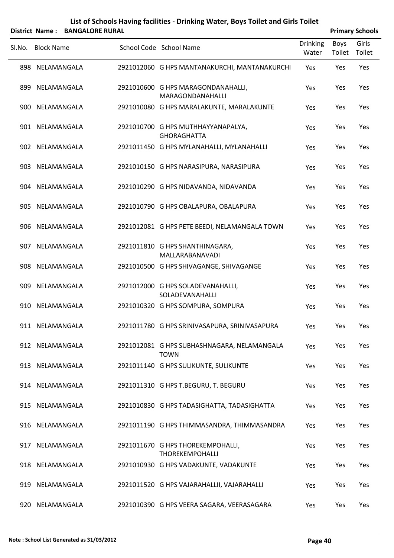| List of Schools Having facilities - Drinking Water, Boys Toilet and Girls Toilet |
|----------------------------------------------------------------------------------|
| $\mathbf{A}$ . $\mathbf{A}$ . The state of $\mathbf{A}$                          |

|        |                   | District Name: BANGALORE RURAL |                                                             |                          |                | <b>Primary Schools</b> |
|--------|-------------------|--------------------------------|-------------------------------------------------------------|--------------------------|----------------|------------------------|
| SI.No. | <b>Block Name</b> |                                | School Code School Name                                     | <b>Drinking</b><br>Water | Boys<br>Toilet | Girls<br>Toilet        |
|        | 898 NELAMANGALA   |                                | 2921012060 G HPS MANTANAKURCHI, MANTANAKURCHI               | Yes                      | Yes            | Yes                    |
|        | 899 NELAMANGALA   |                                | 2921010600 G HPS MARAGONDANAHALLI,<br>MARAGONDANAHALLI      | Yes                      | Yes            | Yes                    |
|        | 900 NELAMANGALA   |                                | 2921010080 G HPS MARALAKUNTE, MARALAKUNTE                   | Yes                      | Yes            | Yes                    |
|        | 901 NELAMANGALA   |                                | 2921010700 G HPS MUTHHAYYANAPALYA,<br><b>GHORAGHATTA</b>    | Yes                      | Yes            | Yes                    |
|        | 902 NELAMANGALA   |                                | 2921011450 G HPS MYLANAHALLI, MYLANAHALLI                   | Yes                      | Yes            | Yes                    |
|        | 903 NELAMANGALA   |                                | 2921010150 G HPS NARASIPURA, NARASIPURA                     | Yes                      | Yes            | Yes                    |
|        | 904 NELAMANGALA   |                                | 2921010290 G HPS NIDAVANDA, NIDAVANDA                       | Yes                      | Yes            | Yes                    |
|        | 905 NELAMANGALA   |                                | 2921010790 G HPS OBALAPURA, OBALAPURA                       | Yes                      | Yes            | Yes                    |
|        | 906 NELAMANGALA   |                                | 2921012081 G HPS PETE BEEDI, NELAMANGALA TOWN               | Yes                      | Yes            | Yes                    |
|        | 907 NELAMANGALA   |                                | 2921011810 G HPS SHANTHINAGARA,<br>MALLARABANAVADI          | Yes                      | Yes            | Yes                    |
|        | 908 NELAMANGALA   |                                | 2921010500 G HPS SHIVAGANGE, SHIVAGANGE                     | Yes                      | Yes            | Yes                    |
|        | 909 NELAMANGALA   |                                | 2921012000 G HPS SOLADEVANAHALLI,<br>SOLADEVANAHALLI        | Yes                      | Yes            | Yes                    |
|        | 910 NELAMANGALA   |                                | 2921010320 G HPS SOMPURA, SOMPURA                           | Yes                      | Yes            | Yes                    |
|        | 911 NELAMANGALA   |                                | 2921011780 G HPS SRINIVASAPURA, SRINIVASAPURA               | Yes                      | Yes            | Yes                    |
|        | 912 NELAMANGALA   |                                | 2921012081 G HPS SUBHASHNAGARA, NELAMANGALA<br><b>TOWN</b>  | Yes                      | Yes            | Yes                    |
|        | 913 NELAMANGALA   |                                | 2921011140 G HPS SULIKUNTE, SULIKUNTE                       | Yes                      | Yes            | Yes                    |
|        | 914 NELAMANGALA   |                                | 2921011310 G HPS T.BEGURU, T. BEGURU                        | Yes                      | Yes            | Yes                    |
|        | 915 NELAMANGALA   |                                | 2921010830 G HPS TADASIGHATTA, TADASIGHATTA                 | Yes                      | Yes            | Yes                    |
|        | 916 NELAMANGALA   |                                | 2921011190 G HPS THIMMASANDRA, THIMMASANDRA                 | Yes                      | Yes            | Yes                    |
|        | 917 NELAMANGALA   |                                | 2921011670 G HPS THOREKEMPOHALLI,<br><b>THOREKEMPOHALLI</b> | Yes                      | Yes            | Yes                    |
|        | 918 NELAMANGALA   |                                | 2921010930 G HPS VADAKUNTE, VADAKUNTE                       | Yes                      | Yes            | Yes                    |
|        | 919 NELAMANGALA   |                                | 2921011520 G HPS VAJARAHALLII, VAJARAHALLI                  | Yes                      | Yes            | Yes                    |
|        | 920 NELAMANGALA   |                                | 2921010390 G HPS VEERA SAGARA, VEERASAGARA                  | Yes                      | Yes            | Yes                    |

 $\overline{a}$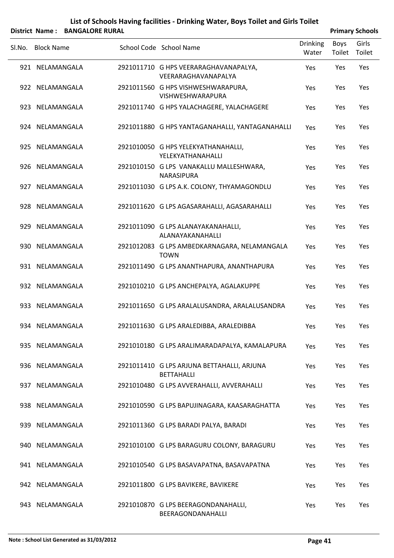|        |                   | District Name: BANGALORE RURAL |                                                                 |                          |                | <b>Primary Schools</b> |
|--------|-------------------|--------------------------------|-----------------------------------------------------------------|--------------------------|----------------|------------------------|
| SI.No. | <b>Block Name</b> |                                | School Code School Name                                         | <b>Drinking</b><br>Water | Boys<br>Toilet | Girls<br>Toilet        |
|        | 921 NELAMANGALA   |                                | 2921011710 G HPS VEERARAGHAVANAPALYA,<br>VEERARAGHAVANAPALYA    | Yes                      | Yes            | Yes                    |
|        | 922 NELAMANGALA   |                                | 2921011560 G HPS VISHWESHWARAPURA,<br><b>VISHWESHWARAPURA</b>   | Yes                      | Yes            | Yes                    |
|        | 923 NELAMANGALA   |                                | 2921011740 G HPS YALACHAGERE, YALACHAGERE                       | Yes                      | Yes            | Yes                    |
|        | 924 NELAMANGALA   |                                | 2921011880 G HPS YANTAGANAHALLI, YANTAGANAHALLI                 | Yes                      | Yes            | Yes                    |
|        | 925 NELAMANGALA   |                                | 2921010050 G HPS YELEKYATHANAHALLI,<br>YELEKYATHANAHALLI        | Yes                      | Yes            | Yes                    |
|        | 926 NELAMANGALA   |                                | 2921010150 G LPS VANAKALLU MALLESHWARA,<br><b>NARASIPURA</b>    | Yes                      | Yes            | Yes                    |
|        | 927 NELAMANGALA   |                                | 2921011030 G LPS A.K. COLONY, THYAMAGONDLU                      | Yes                      | Yes            | Yes                    |
|        | 928 NELAMANGALA   |                                | 2921011620 G LPS AGASARAHALLI, AGASARAHALLI                     | Yes                      | Yes            | Yes                    |
|        | 929 NELAMANGALA   |                                | 2921011090 G LPS ALANAYAKANAHALLI,<br>ALANAYAKANAHALLI          | Yes                      | Yes            | Yes                    |
|        | 930 NELAMANGALA   |                                | 2921012083 G LPS AMBEDKARNAGARA, NELAMANGALA<br><b>TOWN</b>     | Yes                      | Yes            | Yes                    |
|        | 931 NELAMANGALA   |                                | 2921011490 G LPS ANANTHAPURA, ANANTHAPURA                       | Yes                      | Yes            | Yes                    |
|        | 932 NELAMANGALA   |                                | 2921010210 G LPS ANCHEPALYA, AGALAKUPPE                         | Yes                      | Yes            | Yes                    |
|        | 933 NELAMANGALA   |                                | 2921011650 G LPS ARALALUSANDRA, ARALALUSANDRA                   | Yes                      | Yes            | Yes                    |
|        | 934 NELAMANGALA   |                                | 2921011630 G LPS ARALEDIBBA, ARALEDIBBA                         | Yes                      | Yes            | Yes                    |
|        | 935 NELAMANGALA   |                                | 2921010180 G LPS ARALIMARADAPALYA, KAMALAPURA                   | Yes                      | Yes            | Yes                    |
|        | 936 NELAMANGALA   |                                | 2921011410 G LPS ARJUNA BETTAHALLI, ARJUNA<br><b>BETTAHALLI</b> | Yes                      | Yes            | Yes                    |
|        | 937 NELAMANGALA   |                                | 2921010480 G LPS AVVERAHALLI, AVVERAHALLI                       | Yes                      | Yes            | Yes                    |
|        | 938 NELAMANGALA   |                                | 2921010590 G LPS BAPUJINAGARA, KAASARAGHATTA                    | Yes                      | Yes            | Yes                    |
|        | 939 NELAMANGALA   |                                | 2921011360 G LPS BARADI PALYA, BARADI                           | Yes                      | Yes            | Yes                    |
|        | 940 NELAMANGALA   |                                | 2921010100 G LPS BARAGURU COLONY, BARAGURU                      | Yes                      | Yes            | Yes                    |
|        | 941 NELAMANGALA   |                                | 2921010540 G LPS BASAVAPATNA, BASAVAPATNA                       | Yes                      | Yes            | Yes                    |
|        | 942 NELAMANGALA   |                                | 2921011800 G LPS BAVIKERE, BAVIKERE                             | Yes                      | Yes            | Yes                    |
|        | 943 NELAMANGALA   |                                | 2921010870 G LPS BEERAGONDANAHALLI,<br>BEERAGONDANAHALLI        | Yes                      | Yes            | Yes                    |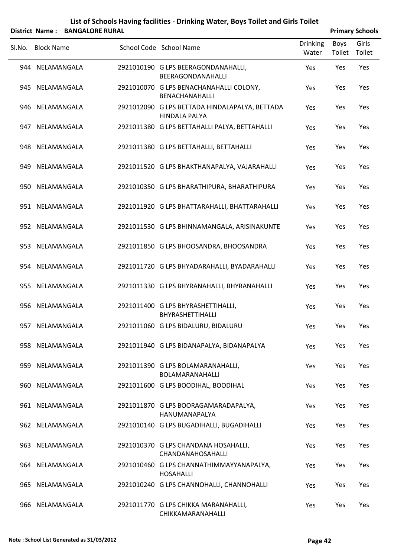|        |                   | District Name: BANGALORE RURAL |                                                                        |                          |                | <b>Primary Schools</b> |
|--------|-------------------|--------------------------------|------------------------------------------------------------------------|--------------------------|----------------|------------------------|
| Sl.No. | <b>Block Name</b> |                                | School Code School Name                                                | <b>Drinking</b><br>Water | Boys<br>Toilet | Girls<br>Toilet        |
|        | 944 NELAMANGALA   |                                | 2921010190 G LPS BEERAGONDANAHALLI,<br>BEERAGONDANAHALLI               | Yes                      | Yes            | Yes                    |
|        | 945 NELAMANGALA   |                                | 2921010070 G LPS BENACHANAHALLI COLONY,<br><b>BENACHANAHALLI</b>       | Yes                      | Yes            | Yes                    |
|        | 946 NELAMANGALA   |                                | 2921012090 G LPS BETTADA HINDALAPALYA, BETTADA<br><b>HINDALA PALYA</b> | Yes                      | Yes            | Yes                    |
|        | 947 NELAMANGALA   |                                | 2921011380 G LPS BETTAHALLI PALYA, BETTAHALLI                          | Yes                      | Yes            | Yes                    |
|        | 948 NELAMANGALA   |                                | 2921011380 G LPS BETTAHALLI, BETTAHALLI                                | Yes                      | Yes            | Yes                    |
|        | 949 NELAMANGALA   |                                | 2921011520 G LPS BHAKTHANAPALYA, VAJARAHALLI                           | Yes                      | Yes            | Yes                    |
|        | 950 NELAMANGALA   |                                | 2921010350 G LPS BHARATHIPURA, BHARATHIPURA                            | Yes                      | Yes            | Yes                    |
|        | 951 NELAMANGALA   |                                | 2921011920 G LPS BHATTARAHALLI, BHATTARAHALLI                          | Yes                      | Yes            | Yes                    |
|        | 952 NELAMANGALA   |                                | 2921011530 G LPS BHINNAMANGALA, ARISINAKUNTE                           | Yes                      | Yes            | Yes                    |
|        | 953 NELAMANGALA   |                                | 2921011850 G LPS BHOOSANDRA, BHOOSANDRA                                | Yes                      | Yes            | Yes                    |
|        | 954 NELAMANGALA   |                                | 2921011720 G LPS BHYADARAHALLI, BYADARAHALLI                           | Yes                      | Yes            | Yes                    |
|        | 955 NELAMANGALA   |                                | 2921011330 G LPS BHYRANAHALLI, BHYRANAHALLI                            | Yes                      | Yes            | Yes                    |
|        | 956 NELAMANGALA   |                                | 2921011400 G LPS BHYRASHETTIHALLI,<br>BHYRASHETTIHALLI                 | Yes                      | Yes            | Yes                    |
|        | 957 NELAMANGALA   |                                | 2921011060 G LPS BIDALURU, BIDALURU                                    | Yes                      | Yes            | Yes                    |
|        | 958 NELAMANGALA   |                                | 2921011940 G LPS BIDANAPALYA, BIDANAPALYA                              | Yes                      | Yes            | Yes                    |
|        | 959 NELAMANGALA   |                                | 2921011390 G LPS BOLAMARANAHALLI,<br>BOLAMARANAHALLI                   | Yes                      | Yes            | Yes                    |
|        | 960 NELAMANGALA   |                                | 2921011600 G LPS BOODIHAL, BOODIHAL                                    | Yes                      | Yes            | Yes                    |
|        | 961 NELAMANGALA   |                                | 2921011870 G LPS BOORAGAMARADAPALYA,<br>HANUMANAPALYA                  | Yes                      | Yes            | Yes                    |
|        | 962 NELAMANGALA   |                                | 2921010140 G LPS BUGADIHALLI, BUGADIHALLI                              | Yes                      | Yes            | Yes                    |
|        | 963 NELAMANGALA   |                                | 2921010370 G LPS CHANDANA HOSAHALLI,<br>CHANDANAHOSAHALLI              | Yes                      | Yes            | Yes                    |
|        | 964 NELAMANGALA   |                                | 2921010460 G LPS CHANNATHIMMAYYANAPALYA,<br><b>HOSAHALLI</b>           | Yes                      | Yes            | Yes                    |
|        | 965 NELAMANGALA   |                                | 2921010240 G LPS CHANNOHALLI, CHANNOHALLI                              | Yes                      | Yes            | Yes                    |
|        | 966 NELAMANGALA   |                                | 2921011770 G LPS CHIKKA MARANAHALLI,<br>CHIKKAMARANAHALLI              | Yes                      | Yes            | Yes                    |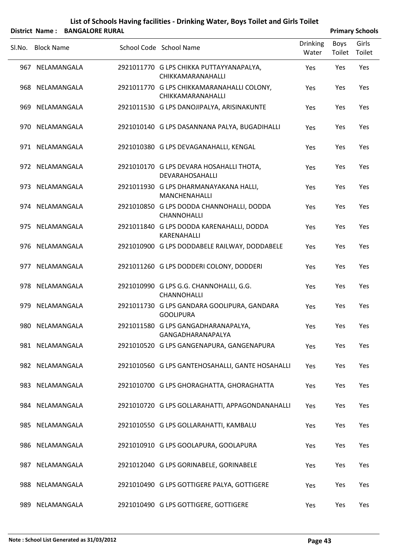|        |                   | District Name: BANGALORE RURAL |                                                                 |                          |                | <b>Primary Schools</b> |
|--------|-------------------|--------------------------------|-----------------------------------------------------------------|--------------------------|----------------|------------------------|
| Sl.No. | <b>Block Name</b> |                                | School Code School Name                                         | <b>Drinking</b><br>Water | Boys<br>Toilet | Girls<br>Toilet        |
|        | 967 NELAMANGALA   |                                | 2921011770 G LPS CHIKKA PUTTAYYANAPALYA,<br>CHIKKAMARANAHALLI   | Yes                      | Yes            | Yes                    |
|        | 968 NELAMANGALA   |                                | 2921011770 G LPS CHIKKAMARANAHALLI COLONY,<br>CHIKKAMARANAHALLI | Yes                      | Yes            | Yes                    |
|        | 969 NELAMANGALA   |                                | 2921011530 G LPS DANOJIPALYA, ARISINAKUNTE                      | Yes                      | Yes            | Yes                    |
|        | 970 NELAMANGALA   |                                | 2921010140 G LPS DASANNANA PALYA, BUGADIHALLI                   | Yes                      | Yes            | Yes                    |
|        | 971 NELAMANGALA   |                                | 2921010380 G LPS DEVAGANAHALLI, KENGAL                          | Yes                      | Yes            | Yes                    |
|        | 972 NELAMANGALA   |                                | 2921010170 G LPS DEVARA HOSAHALLI THOTA,<br>DEVARAHOSAHALLI     | Yes                      | Yes            | Yes                    |
|        | 973 NELAMANGALA   |                                | 2921011930 G LPS DHARMANAYAKANA HALLI,<br><b>MANCHENAHALLI</b>  | Yes                      | Yes            | Yes                    |
|        | 974 NELAMANGALA   |                                | 2921010850 G LPS DODDA CHANNOHALLI, DODDA<br><b>CHANNOHALLI</b> | Yes                      | Yes            | Yes                    |
|        | 975 NELAMANGALA   |                                | 2921011840 G LPS DODDA KARENAHALLI, DODDA<br>KARENAHALLI        | Yes                      | Yes            | Yes                    |
|        | 976 NELAMANGALA   |                                | 2921010900 G LPS DODDABELE RAILWAY, DODDABELE                   | Yes                      | Yes            | Yes                    |
|        | 977 NELAMANGALA   |                                | 2921011260 G LPS DODDERI COLONY, DODDERI                        | Yes                      | Yes            | Yes                    |
|        | 978 NELAMANGALA   |                                | 2921010990 G LPS G.G. CHANNOHALLI, G.G.<br><b>CHANNOHALLI</b>   | Yes                      | Yes            | Yes                    |
|        | 979 NELAMANGALA   |                                | 2921011730 G LPS GANDARA GOOLIPURA, GANDARA<br><b>GOOLIPURA</b> | Yes                      | Yes            | Yes                    |
|        | 980 NELAMANGALA   |                                | 2921011580 G LPS GANGADHARANAPALYA,<br>GANGADHARANAPALYA        | Yes                      | Yes            | Yes                    |
|        | 981 NELAMANGALA   |                                | 2921010520 G LPS GANGENAPURA, GANGENAPURA                       | Yes                      | Yes            | Yes                    |
|        | 982 NELAMANGALA   |                                | 2921010560 G LPS GANTEHOSAHALLI, GANTE HOSAHALLI                | Yes                      | Yes            | Yes                    |
|        | 983 NELAMANGALA   |                                | 2921010700 G LPS GHORAGHATTA, GHORAGHATTA                       | Yes                      | Yes            | Yes                    |
|        | 984 NELAMANGALA   |                                | 2921010720 G LPS GOLLARAHATTI, APPAGONDANAHALLI                 | Yes                      | Yes            | Yes                    |
|        | 985 NELAMANGALA   |                                | 2921010550 G LPS GOLLARAHATTI, KAMBALU                          | Yes                      | Yes            | Yes                    |
|        | 986 NELAMANGALA   |                                | 2921010910 G LPS GOOLAPURA, GOOLAPURA                           | Yes                      | Yes            | Yes                    |
|        | 987 NELAMANGALA   |                                | 2921012040 G LPS GORINABELE, GORINABELE                         | Yes                      | Yes            | Yes                    |
|        | 988 NELAMANGALA   |                                | 2921010490 G LPS GOTTIGERE PALYA, GOTTIGERE                     | Yes                      | Yes            | Yes                    |
| 989    | NELAMANGALA       |                                | 2921010490 G LPS GOTTIGERE, GOTTIGERE                           | Yes                      | Yes            | Yes                    |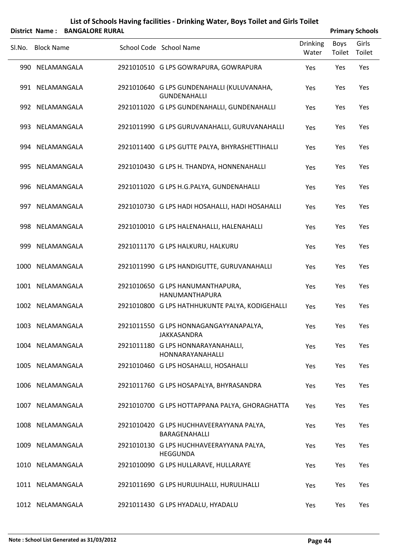| List of Schools Having facilities - Drinking Water, Boys Toilet and Girls Toilet |
|----------------------------------------------------------------------------------|
| District Name: BANGALORE RURAL                                                   |

|  | <b>Primary Schools</b> |
|--|------------------------|

| Sl.No. | <b>Block Name</b> | School Code School Name                                           | <b>Drinking</b><br>Water | <b>Boys</b><br>Toilet | Girls<br>Toilet |
|--------|-------------------|-------------------------------------------------------------------|--------------------------|-----------------------|-----------------|
|        | 990 NELAMANGALA   | 2921010510 G LPS GOWRAPURA, GOWRAPURA                             | Yes                      | Yes                   | Yes             |
|        | 991 NELAMANGALA   | 2921010640 G LPS GUNDENAHALLI (KULUVANAHA,<br><b>GUNDENAHALLI</b> | Yes                      | Yes                   | Yes             |
|        | 992 NELAMANGALA   | 2921011020 G LPS GUNDENAHALLI, GUNDENAHALLI                       | Yes                      | Yes                   | Yes             |
|        | 993 NELAMANGALA   | 2921011990 G LPS GURUVANAHALLI, GURUVANAHALLI                     | Yes                      | Yes                   | Yes             |
|        | 994 NELAMANGALA   | 2921011400 G LPS GUTTE PALYA, BHYRASHETTIHALLI                    | Yes                      | Yes                   | Yes             |
|        | 995 NELAMANGALA   | 2921010430 G LPS H. THANDYA, HONNENAHALLI                         | Yes                      | Yes                   | Yes             |
|        | 996 NELAMANGALA   | 2921011020 G LPS H.G.PALYA, GUNDENAHALLI                          | Yes                      | Yes                   | Yes             |
|        | 997 NELAMANGALA   | 2921010730 G LPS HADI HOSAHALLI, HADI HOSAHALLI                   | Yes                      | Yes                   | Yes             |
|        | 998 NELAMANGALA   | 2921010010 G LPS HALENAHALLI, HALENAHALLI                         | Yes                      | Yes                   | Yes             |
|        | 999 NELAMANGALA   | 2921011170 G LPS HALKURU, HALKURU                                 | Yes                      | Yes                   | Yes             |
|        | 1000 NELAMANGALA  | 2921011990 G LPS HANDIGUTTE, GURUVANAHALLI                        | Yes                      | Yes                   | Yes             |
|        | 1001 NELAMANGALA  | 2921010650 G LPS HANUMANTHAPURA,<br>HANUMANTHAPURA                | Yes                      | Yes                   | Yes             |
|        | 1002 NELAMANGALA  | 2921010800 G LPS HATHHUKUNTE PALYA, KODIGEHALLI                   | Yes                      | Yes                   | Yes             |
|        | 1003 NELAMANGALA  | 2921011550 G LPS HONNAGANGAYYANAPALYA,<br>JAKKASANDRA             | Yes                      | Yes                   | Yes             |
|        | 1004 NELAMANGALA  | 2921011180 G LPS HONNARAYANAHALLI,<br>HONNARAYANAHALLI            | Yes                      | Yes                   | Yes             |
|        | 1005 NELAMANGALA  | 2921010460 G LPS HOSAHALLI, HOSAHALLI                             | Yes                      | Yes                   | Yes             |
|        | 1006 NELAMANGALA  | 2921011760 G LPS HOSAPALYA, BHYRASANDRA                           | Yes                      | Yes                   | Yes             |
|        | 1007 NELAMANGALA  | 2921010700 G LPS HOTTAPPANA PALYA, GHORAGHATTA                    | Yes                      | Yes                   | Yes             |
|        | 1008 NELAMANGALA  | 2921010420 G LPS HUCHHAVEERAYYANA PALYA,<br>BARAGENAHALLI         | Yes                      | Yes                   | Yes             |
|        | 1009 NELAMANGALA  | 2921010130 G LPS HUCHHAVEERAYYANA PALYA,<br><b>HEGGUNDA</b>       | Yes                      | Yes                   | Yes             |
|        | 1010 NELAMANGALA  | 2921010090 G LPS HULLARAVE, HULLARAYE                             | Yes                      | Yes                   | Yes             |
|        | 1011 NELAMANGALA  | 2921011690 G LPS HURULIHALLI, HURULIHALLI                         | Yes                      | Yes                   | Yes             |
|        | 1012 NELAMANGALA  | 2921011430 G LPS HYADALU, HYADALU                                 | Yes                      | Yes                   | Yes             |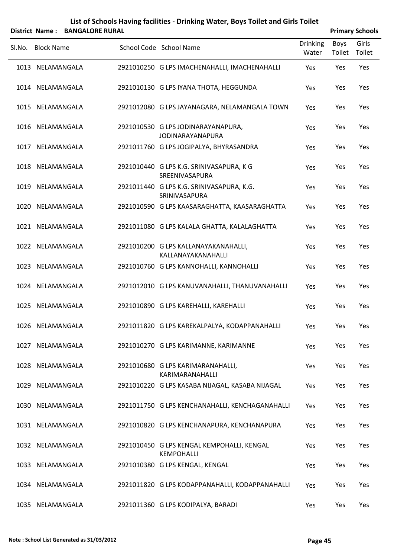|        |                   | District Name: BANGALORE RURAL |                                                                 |                          |                | <b>Primary Schools</b> |
|--------|-------------------|--------------------------------|-----------------------------------------------------------------|--------------------------|----------------|------------------------|
| SI.No. | <b>Block Name</b> |                                | School Code School Name                                         | <b>Drinking</b><br>Water | Boys<br>Toilet | Girls<br>Toilet        |
|        | 1013 NELAMANGALA  |                                | 2921010250 G LPS IMACHENAHALLI, IMACHENAHALLI                   | Yes                      | Yes            | Yes                    |
|        | 1014 NELAMANGALA  |                                | 2921010130 G LPS IYANA THOTA, HEGGUNDA                          | Yes                      | Yes            | Yes                    |
|        | 1015 NELAMANGALA  |                                | 2921012080 G LPS JAYANAGARA, NELAMANGALA TOWN                   | Yes                      | Yes            | Yes                    |
|        | 1016 NELAMANGALA  |                                | 2921010530 G LPS JODINARAYANAPURA,<br><b>JODINARAYANAPURA</b>   | Yes                      | Yes            | Yes                    |
|        | 1017 NELAMANGALA  |                                | 2921011760 G LPS JOGIPALYA, BHYRASANDRA                         | Yes                      | Yes            | Yes                    |
|        | 1018 NELAMANGALA  |                                | 2921010440 G LPS K.G. SRINIVASAPURA, K G<br>SREENIVASAPURA      | Yes                      | Yes            | Yes                    |
|        | 1019 NELAMANGALA  |                                | 2921011440 G LPS K.G. SRINIVASAPURA, K.G.<br>SRINIVASAPURA      | Yes                      | Yes            | Yes                    |
|        | 1020 NELAMANGALA  |                                | 2921010590 G LPS KAASARAGHATTA, KAASARAGHATTA                   | Yes                      | Yes            | Yes                    |
|        | 1021 NELAMANGALA  |                                | 2921011080 G LPS KALALA GHATTA, KALALAGHATTA                    | Yes                      | Yes            | Yes                    |
|        | 1022 NELAMANGALA  |                                | 2921010200 G LPS KALLANAYAKANAHALLI,<br>KALLANAYAKANAHALLI      | Yes                      | Yes            | Yes                    |
|        | 1023 NELAMANGALA  |                                | 2921010760 G LPS KANNOHALLI, KANNOHALLI                         | Yes                      | Yes            | Yes                    |
|        | 1024 NELAMANGALA  |                                | 2921012010 G LPS KANUVANAHALLI, THANUVANAHALLI                  | Yes                      | Yes            | Yes                    |
|        | 1025 NELAMANGALA  |                                | 2921010890 G LPS KAREHALLI, KAREHALLI                           | Yes                      | Yes            | Yes                    |
|        | 1026 NELAMANGALA  |                                | 2921011820 G LPS KAREKALPALYA, KODAPPANAHALLI                   | Yes                      | Yes            | Yes                    |
|        | 1027 NELAMANGALA  |                                | 2921010270 G LPS KARIMANNE, KARIMANNE                           | Yes                      | Yes            | Yes                    |
|        | 1028 NELAMANGALA  |                                | 2921010680 G LPS KARIMARANAHALLI,<br>KARIMARANAHALLI            | Yes                      | Yes            | Yes                    |
|        | 1029 NELAMANGALA  |                                | 2921010220 G LPS KASABA NIJAGAL, KASABA NIJAGAL                 | Yes                      | Yes            | Yes                    |
|        | 1030 NELAMANGALA  |                                | 2921011750 G LPS KENCHANAHALLI, KENCHAGANAHALLI                 | Yes                      | Yes            | Yes                    |
|        | 1031 NELAMANGALA  |                                | 2921010820 G LPS KENCHANAPURA, KENCHANAPURA                     | Yes                      | Yes            | Yes                    |
|        | 1032 NELAMANGALA  |                                | 2921010450 G LPS KENGAL KEMPOHALLI, KENGAL<br><b>KEMPOHALLI</b> | Yes                      | Yes            | Yes                    |
|        | 1033 NELAMANGALA  |                                | 2921010380 G LPS KENGAL, KENGAL                                 | Yes                      | Yes            | Yes                    |
|        | 1034 NELAMANGALA  |                                | 2921011820 G LPS KODAPPANAHALLI, KODAPPANAHALLI                 | Yes                      | Yes            | Yes                    |
|        | 1035 NELAMANGALA  |                                | 2921011360 G LPS KODIPALYA, BARADI                              | Yes                      | Yes            | Yes                    |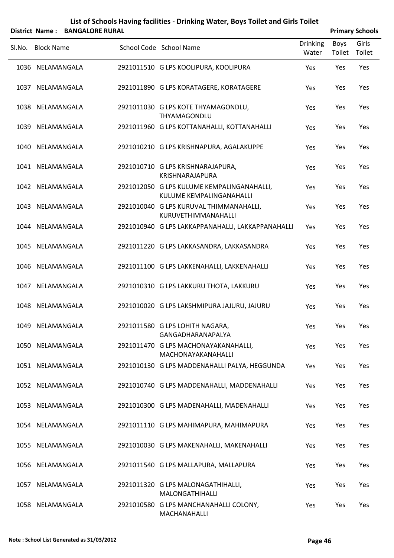|        |                   | District Name: BANGALORE RURAL |                                                                        |                          |                | <b>Primary Schools</b> |
|--------|-------------------|--------------------------------|------------------------------------------------------------------------|--------------------------|----------------|------------------------|
| SI.No. | <b>Block Name</b> |                                | School Code School Name                                                | <b>Drinking</b><br>Water | Boys<br>Toilet | Girls<br>Toilet        |
|        | 1036 NELAMANGALA  |                                | 2921011510 G LPS KOOLIPURA, KOOLIPURA                                  | Yes                      | Yes            | Yes                    |
|        | 1037 NELAMANGALA  |                                | 2921011890 G LPS KORATAGERE, KORATAGERE                                | Yes                      | Yes            | Yes                    |
|        | 1038 NELAMANGALA  |                                | 2921011030 G LPS KOTE THYAMAGONDLU,<br>THYAMAGONDLU                    | Yes                      | Yes            | Yes                    |
|        | 1039 NELAMANGALA  |                                | 2921011960 G LPS KOTTANAHALLI, KOTTANAHALLI                            | Yes                      | Yes            | Yes                    |
|        | 1040 NELAMANGALA  |                                | 2921010210 G LPS KRISHNAPURA, AGALAKUPPE                               | Yes                      | Yes            | Yes                    |
|        | 1041 NELAMANGALA  |                                | 2921010710 G LPS KRISHNARAJAPURA,<br>KRISHNARAJAPURA                   | Yes                      | Yes            | Yes                    |
|        | 1042 NELAMANGALA  |                                | 2921012050 G LPS KULUME KEMPALINGANAHALLI,<br>KULUME KEMPALINGANAHALLI | Yes                      | Yes            | Yes                    |
|        | 1043 NELAMANGALA  |                                | 2921010040 G LPS KURUVAL THIMMANAHALLI,<br>KURUVETHIMMANAHALLI         | Yes                      | Yes            | Yes                    |
|        | 1044 NELAMANGALA  |                                | 2921010940 G LPS LAKKAPPANAHALLI, LAKKAPPANAHALLI                      | Yes                      | Yes            | Yes                    |
|        | 1045 NELAMANGALA  |                                | 2921011220 G LPS LAKKASANDRA, LAKKASANDRA                              | Yes                      | Yes            | Yes                    |
|        | 1046 NELAMANGALA  |                                | 2921011100 G LPS LAKKENAHALLI, LAKKENAHALLI                            | Yes                      | Yes            | Yes                    |
|        | 1047 NELAMANGALA  |                                | 2921010310 G LPS LAKKURU THOTA, LAKKURU                                | Yes                      | Yes            | Yes                    |
|        | 1048 NELAMANGALA  |                                | 2921010020 G LPS LAKSHMIPURA JAJURU, JAJURU                            | Yes                      | Yes            | Yes                    |
|        | 1049 NELAMANGALA  |                                | 2921011580 G LPS LOHITH NAGARA,<br>GANGADHARANAPALYA                   | Yes                      | Yes            | Yes                    |
|        | 1050 NELAMANGALA  |                                | 2921011470 G LPS MACHONAYAKANAHALLI,<br>MACHONAYAKANAHALLI             | Yes                      | Yes            | Yes                    |
|        | 1051 NELAMANGALA  |                                | 2921010130 G LPS MADDENAHALLI PALYA, HEGGUNDA                          | Yes                      | Yes            | Yes                    |
|        | 1052 NELAMANGALA  |                                | 2921010740 G LPS MADDENAHALLI, MADDENAHALLI                            | Yes                      | Yes            | Yes                    |
|        | 1053 NELAMANGALA  |                                | 2921010300 G LPS MADENAHALLI, MADENAHALLI                              | Yes                      | Yes            | Yes                    |
|        | 1054 NELAMANGALA  |                                | 2921011110 G LPS MAHIMAPURA, MAHIMAPURA                                | Yes                      | Yes            | Yes                    |
|        | 1055 NELAMANGALA  |                                | 2921010030 G LPS MAKENAHALLI, MAKENAHALLI                              | Yes                      | Yes            | Yes                    |
|        | 1056 NELAMANGALA  |                                | 2921011540 G LPS MALLAPURA, MALLAPURA                                  | Yes                      | Yes            | Yes                    |
|        | 1057 NELAMANGALA  |                                | 2921011320 G LPS MALONAGATHIHALLI,<br>MALONGATHIHALLI                  | Yes                      | Yes            | Yes                    |
|        | 1058 NELAMANGALA  |                                | 2921010580 G LPS MANCHANAHALLI COLONY,<br>MACHANAHALLI                 | Yes                      | Yes            | Yes                    |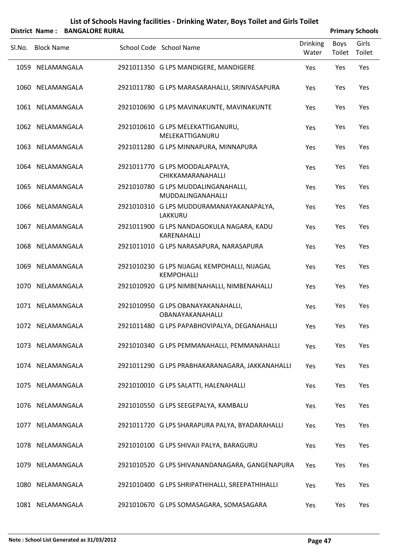|        |                   | District Name: BANGALORE RURAL |                                                                   |                          |                | <b>Primary Schools</b> |
|--------|-------------------|--------------------------------|-------------------------------------------------------------------|--------------------------|----------------|------------------------|
| SI.No. | <b>Block Name</b> |                                | School Code School Name                                           | <b>Drinking</b><br>Water | Boys<br>Toilet | Girls<br>Toilet        |
|        | 1059 NELAMANGALA  |                                | 2921011350 G LPS MANDIGERE, MANDIGERE                             | Yes                      | Yes            | Yes                    |
|        | 1060 NELAMANGALA  |                                | 2921011780 G LPS MARASARAHALLI, SRINIVASAPURA                     | Yes                      | Yes            | Yes                    |
|        | 1061 NELAMANGALA  |                                | 2921010690 G LPS MAVINAKUNTE, MAVINAKUNTE                         | Yes                      | Yes            | Yes                    |
|        | 1062 NELAMANGALA  |                                | 2921010610 G LPS MELEKATTIGANURU,<br>MELEKATTIGANURU              | Yes                      | Yes            | Yes                    |
|        | 1063 NELAMANGALA  |                                | 2921011280 G LPS MINNAPURA, MINNAPURA                             | Yes                      | Yes            | Yes                    |
|        | 1064 NELAMANGALA  |                                | 2921011770 G LPS MOODALAPALYA,<br>CHIKKAMARANAHALLI               | Yes                      | Yes            | Yes                    |
|        | 1065 NELAMANGALA  |                                | 2921010780 G LPS MUDDALINGANAHALLI,<br>MUDDALINGANAHALLI          | Yes                      | Yes            | Yes                    |
|        | 1066 NELAMANGALA  |                                | 2921010310 G LPS MUDDURAMANAYAKANAPALYA,<br>LAKKURU               | Yes                      | Yes            | Yes                    |
|        | 1067 NELAMANGALA  |                                | 2921011900 G LPS NANDAGOKULA NAGARA, KADU<br>KARENAHALLI          | Yes                      | Yes            | Yes                    |
|        | 1068 NELAMANGALA  |                                | 2921011010 G LPS NARASAPURA, NARASAPURA                           | Yes                      | Yes            | Yes                    |
|        | 1069 NELAMANGALA  |                                | 2921010230 G LPS NIJAGAL KEMPOHALLI, NIJAGAL<br><b>KEMPOHALLI</b> | Yes                      | Yes            | Yes                    |
|        | 1070 NELAMANGALA  |                                | 2921010920 G LPS NIMBENAHALLI, NIMBENAHALLI                       | Yes                      | Yes            | Yes                    |
|        | 1071 NELAMANGALA  |                                | 2921010950 G LPS OBANAYAKANAHALLI,<br>OBANAYAKANAHALLI            | Yes                      | Yes            | Yes                    |
|        | 1072 NELAMANGALA  |                                | 2921011480 G LPS PAPABHOVIPALYA, DEGANAHALLI                      | Yes                      | Yes            | Yes                    |
|        | 1073 NELAMANGALA  |                                | 2921010340 G LPS PEMMANAHALLI, PEMMANAHALLI                       | Yes                      | Yes            | Yes                    |
|        | 1074 NELAMANGALA  |                                | 2921011290 G LPS PRABHAKARANAGARA, JAKKANAHALLI                   | Yes                      | Yes            | Yes                    |
|        | 1075 NELAMANGALA  |                                | 2921010010 G LPS SALATTI, HALENAHALLI                             | Yes                      | Yes            | Yes                    |
|        | 1076 NELAMANGALA  |                                | 2921010550 G LPS SEEGEPALYA, KAMBALU                              | Yes                      | Yes            | Yes                    |
|        | 1077 NELAMANGALA  |                                | 2921011720 G LPS SHARAPURA PALYA, BYADARAHALLI                    | Yes                      | Yes            | Yes                    |
|        | 1078 NELAMANGALA  |                                | 2921010100 G LPS SHIVAJI PALYA, BARAGURU                          | Yes                      | Yes            | Yes                    |
|        | 1079 NELAMANGALA  |                                | 2921010520 G LPS SHIVANANDANAGARA, GANGENAPURA                    | Yes                      | Yes            | Yes                    |
|        | 1080 NELAMANGALA  |                                | 2921010400 G LPS SHRIPATHIHALLI, SREEPATHIHALLI                   | Yes                      | Yes            | Yes                    |
|        | 1081 NELAMANGALA  |                                | 2921010670 G LPS SOMASAGARA, SOMASAGARA                           | Yes                      | Yes            | Yes                    |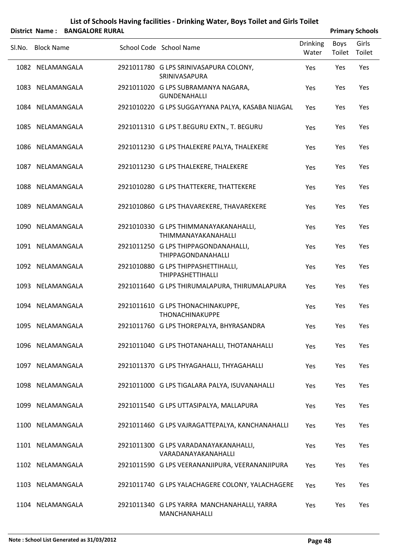|        |                   | District Name: BANGALORE RURAL |                                                              |                          |                | <b>Primary Schools</b> |
|--------|-------------------|--------------------------------|--------------------------------------------------------------|--------------------------|----------------|------------------------|
| Sl.No. | <b>Block Name</b> |                                | School Code School Name                                      | <b>Drinking</b><br>Water | Boys<br>Toilet | Girls<br>Toilet        |
|        | 1082 NELAMANGALA  |                                | 2921011780 G LPS SRINIVASAPURA COLONY,<br>SRINIVASAPURA      | Yes                      | Yes            | Yes                    |
|        | 1083 NELAMANGALA  |                                | 2921011020 G LPS SUBRAMANYA NAGARA,<br><b>GUNDENAHALLI</b>   | Yes                      | Yes            | Yes                    |
|        | 1084 NELAMANGALA  |                                | 2921010220 G LPS SUGGAYYANA PALYA, KASABA NIJAGAL            | Yes                      | Yes            | Yes                    |
|        | 1085 NELAMANGALA  |                                | 2921011310 G LPS T.BEGURU EXTN., T. BEGURU                   | Yes                      | Yes            | Yes                    |
|        | 1086 NELAMANGALA  |                                | 2921011230 G LPS THALEKERE PALYA, THALEKERE                  | Yes                      | Yes            | Yes                    |
|        | 1087 NELAMANGALA  |                                | 2921011230 G LPS THALEKERE, THALEKERE                        | Yes                      | Yes            | Yes                    |
|        | 1088 NELAMANGALA  |                                | 2921010280 G LPS THATTEKERE, THATTEKERE                      | Yes                      | Yes            | Yes                    |
|        | 1089 NELAMANGALA  |                                | 2921010860 G LPS THAVAREKERE, THAVAREKERE                    | Yes                      | Yes            | Yes                    |
|        | 1090 NELAMANGALA  |                                | 2921010330 G LPS THIMMANAYAKANAHALLI,<br>THIMMANAYAKANAHALLI | Yes                      | Yes            | Yes                    |
|        | 1091 NELAMANGALA  |                                | 2921011250 G LPS THIPPAGONDANAHALLI,<br>THIPPAGONDANAHALLI   | Yes                      | Yes            | Yes                    |
|        | 1092 NELAMANGALA  |                                | 2921010880 G LPS THIPPASHETTIHALLI,<br>THIPPASHETTIHALLI     | Yes                      | Yes            | Yes                    |
|        | 1093 NELAMANGALA  |                                | 2921011640 G LPS THIRUMALAPURA, THIRUMALAPURA                | Yes                      | Yes            | Yes                    |
|        | 1094 NELAMANGALA  |                                | 2921011610 G LPS THONACHINAKUPPE,<br>THONACHINAKUPPE         | Yes                      | Yes            | Yes                    |
|        | 1095 NELAMANGALA  |                                | 2921011760 G LPS THOREPALYA, BHYRASANDRA                     | Yes                      | Yes            | Yes                    |
|        | 1096 NELAMANGALA  |                                | 2921011040 G LPS THOTANAHALLI, THOTANAHALLI                  | Yes                      | Yes            | Yes                    |
|        | 1097 NELAMANGALA  |                                | 2921011370 G LPS THYAGAHALLI, THYAGAHALLI                    | Yes                      | Yes            | Yes                    |
|        | 1098 NELAMANGALA  |                                | 2921011000 G LPS TIGALARA PALYA, ISUVANAHALLI                | Yes                      | Yes            | Yes                    |
|        | 1099 NELAMANGALA  |                                | 2921011540 G LPS UTTASIPALYA, MALLAPURA                      | Yes                      | Yes            | Yes                    |
|        | 1100 NELAMANGALA  |                                | 2921011460 G LPS VAJRAGATTEPALYA, KANCHANAHALLI              | Yes                      | Yes            | Yes                    |
|        | 1101 NELAMANGALA  |                                | 2921011300 G LPS VARADANAYAKANAHALLI,<br>VARADANAYAKANAHALLI | Yes                      | Yes            | Yes                    |
|        | 1102 NELAMANGALA  |                                | 2921011590 G LPS VEERANANJIPURA, VEERANANJIPURA              | Yes                      | Yes            | Yes                    |
|        | 1103 NELAMANGALA  |                                | 2921011740 G LPS YALACHAGERE COLONY, YALACHAGERE             | Yes                      | Yes            | Yes                    |
|        | 1104 NELAMANGALA  |                                | 2921011340 G LPS YARRA MANCHANAHALLI, YARRA<br>MANCHANAHALLI | Yes                      | Yes            | Yes                    |